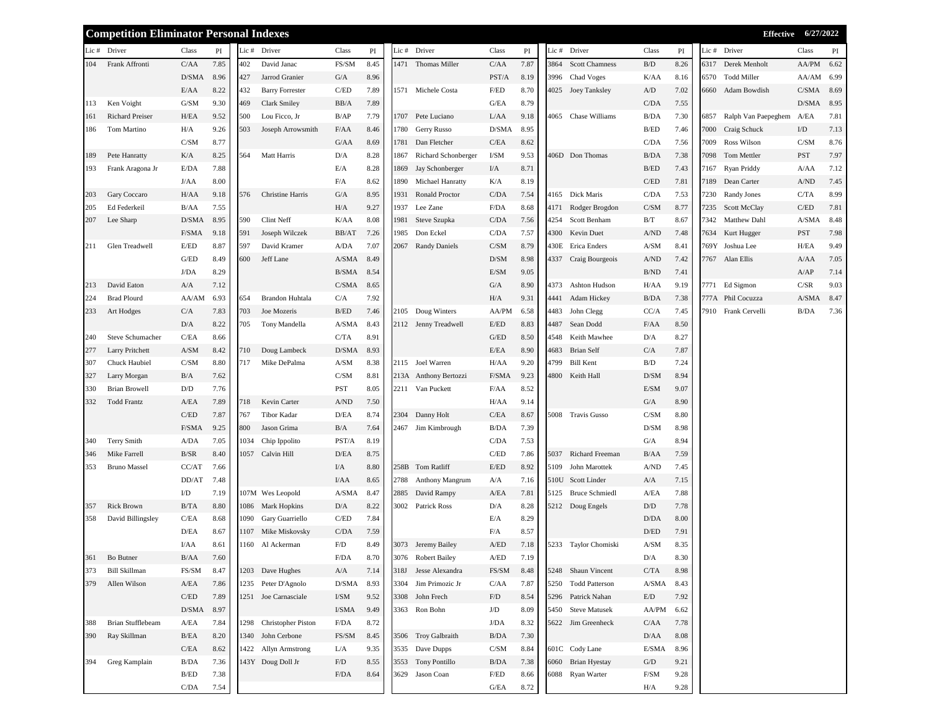| PI<br>Lic # Driver<br>Class<br>$\mathbf{PI}$<br>Lic # Driver<br>Lic # Driver<br>Lic # Driver<br>Lic # Driver<br>Class<br>Class<br>PI<br>Class<br>PI<br>Class<br>PI<br>Frank Affronti<br>C/AA<br>7.85<br>402<br>David Janac<br>FS/SM<br>8.45<br>1471 Thomas Miller<br>C/AA<br>7.87<br><b>Scott Chamness</b><br>$\rm B/D$<br>8.26<br>Derek Menholt<br>AA/PM<br>6.62<br>104<br>3864<br>6317<br>D/SMA<br>$\mathrm{G}/\mathrm{A}$<br>8.96<br>PST/A<br>3996<br>Chad Voges<br>AA/AM 6.99<br>8.96<br>427<br>Jarrod Granier<br>8.19<br>K/AA<br>8.16<br>6570<br><b>Todd Miller</b><br>8.22<br>432<br><b>Barry Forrester</b><br>$\mathbf{C}/\mathbf{ED}$<br>7.89<br>1571 Michele Costa<br>F/ED<br>7.02<br>$C/SMA$ 8.69<br>E/AA<br>8.70<br>4025 Joey Tanksley<br>A/D<br>6660 Adam Bowdish<br>Ken Voight<br>G/SM<br>9.30<br>469<br>7.89<br>G/EA<br>8.79<br>C/DA<br>7.55<br>D/SMA 8.95<br>Clark Smiley<br>BB/A<br>113<br>Lou Ficco, Jr<br>B/AP<br>7.79<br>4065 Chase Williams<br>7.30<br>Ralph Van Paepeghem<br>A/EA<br>7.81<br><b>Richard Preiser</b><br>H/EA<br>9.52<br>500<br>1707<br>Pete Luciano<br>L/AA<br>9.18<br>B/DA<br>6857<br>161<br>Tom Martino<br>H/A<br>9.26<br>503<br>8.46<br>1780<br>Gerry Russo<br>D/SMA<br>8.95<br>B/ED<br>7.46<br>7000<br>I/D<br>7.13<br>Joseph Arrowsmith<br>F/AA<br>Craig Schuck<br>186<br>C/SM<br>8.77<br>1781<br>Dan Fletcher<br>C/EA<br>8.62<br>7009<br>Ross Wilson<br>C/SM<br>8.76<br>G/AA<br>8.69<br>C/DA<br>7.56<br>Matt Harris<br>I/SM<br><b>PST</b><br>7.97<br>Pete Hanratty<br>K/A<br>8.25<br>564<br>D/A<br>8.28<br>1867<br>Richard Schonberger<br>9.53<br>406D Don Thomas<br>B/DA<br>7.38<br>7098<br>Tom Mettler<br>189<br>E/DA<br>7.88<br>E/A<br>8.28<br>Jay Schonberger<br>8.71<br>B/ED<br>7.43<br>Ryan Priddy<br>7.12<br>Frank Aragona Jr<br>1869<br>I/A<br>7167<br>A/AA<br>193<br>8.00<br>8.62<br>8.19<br>C/ED<br>Dean Carter<br>A/ND<br>7.45<br>J/AA<br>F/A<br>1890<br>Michael Hanratty<br>K/A<br>7.81<br>7189<br>Gary Coccaro<br>Christine Harris<br>4165 Dick Maris<br>C/DA<br>7.53<br>Randy Jones<br>C/TA<br>8.99<br>H/AA<br>9.18<br>576<br>G/A<br>8.95<br>1931<br>Ronald Proctor<br>C/DA<br>7.54<br>7230<br>203<br>7.55<br>H/A<br>9.27<br>1937<br>Lee Zane<br>F/DA<br>8.68<br>Rodger Brogdon<br>8.77<br>C/ED<br>7.81<br>Ed Federkeil<br>B/AA<br>4171<br>C/SM<br>7235<br>Scott McClay<br>205<br>D/SMA<br>590<br>Clint Neff<br>8.08<br>1981<br>B/T<br>8.48<br>Lee Sharp<br>8.95<br>K/AA<br>Steve Szupka<br>C/DA<br>7.56<br>4254<br>Scott Benham<br>8.67<br>7342<br>Matthew Dahl<br>A/SMA<br>207<br>F/SMA<br>Joseph Wilczek<br>1985<br>Don Eckel<br>C/DA<br>7.57<br>A/ND<br><b>PST</b><br>7.98<br>9.18<br>591<br>BB/AT<br>7.26<br>4300<br>Kevin Duet<br>7.48<br>7634<br>Kurt Hugger<br>Glen Treadwell<br>E/ED<br>8.87<br>597<br>David Kramer<br>A/DA<br><b>Randy Daniels</b><br>C/SM<br>430E Erica Enders<br>A/SM<br>8.41<br>Joshua Lee<br>H/EA<br>9.49<br>211<br>7.07<br>2067<br>8.79<br>769Y<br>$\mathcal{G}/\!\mathcal{E}\mathcal{D}$<br>600<br>7.05<br>8.49<br>Jeff Lane<br>A/SMA<br>8.49<br>D/SM<br>8.98<br>4337 Craig Bourgeois<br>A/ND<br>7.42<br>7767 Alan Ellis<br>A/AA<br>8.29<br>8.54<br>9.05<br>B/ND<br>7.14<br>J/DA<br>B/SMA<br>E/SM<br>7.41<br>A/AP<br>David Eaton<br>8.90<br>4373 Ashton Hudson<br>9.19<br>Ed Sigmon<br>C/SR<br>9.03<br>A/A<br>7.12<br>C/SMA<br>8.65<br>G/A<br>H/AA<br>7771<br>213<br>A/SMA 8.47<br>6.93<br>Brandon Huhtala<br>C/A<br>7.92<br>9.31<br>224<br><b>Brad Plourd</b><br>AA/AM<br>554<br>H/A<br>4441<br>Adam Hickey<br>B/DA<br>7.38<br>777A Phil Cocuzza<br>Doug Winters<br>7.83<br>$\rm B/ED$<br>AA/PM<br>6.58<br>CC/A<br>7910 Frank Cervelli<br>B/DA<br>7.36<br>233<br>Art Hodges<br>C/A<br>703<br>Joe Mozeris<br>7.46<br>2105<br>4483<br>John Clegg<br>7.45<br>$\rm{D}/\rm{A}$<br>A/SMA<br>Sean Dodd<br>F/AA<br>8.50<br>8.22<br>705<br>Tony Mandella<br>8.43<br>2112 Jenny Treadwell<br>E/ED<br>8.83<br>4487<br>Steve Schumacher<br>Keith Mawhee<br>8.27<br>C/EA<br>8.66<br>C/TA<br>8.91<br>G/ED<br>8.50<br>4548<br>D/A<br>240<br>8.42<br>D/SMA<br>8.93<br>E/EA<br>8.90<br><b>Brian Self</b><br>C/A<br>7.87<br>277<br>Larry Pritchett<br>A/SM<br>710<br>Doug Lambeck<br>4683<br>Chuck Haubiel<br>C/SM<br>8.80<br>717<br>Mike DePalma<br>A/SM<br>8.38<br>2115 Joel Warren<br>9.20<br>4799<br><b>Bill Kent</b><br>B/D<br>7.24<br>H/AA<br>307<br>7.62<br>C/SM<br>8.81<br>F/SMA<br>9.23<br>D/SM<br>8.94<br>327<br>Larry Morgan<br>B/A<br>213A Anthony Bertozzi<br>4800 Keith Hall<br>${\rm D/D}$<br>7.76<br>PST<br>8.05<br>2211 Van Puckett<br>8.52<br>E/SM<br>9.07<br>330<br><b>Brian Browell</b><br>F/AA<br>Kevin Carter<br>G/A<br><b>Todd Frantz</b><br>A/EA<br>7.89<br>718<br>A/ND<br>7.50<br>H/AA<br>9.14<br>8.90<br>332<br>$\mathbf{C}/\mathbf{ED}$<br>7.87<br>Tibor Kadar<br>D/EA<br>8.74<br>2304 Danny Holt<br>C/EA<br>5008 Travis Gusso<br>C/SM<br>8.80<br>767<br>8.67<br>F/SMA<br>9.25<br>800<br>2467 Jim Kimbrough<br><b>B/DA</b><br>7.39<br>D/SM<br>8.98<br>Jason Grima<br>B/A<br>7.64<br><b>Terry Smith</b><br>7.05<br>1034<br>8.19<br>7.53<br>8.94<br>A/DA<br>Chip Ippolito<br>PST/A<br>C/DA<br>G/A<br>340<br>Mike Farrell<br>$\rm\,B/SR$<br>8.40<br>$\rm{D/EA}$<br>8.75<br>7.86<br>Richard Freeman<br>7.59<br>1057 Calvin Hill<br>C/ED<br>5037<br>B/AA<br>346<br>Tom Ratliff<br>E/ED<br>8.92<br><b>Bruno Massel</b><br>CC/AT<br>7.66<br>I/A<br>8.80<br>258B<br>5109<br>John Marottek<br>A/ND<br>7.45<br>353<br>DD/AT<br>7.48<br>I/AA<br>8.65<br>2788<br>Anthony Mangrum<br>A/A<br>7.16<br>510U Scott Linder<br>A/A<br>7.15<br>$\rm{L/D}$<br>107M Wes Leopold<br>A/SMA<br>8.47<br>David Rampy<br>A/EA<br><b>Bruce Schmiedl</b><br>A/EA<br>7.88<br>7.19<br>2885<br>7.81<br>5125<br>B/TA<br>8.80<br>8.22<br>3002 Patrick Ross<br>8.28<br>5212 Doug Engels<br>D/D<br>7.78<br><b>Rick Brown</b><br>1086 Mark Hopkins<br>D/A<br>D/A<br>357<br>8.68<br>1090 Gary Guarriello<br>C/ED<br>7.84<br>8.29<br>8.00<br>358<br>David Billingsley<br>C/EA<br>E/A<br>D/DA<br>D/EA<br>1107 Mike Miskovsky<br>C/DA<br>7.59<br>8.57<br>D/ED<br>7.91<br>8.67<br>F/A<br>8.61<br>F/D<br>3073 Jeremy Bailey<br>8.35<br>I/AA<br>1160 Al Ackerman<br>8.49<br>A/ED<br>7.18<br>5233 Taylor Chomiski<br>A/SM<br>F/DA<br>8.70<br><b>Robert Bailey</b><br>A/ED<br>7.19<br>$\rm{D/A}$<br>8.30<br>Bo Butner<br>B/AA<br>7.60<br>3076<br>361<br>$\ensuremath{\mathsf{FS}}\xspace/\ensuremath{\mathsf{SM}}\xspace$<br><b>Bill Skillman</b><br>1203 Dave Hughes<br>$\ensuremath{\mathrm{A}}/\ensuremath{\mathrm{A}}$<br>7.14<br>Jesse Alexandra<br>FS/SM<br>5248 Shaun Vincent<br>C/TA<br>8.98<br>373<br>8.47<br>8.48<br>318J<br>1235 Peter D'Agnolo<br>Jim Primozic Jr<br>5250 Todd Patterson<br>379<br>Allen Wilson<br>A/EA<br>7.86<br>D/SMA<br>8.93<br>3304<br>C/AA<br>7.87<br>A/SMA<br>8.43<br>$\mathbf{C}/\mathbf{ED}$<br>7.92<br>7.89<br>1251 Joe Carnasciale<br>I/SM<br>9.52<br>3308<br>John Frech<br>F/D<br>8.54<br>5296 Patrick Nahan<br>E/D<br>$\mathbf{D}/\mathbf{SMA}$<br>3363 Ron Bohn<br>$\rm J/D$<br>5450 Steve Matusek<br>AA/PM<br>8.97<br>I/SMA<br>8.09<br>6.62<br>9.49<br>Brian Stufflebeam<br>A/EA<br>1298 Christopher Piston<br>7.78<br>7.84<br>F/DA<br>8.72<br>J/DA<br>8.32<br>5622 Jim Greenheck<br>C/AA<br>388<br>$\rm B/EA$<br>FS/SM<br>3506 Troy Galbraith<br>Ray Skillman<br>8.20<br>1340<br>John Cerbone<br>8.45<br>B/DA<br>7.30<br>D/AA<br>8.08<br>390<br>$\mathbf{C}/\mathbf{E}\mathbf{A}$<br>1422 Allyn Armstrong<br>Dave Dupps<br>C/SM<br>601C Cody Lane<br>L/A<br>9.35<br>3535<br>8.84<br>E/SMA<br>8.96<br>8.62<br>B/DA<br>143Y Doug Doll Jr<br>3553 Tony Pontillo<br>B/DA<br>6060 Brian Hyestay<br>394<br>Greg Kamplain<br>F/D<br>8.55<br>7.38<br>G/D<br>9.21<br>7.36<br>$\rm B/ED$<br>${\rm F/ED}$<br>6088 Ryan Warter<br>F/SM<br>7.38<br>F/DA<br>8.64<br>3629 Jason Coan<br>9.28<br>8.66 | <b>Competition Eliminator Personal Indexes</b> |      |      |  |  |  |      |      |  |     |      | Effective 6/27/2022 |  |
|-------------------------------------------------------------------------------------------------------------------------------------------------------------------------------------------------------------------------------------------------------------------------------------------------------------------------------------------------------------------------------------------------------------------------------------------------------------------------------------------------------------------------------------------------------------------------------------------------------------------------------------------------------------------------------------------------------------------------------------------------------------------------------------------------------------------------------------------------------------------------------------------------------------------------------------------------------------------------------------------------------------------------------------------------------------------------------------------------------------------------------------------------------------------------------------------------------------------------------------------------------------------------------------------------------------------------------------------------------------------------------------------------------------------------------------------------------------------------------------------------------------------------------------------------------------------------------------------------------------------------------------------------------------------------------------------------------------------------------------------------------------------------------------------------------------------------------------------------------------------------------------------------------------------------------------------------------------------------------------------------------------------------------------------------------------------------------------------------------------------------------------------------------------------------------------------------------------------------------------------------------------------------------------------------------------------------------------------------------------------------------------------------------------------------------------------------------------------------------------------------------------------------------------------------------------------------------------------------------------------------------------------------------------------------------------------------------------------------------------------------------------------------------------------------------------------------------------------------------------------------------------------------------------------------------------------------------------------------------------------------------------------------------------------------------------------------------------------------------------------------------------------------------------------------------------------------------------------------------------------------------------------------------------------------------------------------------------------------------------------------------------------------------------------------------------------------------------------------------------------------------------------------------------------------------------------------------------------------------------------------------------------------------------------------------------------------------------------------------------------------------------------------------------------------------------------------------------------------------------------------------------------------------------------------------------------------------------------------------------------------------------------------------------------------------------------------------------------------------------------------------------------------------------------------------------------------------------------------------------------------------------------------------------------------------------------------------------------------------------------------------------------------------------------------------------------------------------------------------------------------------------------------------------------------------------------------------------------------------------------------------------------------------------------------------------------------------------------------------------------------------------------------------------------------------------------------------------------------------------------------------------------------------------------------------------------------------------------------------------------------------------------------------------------------------------------------------------------------------------------------------------------------------------------------------------------------------------------------------------------------------------------------------------------------------------------------------------------------------------------------------------------------------------------------------------------------------------------------------------------------------------------------------------------------------------------------------------------------------------------------------------------------------------------------------------------------------------------------------------------------------------------------------------------------------------------------------------------------------------------------------------------------------------------------------------------------------------------------------------------------------------------------------------------------------------------------------------------------------------------------------------------------------------------------------------------------------------------------------------------------------------------------------------------------------------------------------------------------------------------------------------------------------------------------------------------------------------------------------------------------------------------------------------------------------------------------------------------------------------------------------------------------------------------------------------------------------------------------------------------------------------------------------------------------------------------------------------------------------------------------------------------------------------------------------------------------------------------------------------------------------------------------------------------------------------------------------------------------------------------------------------------------------------------------------------------------------------------------------------------------------------------------------------------------------------------------------------------------------------------------------------------------------------------------------------------------------------------------------------------------------------------------------------------------------------------------------------------------------------------------------------------------------------------------------------------------------------------------------------------------------------------------------------|------------------------------------------------|------|------|--|--|--|------|------|--|-----|------|---------------------|--|
|                                                                                                                                                                                                                                                                                                                                                                                                                                                                                                                                                                                                                                                                                                                                                                                                                                                                                                                                                                                                                                                                                                                                                                                                                                                                                                                                                                                                                                                                                                                                                                                                                                                                                                                                                                                                                                                                                                                                                                                                                                                                                                                                                                                                                                                                                                                                                                                                                                                                                                                                                                                                                                                                                                                                                                                                                                                                                                                                                                                                                                                                                                                                                                                                                                                                                                                                                                                                                                                                                                                                                                                                                                                                                                                                                                                                                                                                                                                                                                                                                                                                                                                                                                                                                                                                                                                                                                                                                                                                                                                                                                                                                                                                                                                                                                                                                                                                                                                                                                                                                                                                                                                                                                                                                                                                                                                                                                                                                                                                                                                                                                                                                                                                                                                                                                                                                                                                                                                                                                                                                                                                                                                                                                                                                                                                                                                                                                                                                                                                                                                                                                                                                                                                                                                                                                                                                                                                                                                                                                                                                                                                                                                                                                                                                                                                                                                                                                                                                                                                                                                                                                                                                                                                                                                                                                                     |                                                |      |      |  |  |  |      |      |  |     |      |                     |  |
|                                                                                                                                                                                                                                                                                                                                                                                                                                                                                                                                                                                                                                                                                                                                                                                                                                                                                                                                                                                                                                                                                                                                                                                                                                                                                                                                                                                                                                                                                                                                                                                                                                                                                                                                                                                                                                                                                                                                                                                                                                                                                                                                                                                                                                                                                                                                                                                                                                                                                                                                                                                                                                                                                                                                                                                                                                                                                                                                                                                                                                                                                                                                                                                                                                                                                                                                                                                                                                                                                                                                                                                                                                                                                                                                                                                                                                                                                                                                                                                                                                                                                                                                                                                                                                                                                                                                                                                                                                                                                                                                                                                                                                                                                                                                                                                                                                                                                                                                                                                                                                                                                                                                                                                                                                                                                                                                                                                                                                                                                                                                                                                                                                                                                                                                                                                                                                                                                                                                                                                                                                                                                                                                                                                                                                                                                                                                                                                                                                                                                                                                                                                                                                                                                                                                                                                                                                                                                                                                                                                                                                                                                                                                                                                                                                                                                                                                                                                                                                                                                                                                                                                                                                                                                                                                                                                     |                                                |      |      |  |  |  |      |      |  |     |      |                     |  |
|                                                                                                                                                                                                                                                                                                                                                                                                                                                                                                                                                                                                                                                                                                                                                                                                                                                                                                                                                                                                                                                                                                                                                                                                                                                                                                                                                                                                                                                                                                                                                                                                                                                                                                                                                                                                                                                                                                                                                                                                                                                                                                                                                                                                                                                                                                                                                                                                                                                                                                                                                                                                                                                                                                                                                                                                                                                                                                                                                                                                                                                                                                                                                                                                                                                                                                                                                                                                                                                                                                                                                                                                                                                                                                                                                                                                                                                                                                                                                                                                                                                                                                                                                                                                                                                                                                                                                                                                                                                                                                                                                                                                                                                                                                                                                                                                                                                                                                                                                                                                                                                                                                                                                                                                                                                                                                                                                                                                                                                                                                                                                                                                                                                                                                                                                                                                                                                                                                                                                                                                                                                                                                                                                                                                                                                                                                                                                                                                                                                                                                                                                                                                                                                                                                                                                                                                                                                                                                                                                                                                                                                                                                                                                                                                                                                                                                                                                                                                                                                                                                                                                                                                                                                                                                                                                                                     |                                                |      |      |  |  |  |      |      |  |     |      |                     |  |
|                                                                                                                                                                                                                                                                                                                                                                                                                                                                                                                                                                                                                                                                                                                                                                                                                                                                                                                                                                                                                                                                                                                                                                                                                                                                                                                                                                                                                                                                                                                                                                                                                                                                                                                                                                                                                                                                                                                                                                                                                                                                                                                                                                                                                                                                                                                                                                                                                                                                                                                                                                                                                                                                                                                                                                                                                                                                                                                                                                                                                                                                                                                                                                                                                                                                                                                                                                                                                                                                                                                                                                                                                                                                                                                                                                                                                                                                                                                                                                                                                                                                                                                                                                                                                                                                                                                                                                                                                                                                                                                                                                                                                                                                                                                                                                                                                                                                                                                                                                                                                                                                                                                                                                                                                                                                                                                                                                                                                                                                                                                                                                                                                                                                                                                                                                                                                                                                                                                                                                                                                                                                                                                                                                                                                                                                                                                                                                                                                                                                                                                                                                                                                                                                                                                                                                                                                                                                                                                                                                                                                                                                                                                                                                                                                                                                                                                                                                                                                                                                                                                                                                                                                                                                                                                                                                                     |                                                |      |      |  |  |  |      |      |  |     |      |                     |  |
|                                                                                                                                                                                                                                                                                                                                                                                                                                                                                                                                                                                                                                                                                                                                                                                                                                                                                                                                                                                                                                                                                                                                                                                                                                                                                                                                                                                                                                                                                                                                                                                                                                                                                                                                                                                                                                                                                                                                                                                                                                                                                                                                                                                                                                                                                                                                                                                                                                                                                                                                                                                                                                                                                                                                                                                                                                                                                                                                                                                                                                                                                                                                                                                                                                                                                                                                                                                                                                                                                                                                                                                                                                                                                                                                                                                                                                                                                                                                                                                                                                                                                                                                                                                                                                                                                                                                                                                                                                                                                                                                                                                                                                                                                                                                                                                                                                                                                                                                                                                                                                                                                                                                                                                                                                                                                                                                                                                                                                                                                                                                                                                                                                                                                                                                                                                                                                                                                                                                                                                                                                                                                                                                                                                                                                                                                                                                                                                                                                                                                                                                                                                                                                                                                                                                                                                                                                                                                                                                                                                                                                                                                                                                                                                                                                                                                                                                                                                                                                                                                                                                                                                                                                                                                                                                                                                     |                                                |      |      |  |  |  |      |      |  |     |      |                     |  |
|                                                                                                                                                                                                                                                                                                                                                                                                                                                                                                                                                                                                                                                                                                                                                                                                                                                                                                                                                                                                                                                                                                                                                                                                                                                                                                                                                                                                                                                                                                                                                                                                                                                                                                                                                                                                                                                                                                                                                                                                                                                                                                                                                                                                                                                                                                                                                                                                                                                                                                                                                                                                                                                                                                                                                                                                                                                                                                                                                                                                                                                                                                                                                                                                                                                                                                                                                                                                                                                                                                                                                                                                                                                                                                                                                                                                                                                                                                                                                                                                                                                                                                                                                                                                                                                                                                                                                                                                                                                                                                                                                                                                                                                                                                                                                                                                                                                                                                                                                                                                                                                                                                                                                                                                                                                                                                                                                                                                                                                                                                                                                                                                                                                                                                                                                                                                                                                                                                                                                                                                                                                                                                                                                                                                                                                                                                                                                                                                                                                                                                                                                                                                                                                                                                                                                                                                                                                                                                                                                                                                                                                                                                                                                                                                                                                                                                                                                                                                                                                                                                                                                                                                                                                                                                                                                                                     |                                                |      |      |  |  |  |      |      |  |     |      |                     |  |
|                                                                                                                                                                                                                                                                                                                                                                                                                                                                                                                                                                                                                                                                                                                                                                                                                                                                                                                                                                                                                                                                                                                                                                                                                                                                                                                                                                                                                                                                                                                                                                                                                                                                                                                                                                                                                                                                                                                                                                                                                                                                                                                                                                                                                                                                                                                                                                                                                                                                                                                                                                                                                                                                                                                                                                                                                                                                                                                                                                                                                                                                                                                                                                                                                                                                                                                                                                                                                                                                                                                                                                                                                                                                                                                                                                                                                                                                                                                                                                                                                                                                                                                                                                                                                                                                                                                                                                                                                                                                                                                                                                                                                                                                                                                                                                                                                                                                                                                                                                                                                                                                                                                                                                                                                                                                                                                                                                                                                                                                                                                                                                                                                                                                                                                                                                                                                                                                                                                                                                                                                                                                                                                                                                                                                                                                                                                                                                                                                                                                                                                                                                                                                                                                                                                                                                                                                                                                                                                                                                                                                                                                                                                                                                                                                                                                                                                                                                                                                                                                                                                                                                                                                                                                                                                                                                                     |                                                |      |      |  |  |  |      |      |  |     |      |                     |  |
|                                                                                                                                                                                                                                                                                                                                                                                                                                                                                                                                                                                                                                                                                                                                                                                                                                                                                                                                                                                                                                                                                                                                                                                                                                                                                                                                                                                                                                                                                                                                                                                                                                                                                                                                                                                                                                                                                                                                                                                                                                                                                                                                                                                                                                                                                                                                                                                                                                                                                                                                                                                                                                                                                                                                                                                                                                                                                                                                                                                                                                                                                                                                                                                                                                                                                                                                                                                                                                                                                                                                                                                                                                                                                                                                                                                                                                                                                                                                                                                                                                                                                                                                                                                                                                                                                                                                                                                                                                                                                                                                                                                                                                                                                                                                                                                                                                                                                                                                                                                                                                                                                                                                                                                                                                                                                                                                                                                                                                                                                                                                                                                                                                                                                                                                                                                                                                                                                                                                                                                                                                                                                                                                                                                                                                                                                                                                                                                                                                                                                                                                                                                                                                                                                                                                                                                                                                                                                                                                                                                                                                                                                                                                                                                                                                                                                                                                                                                                                                                                                                                                                                                                                                                                                                                                                                                     |                                                |      |      |  |  |  |      |      |  |     |      |                     |  |
|                                                                                                                                                                                                                                                                                                                                                                                                                                                                                                                                                                                                                                                                                                                                                                                                                                                                                                                                                                                                                                                                                                                                                                                                                                                                                                                                                                                                                                                                                                                                                                                                                                                                                                                                                                                                                                                                                                                                                                                                                                                                                                                                                                                                                                                                                                                                                                                                                                                                                                                                                                                                                                                                                                                                                                                                                                                                                                                                                                                                                                                                                                                                                                                                                                                                                                                                                                                                                                                                                                                                                                                                                                                                                                                                                                                                                                                                                                                                                                                                                                                                                                                                                                                                                                                                                                                                                                                                                                                                                                                                                                                                                                                                                                                                                                                                                                                                                                                                                                                                                                                                                                                                                                                                                                                                                                                                                                                                                                                                                                                                                                                                                                                                                                                                                                                                                                                                                                                                                                                                                                                                                                                                                                                                                                                                                                                                                                                                                                                                                                                                                                                                                                                                                                                                                                                                                                                                                                                                                                                                                                                                                                                                                                                                                                                                                                                                                                                                                                                                                                                                                                                                                                                                                                                                                                                     |                                                |      |      |  |  |  |      |      |  |     |      |                     |  |
|                                                                                                                                                                                                                                                                                                                                                                                                                                                                                                                                                                                                                                                                                                                                                                                                                                                                                                                                                                                                                                                                                                                                                                                                                                                                                                                                                                                                                                                                                                                                                                                                                                                                                                                                                                                                                                                                                                                                                                                                                                                                                                                                                                                                                                                                                                                                                                                                                                                                                                                                                                                                                                                                                                                                                                                                                                                                                                                                                                                                                                                                                                                                                                                                                                                                                                                                                                                                                                                                                                                                                                                                                                                                                                                                                                                                                                                                                                                                                                                                                                                                                                                                                                                                                                                                                                                                                                                                                                                                                                                                                                                                                                                                                                                                                                                                                                                                                                                                                                                                                                                                                                                                                                                                                                                                                                                                                                                                                                                                                                                                                                                                                                                                                                                                                                                                                                                                                                                                                                                                                                                                                                                                                                                                                                                                                                                                                                                                                                                                                                                                                                                                                                                                                                                                                                                                                                                                                                                                                                                                                                                                                                                                                                                                                                                                                                                                                                                                                                                                                                                                                                                                                                                                                                                                                                                     |                                                |      |      |  |  |  |      |      |  |     |      |                     |  |
|                                                                                                                                                                                                                                                                                                                                                                                                                                                                                                                                                                                                                                                                                                                                                                                                                                                                                                                                                                                                                                                                                                                                                                                                                                                                                                                                                                                                                                                                                                                                                                                                                                                                                                                                                                                                                                                                                                                                                                                                                                                                                                                                                                                                                                                                                                                                                                                                                                                                                                                                                                                                                                                                                                                                                                                                                                                                                                                                                                                                                                                                                                                                                                                                                                                                                                                                                                                                                                                                                                                                                                                                                                                                                                                                                                                                                                                                                                                                                                                                                                                                                                                                                                                                                                                                                                                                                                                                                                                                                                                                                                                                                                                                                                                                                                                                                                                                                                                                                                                                                                                                                                                                                                                                                                                                                                                                                                                                                                                                                                                                                                                                                                                                                                                                                                                                                                                                                                                                                                                                                                                                                                                                                                                                                                                                                                                                                                                                                                                                                                                                                                                                                                                                                                                                                                                                                                                                                                                                                                                                                                                                                                                                                                                                                                                                                                                                                                                                                                                                                                                                                                                                                                                                                                                                                                                     |                                                |      |      |  |  |  |      |      |  |     |      |                     |  |
|                                                                                                                                                                                                                                                                                                                                                                                                                                                                                                                                                                                                                                                                                                                                                                                                                                                                                                                                                                                                                                                                                                                                                                                                                                                                                                                                                                                                                                                                                                                                                                                                                                                                                                                                                                                                                                                                                                                                                                                                                                                                                                                                                                                                                                                                                                                                                                                                                                                                                                                                                                                                                                                                                                                                                                                                                                                                                                                                                                                                                                                                                                                                                                                                                                                                                                                                                                                                                                                                                                                                                                                                                                                                                                                                                                                                                                                                                                                                                                                                                                                                                                                                                                                                                                                                                                                                                                                                                                                                                                                                                                                                                                                                                                                                                                                                                                                                                                                                                                                                                                                                                                                                                                                                                                                                                                                                                                                                                                                                                                                                                                                                                                                                                                                                                                                                                                                                                                                                                                                                                                                                                                                                                                                                                                                                                                                                                                                                                                                                                                                                                                                                                                                                                                                                                                                                                                                                                                                                                                                                                                                                                                                                                                                                                                                                                                                                                                                                                                                                                                                                                                                                                                                                                                                                                                                     |                                                |      |      |  |  |  |      |      |  |     |      |                     |  |
|                                                                                                                                                                                                                                                                                                                                                                                                                                                                                                                                                                                                                                                                                                                                                                                                                                                                                                                                                                                                                                                                                                                                                                                                                                                                                                                                                                                                                                                                                                                                                                                                                                                                                                                                                                                                                                                                                                                                                                                                                                                                                                                                                                                                                                                                                                                                                                                                                                                                                                                                                                                                                                                                                                                                                                                                                                                                                                                                                                                                                                                                                                                                                                                                                                                                                                                                                                                                                                                                                                                                                                                                                                                                                                                                                                                                                                                                                                                                                                                                                                                                                                                                                                                                                                                                                                                                                                                                                                                                                                                                                                                                                                                                                                                                                                                                                                                                                                                                                                                                                                                                                                                                                                                                                                                                                                                                                                                                                                                                                                                                                                                                                                                                                                                                                                                                                                                                                                                                                                                                                                                                                                                                                                                                                                                                                                                                                                                                                                                                                                                                                                                                                                                                                                                                                                                                                                                                                                                                                                                                                                                                                                                                                                                                                                                                                                                                                                                                                                                                                                                                                                                                                                                                                                                                                                                     |                                                |      |      |  |  |  |      |      |  |     |      |                     |  |
|                                                                                                                                                                                                                                                                                                                                                                                                                                                                                                                                                                                                                                                                                                                                                                                                                                                                                                                                                                                                                                                                                                                                                                                                                                                                                                                                                                                                                                                                                                                                                                                                                                                                                                                                                                                                                                                                                                                                                                                                                                                                                                                                                                                                                                                                                                                                                                                                                                                                                                                                                                                                                                                                                                                                                                                                                                                                                                                                                                                                                                                                                                                                                                                                                                                                                                                                                                                                                                                                                                                                                                                                                                                                                                                                                                                                                                                                                                                                                                                                                                                                                                                                                                                                                                                                                                                                                                                                                                                                                                                                                                                                                                                                                                                                                                                                                                                                                                                                                                                                                                                                                                                                                                                                                                                                                                                                                                                                                                                                                                                                                                                                                                                                                                                                                                                                                                                                                                                                                                                                                                                                                                                                                                                                                                                                                                                                                                                                                                                                                                                                                                                                                                                                                                                                                                                                                                                                                                                                                                                                                                                                                                                                                                                                                                                                                                                                                                                                                                                                                                                                                                                                                                                                                                                                                                                     |                                                |      |      |  |  |  |      |      |  |     |      |                     |  |
|                                                                                                                                                                                                                                                                                                                                                                                                                                                                                                                                                                                                                                                                                                                                                                                                                                                                                                                                                                                                                                                                                                                                                                                                                                                                                                                                                                                                                                                                                                                                                                                                                                                                                                                                                                                                                                                                                                                                                                                                                                                                                                                                                                                                                                                                                                                                                                                                                                                                                                                                                                                                                                                                                                                                                                                                                                                                                                                                                                                                                                                                                                                                                                                                                                                                                                                                                                                                                                                                                                                                                                                                                                                                                                                                                                                                                                                                                                                                                                                                                                                                                                                                                                                                                                                                                                                                                                                                                                                                                                                                                                                                                                                                                                                                                                                                                                                                                                                                                                                                                                                                                                                                                                                                                                                                                                                                                                                                                                                                                                                                                                                                                                                                                                                                                                                                                                                                                                                                                                                                                                                                                                                                                                                                                                                                                                                                                                                                                                                                                                                                                                                                                                                                                                                                                                                                                                                                                                                                                                                                                                                                                                                                                                                                                                                                                                                                                                                                                                                                                                                                                                                                                                                                                                                                                                                     |                                                |      |      |  |  |  |      |      |  |     |      |                     |  |
|                                                                                                                                                                                                                                                                                                                                                                                                                                                                                                                                                                                                                                                                                                                                                                                                                                                                                                                                                                                                                                                                                                                                                                                                                                                                                                                                                                                                                                                                                                                                                                                                                                                                                                                                                                                                                                                                                                                                                                                                                                                                                                                                                                                                                                                                                                                                                                                                                                                                                                                                                                                                                                                                                                                                                                                                                                                                                                                                                                                                                                                                                                                                                                                                                                                                                                                                                                                                                                                                                                                                                                                                                                                                                                                                                                                                                                                                                                                                                                                                                                                                                                                                                                                                                                                                                                                                                                                                                                                                                                                                                                                                                                                                                                                                                                                                                                                                                                                                                                                                                                                                                                                                                                                                                                                                                                                                                                                                                                                                                                                                                                                                                                                                                                                                                                                                                                                                                                                                                                                                                                                                                                                                                                                                                                                                                                                                                                                                                                                                                                                                                                                                                                                                                                                                                                                                                                                                                                                                                                                                                                                                                                                                                                                                                                                                                                                                                                                                                                                                                                                                                                                                                                                                                                                                                                                     |                                                |      |      |  |  |  |      |      |  |     |      |                     |  |
|                                                                                                                                                                                                                                                                                                                                                                                                                                                                                                                                                                                                                                                                                                                                                                                                                                                                                                                                                                                                                                                                                                                                                                                                                                                                                                                                                                                                                                                                                                                                                                                                                                                                                                                                                                                                                                                                                                                                                                                                                                                                                                                                                                                                                                                                                                                                                                                                                                                                                                                                                                                                                                                                                                                                                                                                                                                                                                                                                                                                                                                                                                                                                                                                                                                                                                                                                                                                                                                                                                                                                                                                                                                                                                                                                                                                                                                                                                                                                                                                                                                                                                                                                                                                                                                                                                                                                                                                                                                                                                                                                                                                                                                                                                                                                                                                                                                                                                                                                                                                                                                                                                                                                                                                                                                                                                                                                                                                                                                                                                                                                                                                                                                                                                                                                                                                                                                                                                                                                                                                                                                                                                                                                                                                                                                                                                                                                                                                                                                                                                                                                                                                                                                                                                                                                                                                                                                                                                                                                                                                                                                                                                                                                                                                                                                                                                                                                                                                                                                                                                                                                                                                                                                                                                                                                                                     |                                                |      |      |  |  |  |      |      |  |     |      |                     |  |
|                                                                                                                                                                                                                                                                                                                                                                                                                                                                                                                                                                                                                                                                                                                                                                                                                                                                                                                                                                                                                                                                                                                                                                                                                                                                                                                                                                                                                                                                                                                                                                                                                                                                                                                                                                                                                                                                                                                                                                                                                                                                                                                                                                                                                                                                                                                                                                                                                                                                                                                                                                                                                                                                                                                                                                                                                                                                                                                                                                                                                                                                                                                                                                                                                                                                                                                                                                                                                                                                                                                                                                                                                                                                                                                                                                                                                                                                                                                                                                                                                                                                                                                                                                                                                                                                                                                                                                                                                                                                                                                                                                                                                                                                                                                                                                                                                                                                                                                                                                                                                                                                                                                                                                                                                                                                                                                                                                                                                                                                                                                                                                                                                                                                                                                                                                                                                                                                                                                                                                                                                                                                                                                                                                                                                                                                                                                                                                                                                                                                                                                                                                                                                                                                                                                                                                                                                                                                                                                                                                                                                                                                                                                                                                                                                                                                                                                                                                                                                                                                                                                                                                                                                                                                                                                                                                                     |                                                |      |      |  |  |  |      |      |  |     |      |                     |  |
|                                                                                                                                                                                                                                                                                                                                                                                                                                                                                                                                                                                                                                                                                                                                                                                                                                                                                                                                                                                                                                                                                                                                                                                                                                                                                                                                                                                                                                                                                                                                                                                                                                                                                                                                                                                                                                                                                                                                                                                                                                                                                                                                                                                                                                                                                                                                                                                                                                                                                                                                                                                                                                                                                                                                                                                                                                                                                                                                                                                                                                                                                                                                                                                                                                                                                                                                                                                                                                                                                                                                                                                                                                                                                                                                                                                                                                                                                                                                                                                                                                                                                                                                                                                                                                                                                                                                                                                                                                                                                                                                                                                                                                                                                                                                                                                                                                                                                                                                                                                                                                                                                                                                                                                                                                                                                                                                                                                                                                                                                                                                                                                                                                                                                                                                                                                                                                                                                                                                                                                                                                                                                                                                                                                                                                                                                                                                                                                                                                                                                                                                                                                                                                                                                                                                                                                                                                                                                                                                                                                                                                                                                                                                                                                                                                                                                                                                                                                                                                                                                                                                                                                                                                                                                                                                                                                     |                                                |      |      |  |  |  |      |      |  |     |      |                     |  |
|                                                                                                                                                                                                                                                                                                                                                                                                                                                                                                                                                                                                                                                                                                                                                                                                                                                                                                                                                                                                                                                                                                                                                                                                                                                                                                                                                                                                                                                                                                                                                                                                                                                                                                                                                                                                                                                                                                                                                                                                                                                                                                                                                                                                                                                                                                                                                                                                                                                                                                                                                                                                                                                                                                                                                                                                                                                                                                                                                                                                                                                                                                                                                                                                                                                                                                                                                                                                                                                                                                                                                                                                                                                                                                                                                                                                                                                                                                                                                                                                                                                                                                                                                                                                                                                                                                                                                                                                                                                                                                                                                                                                                                                                                                                                                                                                                                                                                                                                                                                                                                                                                                                                                                                                                                                                                                                                                                                                                                                                                                                                                                                                                                                                                                                                                                                                                                                                                                                                                                                                                                                                                                                                                                                                                                                                                                                                                                                                                                                                                                                                                                                                                                                                                                                                                                                                                                                                                                                                                                                                                                                                                                                                                                                                                                                                                                                                                                                                                                                                                                                                                                                                                                                                                                                                                                                     |                                                |      |      |  |  |  |      |      |  |     |      |                     |  |
|                                                                                                                                                                                                                                                                                                                                                                                                                                                                                                                                                                                                                                                                                                                                                                                                                                                                                                                                                                                                                                                                                                                                                                                                                                                                                                                                                                                                                                                                                                                                                                                                                                                                                                                                                                                                                                                                                                                                                                                                                                                                                                                                                                                                                                                                                                                                                                                                                                                                                                                                                                                                                                                                                                                                                                                                                                                                                                                                                                                                                                                                                                                                                                                                                                                                                                                                                                                                                                                                                                                                                                                                                                                                                                                                                                                                                                                                                                                                                                                                                                                                                                                                                                                                                                                                                                                                                                                                                                                                                                                                                                                                                                                                                                                                                                                                                                                                                                                                                                                                                                                                                                                                                                                                                                                                                                                                                                                                                                                                                                                                                                                                                                                                                                                                                                                                                                                                                                                                                                                                                                                                                                                                                                                                                                                                                                                                                                                                                                                                                                                                                                                                                                                                                                                                                                                                                                                                                                                                                                                                                                                                                                                                                                                                                                                                                                                                                                                                                                                                                                                                                                                                                                                                                                                                                                                     |                                                |      |      |  |  |  |      |      |  |     |      |                     |  |
|                                                                                                                                                                                                                                                                                                                                                                                                                                                                                                                                                                                                                                                                                                                                                                                                                                                                                                                                                                                                                                                                                                                                                                                                                                                                                                                                                                                                                                                                                                                                                                                                                                                                                                                                                                                                                                                                                                                                                                                                                                                                                                                                                                                                                                                                                                                                                                                                                                                                                                                                                                                                                                                                                                                                                                                                                                                                                                                                                                                                                                                                                                                                                                                                                                                                                                                                                                                                                                                                                                                                                                                                                                                                                                                                                                                                                                                                                                                                                                                                                                                                                                                                                                                                                                                                                                                                                                                                                                                                                                                                                                                                                                                                                                                                                                                                                                                                                                                                                                                                                                                                                                                                                                                                                                                                                                                                                                                                                                                                                                                                                                                                                                                                                                                                                                                                                                                                                                                                                                                                                                                                                                                                                                                                                                                                                                                                                                                                                                                                                                                                                                                                                                                                                                                                                                                                                                                                                                                                                                                                                                                                                                                                                                                                                                                                                                                                                                                                                                                                                                                                                                                                                                                                                                                                                                                     |                                                |      |      |  |  |  |      |      |  |     |      |                     |  |
|                                                                                                                                                                                                                                                                                                                                                                                                                                                                                                                                                                                                                                                                                                                                                                                                                                                                                                                                                                                                                                                                                                                                                                                                                                                                                                                                                                                                                                                                                                                                                                                                                                                                                                                                                                                                                                                                                                                                                                                                                                                                                                                                                                                                                                                                                                                                                                                                                                                                                                                                                                                                                                                                                                                                                                                                                                                                                                                                                                                                                                                                                                                                                                                                                                                                                                                                                                                                                                                                                                                                                                                                                                                                                                                                                                                                                                                                                                                                                                                                                                                                                                                                                                                                                                                                                                                                                                                                                                                                                                                                                                                                                                                                                                                                                                                                                                                                                                                                                                                                                                                                                                                                                                                                                                                                                                                                                                                                                                                                                                                                                                                                                                                                                                                                                                                                                                                                                                                                                                                                                                                                                                                                                                                                                                                                                                                                                                                                                                                                                                                                                                                                                                                                                                                                                                                                                                                                                                                                                                                                                                                                                                                                                                                                                                                                                                                                                                                                                                                                                                                                                                                                                                                                                                                                                                                     |                                                |      |      |  |  |  |      |      |  |     |      |                     |  |
|                                                                                                                                                                                                                                                                                                                                                                                                                                                                                                                                                                                                                                                                                                                                                                                                                                                                                                                                                                                                                                                                                                                                                                                                                                                                                                                                                                                                                                                                                                                                                                                                                                                                                                                                                                                                                                                                                                                                                                                                                                                                                                                                                                                                                                                                                                                                                                                                                                                                                                                                                                                                                                                                                                                                                                                                                                                                                                                                                                                                                                                                                                                                                                                                                                                                                                                                                                                                                                                                                                                                                                                                                                                                                                                                                                                                                                                                                                                                                                                                                                                                                                                                                                                                                                                                                                                                                                                                                                                                                                                                                                                                                                                                                                                                                                                                                                                                                                                                                                                                                                                                                                                                                                                                                                                                                                                                                                                                                                                                                                                                                                                                                                                                                                                                                                                                                                                                                                                                                                                                                                                                                                                                                                                                                                                                                                                                                                                                                                                                                                                                                                                                                                                                                                                                                                                                                                                                                                                                                                                                                                                                                                                                                                                                                                                                                                                                                                                                                                                                                                                                                                                                                                                                                                                                                                                     |                                                |      |      |  |  |  |      |      |  |     |      |                     |  |
|                                                                                                                                                                                                                                                                                                                                                                                                                                                                                                                                                                                                                                                                                                                                                                                                                                                                                                                                                                                                                                                                                                                                                                                                                                                                                                                                                                                                                                                                                                                                                                                                                                                                                                                                                                                                                                                                                                                                                                                                                                                                                                                                                                                                                                                                                                                                                                                                                                                                                                                                                                                                                                                                                                                                                                                                                                                                                                                                                                                                                                                                                                                                                                                                                                                                                                                                                                                                                                                                                                                                                                                                                                                                                                                                                                                                                                                                                                                                                                                                                                                                                                                                                                                                                                                                                                                                                                                                                                                                                                                                                                                                                                                                                                                                                                                                                                                                                                                                                                                                                                                                                                                                                                                                                                                                                                                                                                                                                                                                                                                                                                                                                                                                                                                                                                                                                                                                                                                                                                                                                                                                                                                                                                                                                                                                                                                                                                                                                                                                                                                                                                                                                                                                                                                                                                                                                                                                                                                                                                                                                                                                                                                                                                                                                                                                                                                                                                                                                                                                                                                                                                                                                                                                                                                                                                                     |                                                |      |      |  |  |  |      |      |  |     |      |                     |  |
|                                                                                                                                                                                                                                                                                                                                                                                                                                                                                                                                                                                                                                                                                                                                                                                                                                                                                                                                                                                                                                                                                                                                                                                                                                                                                                                                                                                                                                                                                                                                                                                                                                                                                                                                                                                                                                                                                                                                                                                                                                                                                                                                                                                                                                                                                                                                                                                                                                                                                                                                                                                                                                                                                                                                                                                                                                                                                                                                                                                                                                                                                                                                                                                                                                                                                                                                                                                                                                                                                                                                                                                                                                                                                                                                                                                                                                                                                                                                                                                                                                                                                                                                                                                                                                                                                                                                                                                                                                                                                                                                                                                                                                                                                                                                                                                                                                                                                                                                                                                                                                                                                                                                                                                                                                                                                                                                                                                                                                                                                                                                                                                                                                                                                                                                                                                                                                                                                                                                                                                                                                                                                                                                                                                                                                                                                                                                                                                                                                                                                                                                                                                                                                                                                                                                                                                                                                                                                                                                                                                                                                                                                                                                                                                                                                                                                                                                                                                                                                                                                                                                                                                                                                                                                                                                                                                     |                                                |      |      |  |  |  |      |      |  |     |      |                     |  |
|                                                                                                                                                                                                                                                                                                                                                                                                                                                                                                                                                                                                                                                                                                                                                                                                                                                                                                                                                                                                                                                                                                                                                                                                                                                                                                                                                                                                                                                                                                                                                                                                                                                                                                                                                                                                                                                                                                                                                                                                                                                                                                                                                                                                                                                                                                                                                                                                                                                                                                                                                                                                                                                                                                                                                                                                                                                                                                                                                                                                                                                                                                                                                                                                                                                                                                                                                                                                                                                                                                                                                                                                                                                                                                                                                                                                                                                                                                                                                                                                                                                                                                                                                                                                                                                                                                                                                                                                                                                                                                                                                                                                                                                                                                                                                                                                                                                                                                                                                                                                                                                                                                                                                                                                                                                                                                                                                                                                                                                                                                                                                                                                                                                                                                                                                                                                                                                                                                                                                                                                                                                                                                                                                                                                                                                                                                                                                                                                                                                                                                                                                                                                                                                                                                                                                                                                                                                                                                                                                                                                                                                                                                                                                                                                                                                                                                                                                                                                                                                                                                                                                                                                                                                                                                                                                                                     |                                                |      |      |  |  |  |      |      |  |     |      |                     |  |
|                                                                                                                                                                                                                                                                                                                                                                                                                                                                                                                                                                                                                                                                                                                                                                                                                                                                                                                                                                                                                                                                                                                                                                                                                                                                                                                                                                                                                                                                                                                                                                                                                                                                                                                                                                                                                                                                                                                                                                                                                                                                                                                                                                                                                                                                                                                                                                                                                                                                                                                                                                                                                                                                                                                                                                                                                                                                                                                                                                                                                                                                                                                                                                                                                                                                                                                                                                                                                                                                                                                                                                                                                                                                                                                                                                                                                                                                                                                                                                                                                                                                                                                                                                                                                                                                                                                                                                                                                                                                                                                                                                                                                                                                                                                                                                                                                                                                                                                                                                                                                                                                                                                                                                                                                                                                                                                                                                                                                                                                                                                                                                                                                                                                                                                                                                                                                                                                                                                                                                                                                                                                                                                                                                                                                                                                                                                                                                                                                                                                                                                                                                                                                                                                                                                                                                                                                                                                                                                                                                                                                                                                                                                                                                                                                                                                                                                                                                                                                                                                                                                                                                                                                                                                                                                                                                                     |                                                |      |      |  |  |  |      |      |  |     |      |                     |  |
|                                                                                                                                                                                                                                                                                                                                                                                                                                                                                                                                                                                                                                                                                                                                                                                                                                                                                                                                                                                                                                                                                                                                                                                                                                                                                                                                                                                                                                                                                                                                                                                                                                                                                                                                                                                                                                                                                                                                                                                                                                                                                                                                                                                                                                                                                                                                                                                                                                                                                                                                                                                                                                                                                                                                                                                                                                                                                                                                                                                                                                                                                                                                                                                                                                                                                                                                                                                                                                                                                                                                                                                                                                                                                                                                                                                                                                                                                                                                                                                                                                                                                                                                                                                                                                                                                                                                                                                                                                                                                                                                                                                                                                                                                                                                                                                                                                                                                                                                                                                                                                                                                                                                                                                                                                                                                                                                                                                                                                                                                                                                                                                                                                                                                                                                                                                                                                                                                                                                                                                                                                                                                                                                                                                                                                                                                                                                                                                                                                                                                                                                                                                                                                                                                                                                                                                                                                                                                                                                                                                                                                                                                                                                                                                                                                                                                                                                                                                                                                                                                                                                                                                                                                                                                                                                                                                     |                                                |      |      |  |  |  |      |      |  |     |      |                     |  |
|                                                                                                                                                                                                                                                                                                                                                                                                                                                                                                                                                                                                                                                                                                                                                                                                                                                                                                                                                                                                                                                                                                                                                                                                                                                                                                                                                                                                                                                                                                                                                                                                                                                                                                                                                                                                                                                                                                                                                                                                                                                                                                                                                                                                                                                                                                                                                                                                                                                                                                                                                                                                                                                                                                                                                                                                                                                                                                                                                                                                                                                                                                                                                                                                                                                                                                                                                                                                                                                                                                                                                                                                                                                                                                                                                                                                                                                                                                                                                                                                                                                                                                                                                                                                                                                                                                                                                                                                                                                                                                                                                                                                                                                                                                                                                                                                                                                                                                                                                                                                                                                                                                                                                                                                                                                                                                                                                                                                                                                                                                                                                                                                                                                                                                                                                                                                                                                                                                                                                                                                                                                                                                                                                                                                                                                                                                                                                                                                                                                                                                                                                                                                                                                                                                                                                                                                                                                                                                                                                                                                                                                                                                                                                                                                                                                                                                                                                                                                                                                                                                                                                                                                                                                                                                                                                                                     |                                                |      |      |  |  |  |      |      |  |     |      |                     |  |
|                                                                                                                                                                                                                                                                                                                                                                                                                                                                                                                                                                                                                                                                                                                                                                                                                                                                                                                                                                                                                                                                                                                                                                                                                                                                                                                                                                                                                                                                                                                                                                                                                                                                                                                                                                                                                                                                                                                                                                                                                                                                                                                                                                                                                                                                                                                                                                                                                                                                                                                                                                                                                                                                                                                                                                                                                                                                                                                                                                                                                                                                                                                                                                                                                                                                                                                                                                                                                                                                                                                                                                                                                                                                                                                                                                                                                                                                                                                                                                                                                                                                                                                                                                                                                                                                                                                                                                                                                                                                                                                                                                                                                                                                                                                                                                                                                                                                                                                                                                                                                                                                                                                                                                                                                                                                                                                                                                                                                                                                                                                                                                                                                                                                                                                                                                                                                                                                                                                                                                                                                                                                                                                                                                                                                                                                                                                                                                                                                                                                                                                                                                                                                                                                                                                                                                                                                                                                                                                                                                                                                                                                                                                                                                                                                                                                                                                                                                                                                                                                                                                                                                                                                                                                                                                                                                                     |                                                |      |      |  |  |  |      |      |  |     |      |                     |  |
|                                                                                                                                                                                                                                                                                                                                                                                                                                                                                                                                                                                                                                                                                                                                                                                                                                                                                                                                                                                                                                                                                                                                                                                                                                                                                                                                                                                                                                                                                                                                                                                                                                                                                                                                                                                                                                                                                                                                                                                                                                                                                                                                                                                                                                                                                                                                                                                                                                                                                                                                                                                                                                                                                                                                                                                                                                                                                                                                                                                                                                                                                                                                                                                                                                                                                                                                                                                                                                                                                                                                                                                                                                                                                                                                                                                                                                                                                                                                                                                                                                                                                                                                                                                                                                                                                                                                                                                                                                                                                                                                                                                                                                                                                                                                                                                                                                                                                                                                                                                                                                                                                                                                                                                                                                                                                                                                                                                                                                                                                                                                                                                                                                                                                                                                                                                                                                                                                                                                                                                                                                                                                                                                                                                                                                                                                                                                                                                                                                                                                                                                                                                                                                                                                                                                                                                                                                                                                                                                                                                                                                                                                                                                                                                                                                                                                                                                                                                                                                                                                                                                                                                                                                                                                                                                                                                     |                                                |      |      |  |  |  |      |      |  |     |      |                     |  |
|                                                                                                                                                                                                                                                                                                                                                                                                                                                                                                                                                                                                                                                                                                                                                                                                                                                                                                                                                                                                                                                                                                                                                                                                                                                                                                                                                                                                                                                                                                                                                                                                                                                                                                                                                                                                                                                                                                                                                                                                                                                                                                                                                                                                                                                                                                                                                                                                                                                                                                                                                                                                                                                                                                                                                                                                                                                                                                                                                                                                                                                                                                                                                                                                                                                                                                                                                                                                                                                                                                                                                                                                                                                                                                                                                                                                                                                                                                                                                                                                                                                                                                                                                                                                                                                                                                                                                                                                                                                                                                                                                                                                                                                                                                                                                                                                                                                                                                                                                                                                                                                                                                                                                                                                                                                                                                                                                                                                                                                                                                                                                                                                                                                                                                                                                                                                                                                                                                                                                                                                                                                                                                                                                                                                                                                                                                                                                                                                                                                                                                                                                                                                                                                                                                                                                                                                                                                                                                                                                                                                                                                                                                                                                                                                                                                                                                                                                                                                                                                                                                                                                                                                                                                                                                                                                                                     |                                                |      |      |  |  |  |      |      |  |     |      |                     |  |
|                                                                                                                                                                                                                                                                                                                                                                                                                                                                                                                                                                                                                                                                                                                                                                                                                                                                                                                                                                                                                                                                                                                                                                                                                                                                                                                                                                                                                                                                                                                                                                                                                                                                                                                                                                                                                                                                                                                                                                                                                                                                                                                                                                                                                                                                                                                                                                                                                                                                                                                                                                                                                                                                                                                                                                                                                                                                                                                                                                                                                                                                                                                                                                                                                                                                                                                                                                                                                                                                                                                                                                                                                                                                                                                                                                                                                                                                                                                                                                                                                                                                                                                                                                                                                                                                                                                                                                                                                                                                                                                                                                                                                                                                                                                                                                                                                                                                                                                                                                                                                                                                                                                                                                                                                                                                                                                                                                                                                                                                                                                                                                                                                                                                                                                                                                                                                                                                                                                                                                                                                                                                                                                                                                                                                                                                                                                                                                                                                                                                                                                                                                                                                                                                                                                                                                                                                                                                                                                                                                                                                                                                                                                                                                                                                                                                                                                                                                                                                                                                                                                                                                                                                                                                                                                                                                                     |                                                |      |      |  |  |  |      |      |  |     |      |                     |  |
|                                                                                                                                                                                                                                                                                                                                                                                                                                                                                                                                                                                                                                                                                                                                                                                                                                                                                                                                                                                                                                                                                                                                                                                                                                                                                                                                                                                                                                                                                                                                                                                                                                                                                                                                                                                                                                                                                                                                                                                                                                                                                                                                                                                                                                                                                                                                                                                                                                                                                                                                                                                                                                                                                                                                                                                                                                                                                                                                                                                                                                                                                                                                                                                                                                                                                                                                                                                                                                                                                                                                                                                                                                                                                                                                                                                                                                                                                                                                                                                                                                                                                                                                                                                                                                                                                                                                                                                                                                                                                                                                                                                                                                                                                                                                                                                                                                                                                                                                                                                                                                                                                                                                                                                                                                                                                                                                                                                                                                                                                                                                                                                                                                                                                                                                                                                                                                                                                                                                                                                                                                                                                                                                                                                                                                                                                                                                                                                                                                                                                                                                                                                                                                                                                                                                                                                                                                                                                                                                                                                                                                                                                                                                                                                                                                                                                                                                                                                                                                                                                                                                                                                                                                                                                                                                                                                     |                                                |      |      |  |  |  |      |      |  |     |      |                     |  |
|                                                                                                                                                                                                                                                                                                                                                                                                                                                                                                                                                                                                                                                                                                                                                                                                                                                                                                                                                                                                                                                                                                                                                                                                                                                                                                                                                                                                                                                                                                                                                                                                                                                                                                                                                                                                                                                                                                                                                                                                                                                                                                                                                                                                                                                                                                                                                                                                                                                                                                                                                                                                                                                                                                                                                                                                                                                                                                                                                                                                                                                                                                                                                                                                                                                                                                                                                                                                                                                                                                                                                                                                                                                                                                                                                                                                                                                                                                                                                                                                                                                                                                                                                                                                                                                                                                                                                                                                                                                                                                                                                                                                                                                                                                                                                                                                                                                                                                                                                                                                                                                                                                                                                                                                                                                                                                                                                                                                                                                                                                                                                                                                                                                                                                                                                                                                                                                                                                                                                                                                                                                                                                                                                                                                                                                                                                                                                                                                                                                                                                                                                                                                                                                                                                                                                                                                                                                                                                                                                                                                                                                                                                                                                                                                                                                                                                                                                                                                                                                                                                                                                                                                                                                                                                                                                                                     |                                                |      |      |  |  |  |      |      |  |     |      |                     |  |
|                                                                                                                                                                                                                                                                                                                                                                                                                                                                                                                                                                                                                                                                                                                                                                                                                                                                                                                                                                                                                                                                                                                                                                                                                                                                                                                                                                                                                                                                                                                                                                                                                                                                                                                                                                                                                                                                                                                                                                                                                                                                                                                                                                                                                                                                                                                                                                                                                                                                                                                                                                                                                                                                                                                                                                                                                                                                                                                                                                                                                                                                                                                                                                                                                                                                                                                                                                                                                                                                                                                                                                                                                                                                                                                                                                                                                                                                                                                                                                                                                                                                                                                                                                                                                                                                                                                                                                                                                                                                                                                                                                                                                                                                                                                                                                                                                                                                                                                                                                                                                                                                                                                                                                                                                                                                                                                                                                                                                                                                                                                                                                                                                                                                                                                                                                                                                                                                                                                                                                                                                                                                                                                                                                                                                                                                                                                                                                                                                                                                                                                                                                                                                                                                                                                                                                                                                                                                                                                                                                                                                                                                                                                                                                                                                                                                                                                                                                                                                                                                                                                                                                                                                                                                                                                                                                                     |                                                |      |      |  |  |  |      |      |  |     |      |                     |  |
|                                                                                                                                                                                                                                                                                                                                                                                                                                                                                                                                                                                                                                                                                                                                                                                                                                                                                                                                                                                                                                                                                                                                                                                                                                                                                                                                                                                                                                                                                                                                                                                                                                                                                                                                                                                                                                                                                                                                                                                                                                                                                                                                                                                                                                                                                                                                                                                                                                                                                                                                                                                                                                                                                                                                                                                                                                                                                                                                                                                                                                                                                                                                                                                                                                                                                                                                                                                                                                                                                                                                                                                                                                                                                                                                                                                                                                                                                                                                                                                                                                                                                                                                                                                                                                                                                                                                                                                                                                                                                                                                                                                                                                                                                                                                                                                                                                                                                                                                                                                                                                                                                                                                                                                                                                                                                                                                                                                                                                                                                                                                                                                                                                                                                                                                                                                                                                                                                                                                                                                                                                                                                                                                                                                                                                                                                                                                                                                                                                                                                                                                                                                                                                                                                                                                                                                                                                                                                                                                                                                                                                                                                                                                                                                                                                                                                                                                                                                                                                                                                                                                                                                                                                                                                                                                                                                     |                                                |      |      |  |  |  |      |      |  |     |      |                     |  |
|                                                                                                                                                                                                                                                                                                                                                                                                                                                                                                                                                                                                                                                                                                                                                                                                                                                                                                                                                                                                                                                                                                                                                                                                                                                                                                                                                                                                                                                                                                                                                                                                                                                                                                                                                                                                                                                                                                                                                                                                                                                                                                                                                                                                                                                                                                                                                                                                                                                                                                                                                                                                                                                                                                                                                                                                                                                                                                                                                                                                                                                                                                                                                                                                                                                                                                                                                                                                                                                                                                                                                                                                                                                                                                                                                                                                                                                                                                                                                                                                                                                                                                                                                                                                                                                                                                                                                                                                                                                                                                                                                                                                                                                                                                                                                                                                                                                                                                                                                                                                                                                                                                                                                                                                                                                                                                                                                                                                                                                                                                                                                                                                                                                                                                                                                                                                                                                                                                                                                                                                                                                                                                                                                                                                                                                                                                                                                                                                                                                                                                                                                                                                                                                                                                                                                                                                                                                                                                                                                                                                                                                                                                                                                                                                                                                                                                                                                                                                                                                                                                                                                                                                                                                                                                                                                                                     |                                                |      |      |  |  |  |      |      |  |     |      |                     |  |
|                                                                                                                                                                                                                                                                                                                                                                                                                                                                                                                                                                                                                                                                                                                                                                                                                                                                                                                                                                                                                                                                                                                                                                                                                                                                                                                                                                                                                                                                                                                                                                                                                                                                                                                                                                                                                                                                                                                                                                                                                                                                                                                                                                                                                                                                                                                                                                                                                                                                                                                                                                                                                                                                                                                                                                                                                                                                                                                                                                                                                                                                                                                                                                                                                                                                                                                                                                                                                                                                                                                                                                                                                                                                                                                                                                                                                                                                                                                                                                                                                                                                                                                                                                                                                                                                                                                                                                                                                                                                                                                                                                                                                                                                                                                                                                                                                                                                                                                                                                                                                                                                                                                                                                                                                                                                                                                                                                                                                                                                                                                                                                                                                                                                                                                                                                                                                                                                                                                                                                                                                                                                                                                                                                                                                                                                                                                                                                                                                                                                                                                                                                                                                                                                                                                                                                                                                                                                                                                                                                                                                                                                                                                                                                                                                                                                                                                                                                                                                                                                                                                                                                                                                                                                                                                                                                                     |                                                |      |      |  |  |  |      |      |  |     |      |                     |  |
|                                                                                                                                                                                                                                                                                                                                                                                                                                                                                                                                                                                                                                                                                                                                                                                                                                                                                                                                                                                                                                                                                                                                                                                                                                                                                                                                                                                                                                                                                                                                                                                                                                                                                                                                                                                                                                                                                                                                                                                                                                                                                                                                                                                                                                                                                                                                                                                                                                                                                                                                                                                                                                                                                                                                                                                                                                                                                                                                                                                                                                                                                                                                                                                                                                                                                                                                                                                                                                                                                                                                                                                                                                                                                                                                                                                                                                                                                                                                                                                                                                                                                                                                                                                                                                                                                                                                                                                                                                                                                                                                                                                                                                                                                                                                                                                                                                                                                                                                                                                                                                                                                                                                                                                                                                                                                                                                                                                                                                                                                                                                                                                                                                                                                                                                                                                                                                                                                                                                                                                                                                                                                                                                                                                                                                                                                                                                                                                                                                                                                                                                                                                                                                                                                                                                                                                                                                                                                                                                                                                                                                                                                                                                                                                                                                                                                                                                                                                                                                                                                                                                                                                                                                                                                                                                                                                     |                                                |      |      |  |  |  |      |      |  |     |      |                     |  |
|                                                                                                                                                                                                                                                                                                                                                                                                                                                                                                                                                                                                                                                                                                                                                                                                                                                                                                                                                                                                                                                                                                                                                                                                                                                                                                                                                                                                                                                                                                                                                                                                                                                                                                                                                                                                                                                                                                                                                                                                                                                                                                                                                                                                                                                                                                                                                                                                                                                                                                                                                                                                                                                                                                                                                                                                                                                                                                                                                                                                                                                                                                                                                                                                                                                                                                                                                                                                                                                                                                                                                                                                                                                                                                                                                                                                                                                                                                                                                                                                                                                                                                                                                                                                                                                                                                                                                                                                                                                                                                                                                                                                                                                                                                                                                                                                                                                                                                                                                                                                                                                                                                                                                                                                                                                                                                                                                                                                                                                                                                                                                                                                                                                                                                                                                                                                                                                                                                                                                                                                                                                                                                                                                                                                                                                                                                                                                                                                                                                                                                                                                                                                                                                                                                                                                                                                                                                                                                                                                                                                                                                                                                                                                                                                                                                                                                                                                                                                                                                                                                                                                                                                                                                                                                                                                                                     |                                                |      |      |  |  |  |      |      |  |     |      |                     |  |
|                                                                                                                                                                                                                                                                                                                                                                                                                                                                                                                                                                                                                                                                                                                                                                                                                                                                                                                                                                                                                                                                                                                                                                                                                                                                                                                                                                                                                                                                                                                                                                                                                                                                                                                                                                                                                                                                                                                                                                                                                                                                                                                                                                                                                                                                                                                                                                                                                                                                                                                                                                                                                                                                                                                                                                                                                                                                                                                                                                                                                                                                                                                                                                                                                                                                                                                                                                                                                                                                                                                                                                                                                                                                                                                                                                                                                                                                                                                                                                                                                                                                                                                                                                                                                                                                                                                                                                                                                                                                                                                                                                                                                                                                                                                                                                                                                                                                                                                                                                                                                                                                                                                                                                                                                                                                                                                                                                                                                                                                                                                                                                                                                                                                                                                                                                                                                                                                                                                                                                                                                                                                                                                                                                                                                                                                                                                                                                                                                                                                                                                                                                                                                                                                                                                                                                                                                                                                                                                                                                                                                                                                                                                                                                                                                                                                                                                                                                                                                                                                                                                                                                                                                                                                                                                                                                                     |                                                |      |      |  |  |  |      |      |  |     |      |                     |  |
|                                                                                                                                                                                                                                                                                                                                                                                                                                                                                                                                                                                                                                                                                                                                                                                                                                                                                                                                                                                                                                                                                                                                                                                                                                                                                                                                                                                                                                                                                                                                                                                                                                                                                                                                                                                                                                                                                                                                                                                                                                                                                                                                                                                                                                                                                                                                                                                                                                                                                                                                                                                                                                                                                                                                                                                                                                                                                                                                                                                                                                                                                                                                                                                                                                                                                                                                                                                                                                                                                                                                                                                                                                                                                                                                                                                                                                                                                                                                                                                                                                                                                                                                                                                                                                                                                                                                                                                                                                                                                                                                                                                                                                                                                                                                                                                                                                                                                                                                                                                                                                                                                                                                                                                                                                                                                                                                                                                                                                                                                                                                                                                                                                                                                                                                                                                                                                                                                                                                                                                                                                                                                                                                                                                                                                                                                                                                                                                                                                                                                                                                                                                                                                                                                                                                                                                                                                                                                                                                                                                                                                                                                                                                                                                                                                                                                                                                                                                                                                                                                                                                                                                                                                                                                                                                                                                     |                                                |      |      |  |  |  |      |      |  |     |      |                     |  |
|                                                                                                                                                                                                                                                                                                                                                                                                                                                                                                                                                                                                                                                                                                                                                                                                                                                                                                                                                                                                                                                                                                                                                                                                                                                                                                                                                                                                                                                                                                                                                                                                                                                                                                                                                                                                                                                                                                                                                                                                                                                                                                                                                                                                                                                                                                                                                                                                                                                                                                                                                                                                                                                                                                                                                                                                                                                                                                                                                                                                                                                                                                                                                                                                                                                                                                                                                                                                                                                                                                                                                                                                                                                                                                                                                                                                                                                                                                                                                                                                                                                                                                                                                                                                                                                                                                                                                                                                                                                                                                                                                                                                                                                                                                                                                                                                                                                                                                                                                                                                                                                                                                                                                                                                                                                                                                                                                                                                                                                                                                                                                                                                                                                                                                                                                                                                                                                                                                                                                                                                                                                                                                                                                                                                                                                                                                                                                                                                                                                                                                                                                                                                                                                                                                                                                                                                                                                                                                                                                                                                                                                                                                                                                                                                                                                                                                                                                                                                                                                                                                                                                                                                                                                                                                                                                                                     |                                                |      |      |  |  |  |      |      |  |     |      |                     |  |
|                                                                                                                                                                                                                                                                                                                                                                                                                                                                                                                                                                                                                                                                                                                                                                                                                                                                                                                                                                                                                                                                                                                                                                                                                                                                                                                                                                                                                                                                                                                                                                                                                                                                                                                                                                                                                                                                                                                                                                                                                                                                                                                                                                                                                                                                                                                                                                                                                                                                                                                                                                                                                                                                                                                                                                                                                                                                                                                                                                                                                                                                                                                                                                                                                                                                                                                                                                                                                                                                                                                                                                                                                                                                                                                                                                                                                                                                                                                                                                                                                                                                                                                                                                                                                                                                                                                                                                                                                                                                                                                                                                                                                                                                                                                                                                                                                                                                                                                                                                                                                                                                                                                                                                                                                                                                                                                                                                                                                                                                                                                                                                                                                                                                                                                                                                                                                                                                                                                                                                                                                                                                                                                                                                                                                                                                                                                                                                                                                                                                                                                                                                                                                                                                                                                                                                                                                                                                                                                                                                                                                                                                                                                                                                                                                                                                                                                                                                                                                                                                                                                                                                                                                                                                                                                                                                                     |                                                |      |      |  |  |  |      |      |  |     |      |                     |  |
|                                                                                                                                                                                                                                                                                                                                                                                                                                                                                                                                                                                                                                                                                                                                                                                                                                                                                                                                                                                                                                                                                                                                                                                                                                                                                                                                                                                                                                                                                                                                                                                                                                                                                                                                                                                                                                                                                                                                                                                                                                                                                                                                                                                                                                                                                                                                                                                                                                                                                                                                                                                                                                                                                                                                                                                                                                                                                                                                                                                                                                                                                                                                                                                                                                                                                                                                                                                                                                                                                                                                                                                                                                                                                                                                                                                                                                                                                                                                                                                                                                                                                                                                                                                                                                                                                                                                                                                                                                                                                                                                                                                                                                                                                                                                                                                                                                                                                                                                                                                                                                                                                                                                                                                                                                                                                                                                                                                                                                                                                                                                                                                                                                                                                                                                                                                                                                                                                                                                                                                                                                                                                                                                                                                                                                                                                                                                                                                                                                                                                                                                                                                                                                                                                                                                                                                                                                                                                                                                                                                                                                                                                                                                                                                                                                                                                                                                                                                                                                                                                                                                                                                                                                                                                                                                                                                     |                                                |      |      |  |  |  |      |      |  |     |      |                     |  |
|                                                                                                                                                                                                                                                                                                                                                                                                                                                                                                                                                                                                                                                                                                                                                                                                                                                                                                                                                                                                                                                                                                                                                                                                                                                                                                                                                                                                                                                                                                                                                                                                                                                                                                                                                                                                                                                                                                                                                                                                                                                                                                                                                                                                                                                                                                                                                                                                                                                                                                                                                                                                                                                                                                                                                                                                                                                                                                                                                                                                                                                                                                                                                                                                                                                                                                                                                                                                                                                                                                                                                                                                                                                                                                                                                                                                                                                                                                                                                                                                                                                                                                                                                                                                                                                                                                                                                                                                                                                                                                                                                                                                                                                                                                                                                                                                                                                                                                                                                                                                                                                                                                                                                                                                                                                                                                                                                                                                                                                                                                                                                                                                                                                                                                                                                                                                                                                                                                                                                                                                                                                                                                                                                                                                                                                                                                                                                                                                                                                                                                                                                                                                                                                                                                                                                                                                                                                                                                                                                                                                                                                                                                                                                                                                                                                                                                                                                                                                                                                                                                                                                                                                                                                                                                                                                                                     |                                                | C/DA | 7.54 |  |  |  | G/EA | 8.72 |  | H/A | 9.28 |                     |  |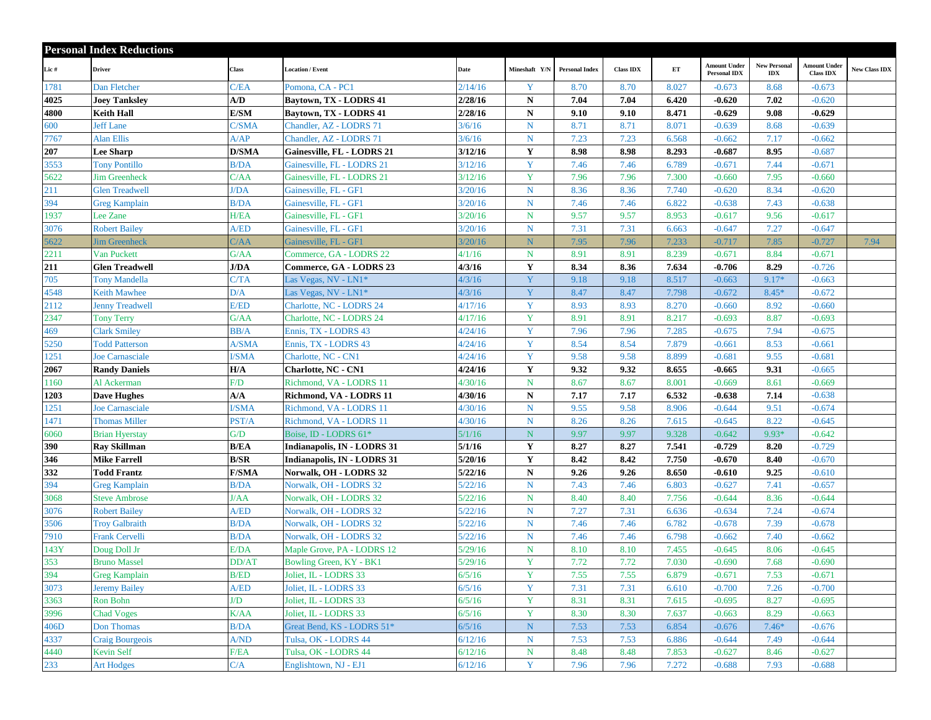|              | <b>Personal Index Reductions</b>             |                      |                                                  |                    |                            |                       |                  |                |                                            |                                   |                                         |                      |
|--------------|----------------------------------------------|----------------------|--------------------------------------------------|--------------------|----------------------------|-----------------------|------------------|----------------|--------------------------------------------|-----------------------------------|-----------------------------------------|----------------------|
| Lic #        | <b>Driver</b>                                | Class                | <b>Location / Event</b>                          | Date               | Mineshaft Y/N              | <b>Personal Index</b> | <b>Class IDX</b> | ET             | <b>Amount Under</b><br><b>Personal IDX</b> | <b>New Personal</b><br><b>IDX</b> | <b>Amount Under</b><br><b>Class IDX</b> | <b>New Class IDX</b> |
| 1781         | Dan Fletcher                                 | C/EA                 | Pomona, CA - PC1                                 | 2/14/16            | Y                          | 8.70                  | 8.70             | 8.027          | $-0.673$                                   | 8.68                              | $-0.673$                                |                      |
| 4025         | <b>Joey Tanksley</b>                         | A/D                  | Baytown, TX - LODRS 41                           | 2/28/16            | N                          | 7.04                  | 7.04             | 6.420          | $-0.620$                                   | 7.02                              | $-0.620$                                |                      |
| 4800         | Keith Hall                                   | E/SM                 | Baytown, TX - LODRS 41                           | 2/28/16            | ${\bf N}$                  | 9.10                  | 9.10             | 8.471          | $-0.629$                                   | 9.08                              | $-0.629$                                |                      |
| 600          | <b>Jeff Lane</b>                             | C/SMA                | Chandler, AZ - LODRS 71                          | 3/6/16             | $\mathbf N$                | 8.71                  | 8.71             | 8.071          | $-0.639$                                   | 8.68                              | $-0.639$                                |                      |
| 7767         | <b>Alan Ellis</b>                            | A/AP                 | Chandler, AZ - LODRS 71                          | 3/6/16             | N                          | 7.23                  | 7.23             | 6.568          | $-0.662$                                   | 7.17                              | $-0.662$                                |                      |
| 207          | <b>Lee Sharp</b>                             | <b>D/SMA</b>         | Gainesville, FL - LODRS 21                       | 3/12/16            | Y                          | 8.98                  | 8.98             | 8.293          | $-0.687$                                   | 8.95                              | $-0.687$                                |                      |
| 3553         | <b>Tony Pontillo</b>                         | B/DA                 | Gainesville, FL - LODRS 21                       | 3/12/16            | Y                          | 7.46                  | 7.46             | 6.789          | $-0.671$                                   | 7.44                              | $-0.671$                                |                      |
| 5622         | <b>Jim Greenheck</b>                         | C/AA                 | Gainesville, FL - LODRS 21                       | 3/12/16            | Y                          | 7.96                  | 7.96             | 7.300          | $-0.660$                                   | 7.95                              | $-0.660$                                |                      |
| 211          | <b>Glen Treadwell</b>                        | I/DA                 | Gainesville, FL - GF1                            | 3/20/16            | ${\bf N}$                  | 8.36                  | 8.36             | 7.740          | $-0.620$                                   | 8.34                              | $-0.620$                                |                      |
| 394          | <b>Greg Kamplain</b>                         | B/DA                 | Gainesville, FL - GF1                            | 3/20/16            | $\mathbf N$                | 7.46                  | 7.46             | 6.822          | $-0.638$                                   | 7.43                              | $-0.638$                                |                      |
| 1937         | Lee Zane                                     | H/EA                 | Gainesville, FL - GF1                            | 3/20/16            | $\mathbf N$                | 9.57                  | 9.57             | 8.953          | $-0.617$                                   | 9.56                              | $-0.617$                                |                      |
| 3076         | <b>Robert Bailey</b>                         | A/ED                 | Gainesville, FL - GF1                            | 3/20/16            | $\mathbf N$                | 7.31                  | 7.31             | 6.663          | $-0.647$                                   | 7.27                              | $-0.647$                                |                      |
| 5622         | <b>Jim Greenheck</b>                         | C/AA                 | Gainesville, FL - GF1                            | 3/20/16            | N.                         | 7.95                  | 7.96             | 7.233          | $-0.717$                                   | 7.85                              | $-0.727$                                | 7.94                 |
| 2211         | Van Puckett                                  | G/AA                 | Commerce, GA - LODRS 22                          | 4/1/16             | $\mathbf N$                | 8.91                  | 8.91             | 8.239          | $-0.671$                                   | 8.84                              | $-0.671$                                |                      |
| 211          | <b>Glen Treadwell</b>                        | J/DA                 | Commerce, GA - LODRS 23                          | 4/3/16             | $\mathbf Y$                | 8.34                  | 8.36             | 7.634          | $-0.706$                                   | 8.29                              | $-0.726$                                |                      |
| 705          | <b>Tony Mandella</b>                         | C/TA                 | Las Vegas, NV - LN1*                             | 4/3/16             | Y                          | 9.18                  | 9.18             | 8.517          | $-0.663$                                   | $9.17*$                           | $-0.663$                                |                      |
| 4548         | <b>Keith Mawhee</b>                          | D/A                  | Las Vegas, NV - LN1 <sup>*</sup>                 | 4/3/16             | Y                          | 8.47                  | 8.47             | 7.798          | $-0.672$                                   | $8.45*$                           | $-0.672$                                |                      |
| 2112         | <b>Jenny Treadwell</b>                       | E/ED                 | Charlotte, NC - LODRS 24                         | 4/17/16            | Y                          | 8.93                  | 8.93             | 8.270          | $-0.660$                                   | 8.92                              | $-0.660$                                |                      |
| 2347         | <b>Tony Terry</b>                            | G/AA                 | Charlotte, NC - LODRS 24                         | 4/17/16            | Y                          | 8.91                  | 8.91             | 8.217          | $-0.693$                                   | 8.87                              | $-0.693$                                |                      |
| 469          | <b>Clark Smiley</b>                          | BB/A                 | Ennis, TX - LODRS 43                             | 4/24/16            | Y                          | 7.96                  | 7.96             | 7.285          | $-0.675$                                   | 7.94                              | $-0.675$                                |                      |
| 5250         | <b>Todd Patterson</b>                        | A/SMA                | Ennis, TX - LODRS 43                             | 4/24/16            | Y                          | 8.54                  | 8.54             | 7.879          | $-0.661$                                   | 8.53                              | $-0.661$                                |                      |
| 1251         | <b>Joe Carnasciale</b>                       | <b>SMA</b>           | Charlotte, NC - CN1                              | 4/24/16            | Y                          | 9.58                  | 9.58             | 8.899          | $-0.681$                                   | 9.55                              | $-0.681$                                |                      |
| 2067         | <b>Randy Daniels</b>                         | H/A                  | <b>Charlotte, NC - CN1</b>                       | 4/24/16            | $\mathbf Y$                | 9.32                  | 9.32             | 8.655          | $-0.665$                                   | 9.31                              | $-0.665$                                |                      |
| 1160         | Al Ackerman                                  | F/D                  | Richmond, VA - LODRS 11                          | 4/30/16            | $\mathbf N$                | 8.67                  | 8.67             | 8.001          | $-0.669$                                   | 8.61                              | $-0.669$                                |                      |
| 1203         | <b>Dave Hughes</b>                           | A/A                  | Richmond, VA - LODRS 11                          | 4/30/16            | ${\bf N}$                  | 7.17                  | 7.17             | 6.532          | $-0.638$                                   | 7.14                              | $-0.638$                                |                      |
| 1251         | Joe Carnasciale                              | <b>SMA</b>           | Richmond, VA - LODRS 11                          | 4/30/16            | ${\bf N}$                  | 9.55                  | 9.58             | 8.906          | $-0.644$                                   | 9.51                              | $-0.674$                                |                      |
| 1471         | <b>Thomas Miller</b>                         | PST/A                | Richmond, VA - LODRS 11                          | 4/30/16            | $\mathbf N$                | 8.26                  | 8.26             | 7.615          | $-0.645$                                   | 8.22                              | $-0.645$                                |                      |
| 6060         | <b>Brian Hyerstay</b>                        | G/D                  | Boise, ID - LODRS 61*                            | 5/1/16             | ${\bf N}$                  | 9.97                  | 9.97             | 9.328          | $-0.642$                                   | $9.93*$                           | $-0.642$                                |                      |
| 390          | <b>Ray Skillman</b>                          | <b>B/EA</b>          | Indianapolis, IN - LODRS 31                      | 5/1/16             | Y                          | 8.27                  | 8.27             | 7.541          | $-0.729$                                   | 8.20                              | $-0.729$                                |                      |
| 346          | <b>Mike Farrell</b>                          | B/SR                 | Indianapolis, IN - LODRS 31                      | 5/20/16            | Y                          | 8.42                  | 8.42             | 7.750          | $-0.670$                                   | 8.40                              | $-0.670$                                |                      |
| 332          | <b>Todd Frantz</b>                           | <b>F/SMA</b>         | Norwalk, OH - LODRS 32                           | 5/22/16            | ${\bf N}$                  | 9.26                  | 9.26             | 8.650          | $-0.610$                                   | 9.25                              | $-0.610$                                |                      |
| 394          | <b>Greg Kamplain</b>                         | B/DA                 | Norwalk, OH - LODRS 32                           | 5/22/16            | N                          | 7.43                  | 7.46             | 6.803          | $-0.627$                                   | 7.41                              | $-0.657$                                |                      |
| 3068         | <b>Steve Ambrose</b>                         | I/AA                 | Norwalk, OH - LODRS 32                           | 5/22/16            | $\mathbf N$                | 8.40                  | 8.40             | 7.756          | $-0.644$                                   | 8.36                              | $-0.644$                                |                      |
| 3076         | <b>Robert Bailey</b>                         | A/ED                 | Norwalk, OH - LODRS 32                           | 5/22/16            | $\mathbf N$                | 7.27                  | 7.31             | 6.636          | $-0.634$                                   | 7.24                              | $-0.674$                                |                      |
| 3506         | <b>Troy Galbraith</b>                        | B/DA                 | Norwalk, OH - LODRS 32                           | 5/22/16            | $\mathbf N$                | 7.46                  | 7.46             | 6.782<br>6.798 | $-0.678$                                   | 7.39                              | $-0.678$                                |                      |
| 7910         | <b>Frank Cervelli</b>                        | B/DA                 | Norwalk, OH - LODRS 32                           | 5/22/16            | $\mathbf N$<br>$\mathbf N$ | 7.46<br>8.10          | 7.46             |                | $-0.662$                                   | 7.40                              | $-0.662$<br>$-0.645$                    |                      |
| 143Y<br>353  | Doug Doll Jr<br><b>Bruno Massel</b>          | E/DA<br><b>DD/AT</b> | Maple Grove, PA - LODRS 12                       | 5/29/16<br>5/29/16 | Y                          | 7.72                  | 8.10<br>7.72     | 7.455<br>7.030 | $-0.645$<br>$-0.690$                       | 8.06<br>7.68                      | $-0.690$                                |                      |
| 394          |                                              | B/ED                 | Bowling Green, KY - BK1<br>Joliet, IL - LODRS 33 | 6/5/16             | Y                          |                       | 7.55             | 6.879          | $-0.671$                                   | 7.53                              | $-0.671$                                |                      |
| 3073         | <b>Greg Kamplain</b><br><b>Jeremy Bailey</b> | A/ED                 | Joliet, IL - LODRS 33                            | 6/5/16             | Y                          | 7.55<br>7.31          | 7.31             | 6.610          | $-0.700$                                   | 7.26                              | $-0.700$                                |                      |
|              | Ron Bohn                                     | J/D                  | Joliet, IL - LODRS 33                            |                    | Y                          |                       |                  |                |                                            | 8.27                              | $-0.695$                                |                      |
| 3363<br>3996 | <b>Chad Voges</b>                            | K/AA                 | Joliet, IL - LODRS 33                            | 6/5/16<br>6/5/16   | Y                          | 8.31<br>8.30          | 8.31<br>8.30     | 7.615<br>7.637 | $-0.695$<br>$-0.663$                       | 8.29                              | $-0.663$                                |                      |
| 406D         | Don Thomas                                   | <b>B/DA</b>          | Great Bend, KS - LODRS 51*                       | 6/5/16             | ${\bf N}$                  | 7.53                  | 7.53             | 6.854          | $-0.676$                                   | $7.46*$                           | $-0.676$                                |                      |
| 4337         | <b>Craig Bourgeois</b>                       | A/ND                 | Tulsa, OK - LODRS 44                             | 6/12/16            | $\mathbf N$                | 7.53                  | 7.53             | 6.886          | $-0.644$                                   | 7.49                              | $-0.644$                                |                      |
| 4440         | Kevin Self                                   | F/EA                 | Tulsa, OK - LODRS 44                             | 6/12/16            | $\mathbf N$                | 8.48                  | 8.48             | 7.853          | $-0.627$                                   | 8.46                              | $-0.627$                                |                      |
| 233          | <b>Art Hodges</b>                            | C/A                  | Englishtown, NJ - EJ1                            | 6/12/16            | Y                          | 7.96                  | 7.96             | 7.272          | $-0.688$                                   | 7.93                              | $-0.688$                                |                      |
|              |                                              |                      |                                                  |                    |                            |                       |                  |                |                                            |                                   |                                         |                      |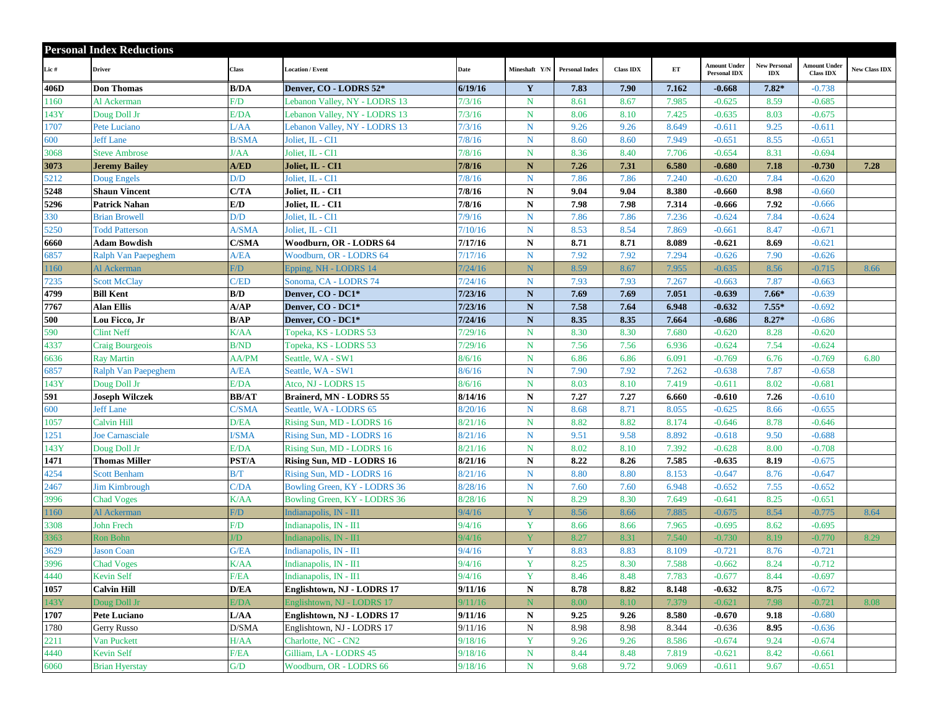|      | <b>Personal Index Reductions</b> |                |                               |                   |                         |                       |                  |       |                                            |                                   |                                  |                      |
|------|----------------------------------|----------------|-------------------------------|-------------------|-------------------------|-----------------------|------------------|-------|--------------------------------------------|-----------------------------------|----------------------------------|----------------------|
| Lic# | <b>Driver</b>                    | Class          | <b>Location / Event</b>       | Date              | Mineshaft Y/N           | <b>Personal Index</b> | <b>Class IDX</b> | ET    | <b>Amount Under</b><br><b>Personal IDX</b> | <b>New Personal</b><br><b>IDX</b> | Amount Under<br><b>Class IDX</b> | <b>New Class IDX</b> |
| 406D | <b>Don Thomas</b>                | <b>B/DA</b>    | Denver, CO - LODRS 52*        | 6/19/16           | $\mathbf Y$             | 7.83                  | 7.90             | 7.162 | $-0.668$                                   | $7.82*$                           | $-0.738$                         |                      |
| 1160 | Al Ackerman                      | F/D            | Lebanon Valley, NY - LODRS 13 | 7/3/16            | $\mathbf N$             | 8.61                  | 8.67             | 7.985 | $-0.625$                                   | 8.59                              | $-0.685$                         |                      |
| 143Y | Doug Doll Jr                     | E/DA           | Lebanon Valley, NY - LODRS 13 | 7/3/16            | $\mathbf N$             | 8.06                  | 8.10             | 7.425 | $-0.635$                                   | 8.03                              | $-0.675$                         |                      |
| 1707 | Pete Luciano                     | L/AA           | Lebanon Valley, NY - LODRS 13 | 7/3/16            | N                       | 9.26                  | 9.26             | 8.649 | $-0.611$                                   | 9.25                              | $-0.611$                         |                      |
| 600  | <b>Jeff Lane</b>                 | <b>B/SMA</b>   | Joliet, IL - CI1              | 7/8/16            | ${\bf N}$               | 8.60                  | 8.60             | 7.949 | $-0.651$                                   | 8.55                              | $-0.651$                         |                      |
| 3068 | <b>Steve Ambrose</b>             | l/AA           | Joliet, IL - CI1              | 7/8/16            | $\mathbf N$             | 8.36                  | 8.40             | 7.706 | $-0.654$                                   | 8.31                              | $-0.694$                         |                      |
| 3073 | <b>Jeremy Bailey</b>             | A/ED           | Joliet, IL - CI1              | 7/8/16            | ${\bf N}$               | 7.26                  | 7.31             | 6.580 | $-0.680$                                   | 7.18                              | $-0.730$                         | 7.28                 |
| 5212 | Doug Engels                      | D/D            | Joliet, IL - CI1              | 7/8/16            | ${\bf N}$               | 7.86                  | 7.86             | 7.240 | $-0.620$                                   | 7.84                              | $-0.620$                         |                      |
| 5248 | <b>Shaun Vincent</b>             | C/TA           | Joliet, IL - CI1              | 7/8/16            | ${\bf N}$               | 9.04                  | 9.04             | 8.380 | $-0.660$                                   | 8.98                              | $-0.660$                         |                      |
| 5296 | Patrick Nahan                    | E/D            | Joliet, IL - CI1              | 7/8/16            | ${\bf N}$               | 7.98                  | 7.98             | 7.314 | $-0.666$                                   | 7.92                              | $-0.666$                         |                      |
| 330  | <b>Brian Browell</b>             | D/D            | Joliet, IL - CI1              | 7/9/16            | ${\bf N}$               | 7.86                  | 7.86             | 7.236 | $-0.624$                                   | 7.84                              | $-0.624$                         |                      |
| 5250 | <b>Todd Patterson</b>            | A/SMA          | Joliet, IL - CI1              | 7/10/16           | $\mathbf N$             | 8.53                  | 8.54             | 7.869 | $-0.661$                                   | 8.47                              | $-0.671$                         |                      |
| 6660 | Adam Bowdish                     | C/SMA          | Woodburn, OR - LODRS 64       | 7/17/16           | $\mathbf N$             | 8.71                  | 8.71             | 8.089 | $-0.621$                                   | 8.69                              | $-0.621$                         |                      |
| 6857 | Ralph Van Paepeghem              | A/EA           | Woodburn, OR - LODRS 64       | 7/17/16           | ${\bf N}$               | 7.92                  | 7.92             | 7.294 | $-0.626$                                   | 7.90                              | $-0.626$                         |                      |
| 1160 | Al Ackerman                      | $\overline{f}$ | Epping, NH - LODRS 14         | $\frac{7}{24/16}$ | N                       | 8.59                  | 8.67             | 7.955 | $-0.635$                                   | 8.56                              | $-0.715$                         | 8.66                 |
| 7235 | <b>Scott McClay</b>              | C/ED           | Sonoma, CA - LODRS 74         | 7/24/16           | $\mathbf N$             | 7.93                  | 7.93             | 7.267 | $-0.663$                                   | 7.87                              | $-0.663$                         |                      |
| 4799 | <b>Bill Kent</b>                 | B/D            | Denver, CO - DC1*             | 7/23/16           | ${\bf N}$               | 7.69                  | 7.69             | 7.051 | $-0.639$                                   | $7.66*$                           | $-0.639$                         |                      |
| 7767 | Alan Ellis                       | A/AP           | Denver, CO - DC1*             | 7/23/16           | ${\bf N}$               | 7.58                  | 7.64             | 6.948 | $-0.632$                                   | $7.55*$                           | $-0.692$                         |                      |
| 500  | Lou Ficco, Jr                    | B/AP           | Denver, CO - DC1*             | 7/24/16           | ${\bf N}$               | 8.35                  | 8.35             | 7.664 | $-0.686$                                   | $8.27*$                           | $-0.686$                         |                      |
| 590  | <b>Clint Neff</b>                | K/AA           | Topeka, KS - LODRS 53         | 7/29/16           | $N_{\odot}$             | 8.30                  | 8.30             | 7.680 | $-0.620$                                   | 8.28                              | $-0.620$                         |                      |
| 4337 | Craig Bourgeois                  | B/ND           | Topeka, KS - LODRS 53         | 7/29/16           | $\mathbf N$             | 7.56                  | 7.56             | 6.936 | $-0.624$                                   | 7.54                              | $-0.624$                         |                      |
| 6636 | <b>Ray Martin</b>                | AA/PM          | Seattle, WA - SW1             | 3/6/16            | ${\bf N}$               | 6.86                  | 6.86             | 6.091 | $-0.769$                                   | 6.76                              | $-0.769$                         | 6.80                 |
| 6857 | Ralph Van Paepeghem              | A/EA           | Seattle, WA - SW1             | 3/6/16            | $\mathbf N$             | 7.90                  | 7.92             | 7.262 | $-0.638$                                   | 7.87                              | $-0.658$                         |                      |
| 143Y | Doug Doll Jr                     | E/DA           | Atco, NJ - LODRS 15           | 8/6/16            | N                       | 8.03                  | 8.10             | 7.419 | $-0.611$                                   | 8.02                              | $-0.681$                         |                      |
| 591  | <b>Joseph Wilczek</b>            | <b>BB/AT</b>   | Brainerd, MN - LODRS 55       | 8/14/16           | ${\bf N}$               | 7.27                  | 7.27             | 6.660 | $-0.610$                                   | 7.26                              | $-0.610$                         |                      |
| 600  | <b>Jeff Lane</b>                 | C/SMA          | Seattle, WA - LODRS 65        | 3/20/16           | $N_{\odot}$             | 8.68                  | 8.71             | 8.055 | $-0.625$                                   | 8.66                              | $-0.655$                         |                      |
| 1057 | Calvin Hill                      | D/EA           | Rising Sun, MD - LODRS 16     | 3/21/16           | $\mathbf N$             | 8.82                  | 8.82             | 8.174 | $-0.646$                                   | 8.78                              | $-0.646$                         |                      |
| 1251 | Joe Carnasciale                  | <b>SMA</b>     | Rising Sun, MD - LODRS 16     | 8/21/16           | ${\bf N}$               | 9.51                  | 9.58             | 8.892 | $-0.618$                                   | 9.50                              | $-0.688$                         |                      |
| 143Y | Doug Doll Jr                     | E/DA           | Rising Sun, MD - LODRS 16     | 8/21/16           | $\mathbf N$             | 8.02                  | 8.10             | 7.392 | $-0.628$                                   | 8.00                              | $-0.708$                         |                      |
| 1471 | <b>Thomas Miller</b>             | PST/A          | Rising Sun, MD - LODRS 16     | 8/21/16           | ${\bf N}$               | 8.22                  | 8.26             | 7.585 | $-0.635$                                   | 8.19                              | $-0.675$                         |                      |
| 4254 | <b>Scott Benham</b>              | B/T            | Rising Sun, MD - LODRS 16     | 8/21/16           | $\mathbf N$             | 8.80                  | 8.80             | 8.153 | $-0.647$                                   | 8.76                              | $-0.647$                         |                      |
| 2467 | <b>Jim Kimbrough</b>             | C/DA           | Bowling Green, KY - LODRS 36  | 8/28/16           | $N_{\odot}$             | 7.60                  | 7.60             | 6.948 | $-0.652$                                   | 7.55                              | $-0.652$                         |                      |
| 3996 | <b>Chad Voges</b>                | K/AA           | Bowling Green, KY - LODRS 36  | 3/28/16           | $\mathbf N$             | 8.29                  | 8.30             | 7.649 | $-0.641$                                   | 8.25                              | $-0.651$                         |                      |
| 1160 | Al Ackerman                      | $\sqrt{D}$     | Indianapolis, IN - II1        | 9/4/16            | $\overline{\mathbf{Y}}$ | 8.56                  | 8.66             | 7.885 | $-0.675$                                   | 8.54                              | $-0.775$                         | 8.64                 |
| 3308 | <b>John Frech</b>                | F/D            | Indianapolis, IN - II1        | 9/4/16            | Y                       | 8.66                  | 8.66             | 7.965 | $-0.695$                                   | 8.62                              | $-0.695$                         |                      |
| 3363 | Ron Bohn                         | $\sqrt{D}$     | Indianapolis, IN - II1        | 9/4/16            | $\overline{\mathbf{V}}$ | 8.27                  | 8.31             | 7.540 | $-0.730$                                   | 8.19                              | $-0.770$                         | 8.29                 |
| 3629 | <b>Jason Coan</b>                | G/EA           | Indianapolis, IN - II1        | 9/4/16            | Y                       | 8.83                  | 8.83             | 8.109 | $-0.721$                                   | 8.76                              | $-0.721$                         |                      |
| 3996 | <b>Chad Voges</b>                | K/AA           | Indianapolis, IN - II1        | 9/4/16            | Y                       | 8.25                  | 8.30             | 7.588 | $-0.662$                                   | 8.24                              | $-0.712$                         |                      |
| 4440 | Kevin Self                       | F/EA           | Indianapolis, IN - II1        | 9/4/16            | Y                       | 8.46                  | 8.48             | 7.783 | $-0.677$                                   | 8.44                              | $-0.697$                         |                      |
| 1057 | <b>Calvin Hill</b>               | D/EA           | Englishtown, NJ - LODRS 17    | 9/11/16           | ${\bf N}$               | 8.78                  | 8.82             | 8.148 | $-0.632$                                   | 8.75                              | $-0.672$                         |                      |
| 143Y | Doug Doll Jr                     | E/DA           | Englishtown, NJ - LODRS 17    | 9/11/16           | ${\bf N}$               | 8.00                  | 8.10             | 7.379 | $-0.621$                                   | 7.98                              | $-0.721$                         | 8.08                 |
| 1707 | <b>Pete Luciano</b>              | L/AA           | Englishtown, NJ - LODRS 17    | 9/11/16           | $\mathbf N$             | 9.25                  | 9.26             | 8.580 | $-0.670$                                   | 9.18                              | $-0.680$                         |                      |
| 1780 | Gerry Russo                      | D/SMA          | Englishtown, NJ - LODRS 17    | 9/11/16           | $\mathbf N$             | 8.98                  | 8.98             | 8.344 | $-0.636$                                   | 8.95                              | $-0.636$                         |                      |
| 2211 | Van Puckett                      | H/AA           | Charlotte, NC - CN2           | 9/18/16           | Y                       | 9.26                  | 9.26             | 8.586 | $-0.674$                                   | 9.24                              | $-0.674$                         |                      |
| 4440 | Kevin Self                       | F/EA           | Gilliam, LA - LODRS 45        | 9/18/16           | $\mathbf N$             | 8.44                  | 8.48             | 7.819 | $-0.621$                                   | 8.42                              | $-0.661$                         |                      |
| 6060 | <b>Brian Hyerstay</b>            | G/D            | Woodburn, OR - LODRS 66       | 9/18/16           | $\mathbf N$             | 9.68                  | 9.72             | 9.069 | $-0.611$                                   | 9.67                              | $-0.651$                         |                      |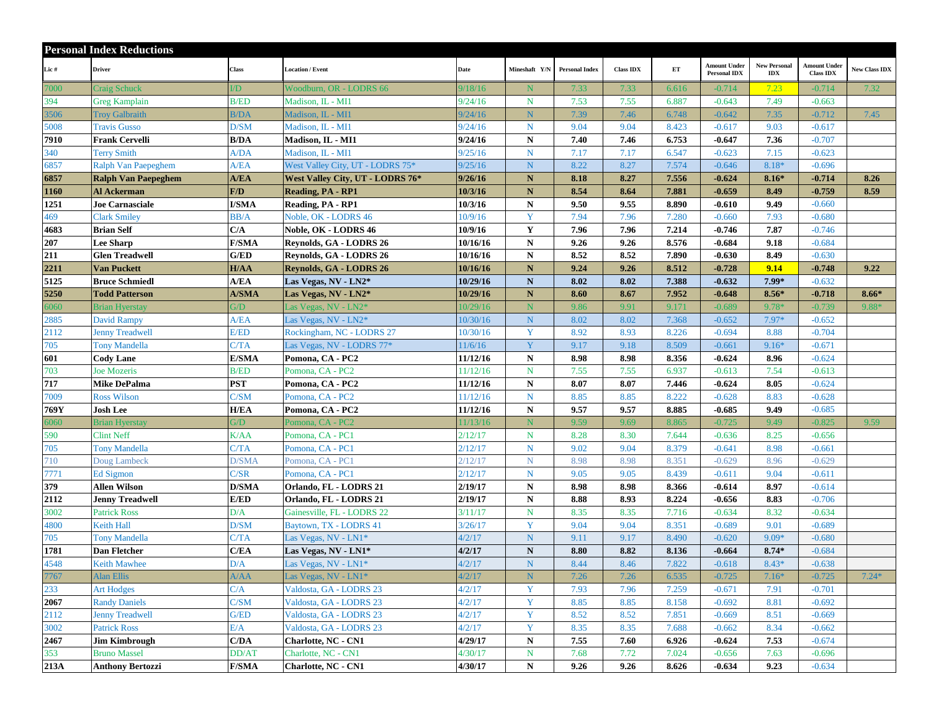|      | <b>Personal Index Reductions</b> |              |                                  |          |               |                       |                  |       |                                            |                                   |                                  |                      |
|------|----------------------------------|--------------|----------------------------------|----------|---------------|-----------------------|------------------|-------|--------------------------------------------|-----------------------------------|----------------------------------|----------------------|
| Lic# | <b>Driver</b>                    | Class        | <b>Location / Event</b>          | Date     | Mineshaft Y/N | <b>Personal Index</b> | <b>Class IDX</b> | ET    | <b>Amount Under</b><br><b>Personal IDX</b> | <b>New Personal</b><br><b>IDX</b> | Amount Under<br><b>Class IDX</b> | <b>New Class IDX</b> |
| 7000 | <b>Craig Schuck</b>              | $\sqrt{D}$   | Woodburn, OR - LODRS 66          | 9/18/16  | N             | 7.33                  | 7.33             | 6.616 | $-0.714$                                   | 7.23                              | $-0.714$                         | 7.32                 |
| 394  | Greg Kamplain                    | <b>B/ED</b>  | Madison, IL - MI1                | 9/24/16  | $\mathbf N$   | 7.53                  | 7.55             | 6.887 | $-0.643$                                   | 7.49                              | $-0.663$                         |                      |
| 3506 | <b>Troy Galbraith</b>            | B/DA         | Madison, IL - MI1                | 9/24/16  | N             | 7.39                  | 7.46             | 6.748 | $-0.642$                                   | 7.35                              | $-0.712$                         | 7.45                 |
| 5008 | <b>Travis Gusso</b>              | D/SM         | Madison, IL - MI1                | 9/24/16  | N             | 9.04                  | 9.04             | 8.423 | $-0.617$                                   | 9.03                              | $-0.617$                         |                      |
| 7910 | <b>Frank Cervelli</b>            | <b>B/DA</b>  | Madison, IL - MI1                | 9/24/16  | ${\bf N}$     | 7.40                  | 7.46             | 6.753 | $-0.647$                                   | 7.36                              | $-0.707$                         |                      |
| 340  | <b>Terry Smith</b>               | A/DA         | Madison, IL - MI1                | 9/25/16  | $\mathbf N$   | 7.17                  | 7.17             | 6.547 | $-0.623$                                   | 7.15                              | $-0.623$                         |                      |
| 6857 | Ralph Van Paepeghem              | A/EA         | West Valley City, UT - LODRS 75* | 9/25/16  | N             | 8.22                  | 8.27             | 7.574 | $-0.646$                                   | 8.18*                             | $-0.696$                         |                      |
| 6857 | <b>Ralph Van Paepeghem</b>       | A/EA         | West Valley City, UT - LODRS 76* | 9/26/16  | ${\bf N}$     | 8.18                  | 8.27             | 7.556 | $-0.624$                                   | $8.16*$                           | $-0.714$                         | 8.26                 |
| 1160 | Al Ackerman                      | F/D          | <b>Reading, PA - RP1</b>         | 10/3/16  | $\mathbf N$   | 8.54                  | 8.64             | 7.881 | $-0.659$                                   | 8.49                              | $-0.759$                         | 8.59                 |
| 1251 | <b>Joe Carnasciale</b>           | <b>I/SMA</b> | Reading, PA - RP1                | 10/3/16  | ${\bf N}$     | 9.50                  | 9.55             | 8.890 | $-0.610$                                   | 9.49                              | $-0.660$                         |                      |
| 469  | <b>Clark Smiley</b>              | BB/A         | Noble, OK - LODRS 46             | 10/9/16  | Y             | 7.94                  | 7.96             | 7.280 | $-0.660$                                   | 7.93                              | $-0.680$                         |                      |
| 4683 | <b>Brian Self</b>                | C/A          | Noble, OK - LODRS 46             | 10/9/16  | $\mathbf Y$   | 7.96                  | 7.96             | 7.214 | $-0.746$                                   | 7.87                              | $-0.746$                         |                      |
| 207  | <b>Lee Sharp</b>                 | <b>F/SMA</b> | Reynolds, GA - LODRS 26          | 10/16/16 | $\mathbf N$   | 9.26                  | 9.26             | 8.576 | $-0.684$                                   | 9.18                              | $-0.684$                         |                      |
| 211  | <b>Glen Treadwell</b>            | G/ED         | Reynolds, GA - LODRS 26          | 10/16/16 | N             | 8.52                  | 8.52             | 7.890 | $-0.630$                                   | 8.49                              | $-0.630$                         |                      |
| 2211 | <b>Van Puckett</b>               | H/AA         | <b>Reynolds, GA - LODRS 26</b>   | 10/16/16 | N.            | 9.24                  | 9.26             | 8.512 | $-0.728$                                   | 9.14                              | $-0.748$                         | 9.22                 |
| 5125 | <b>Bruce Schmiedl</b>            | A/EA         | Las Vegas, NV - LN2*             | 10/29/16 | $\mathbf N$   | 8.02                  | 8.02             | 7.388 | $-0.632$                                   | 7.99*                             | $-0.632$                         |                      |
| 5250 | <b>Todd Patterson</b>            | <b>A/SMA</b> | Las Vegas, NV - LN2*             | 10/29/16 | ${\bf N}$     | 8.60                  | 8.67             | 7.952 | $-0.648$                                   | $8.56*$                           | $-0.718$                         | 8.66*                |
| 6060 | <b>Brian Hyerstay</b>            | G/D          | Las Vegas, NV - LN2*             | 10/29/16 | N             | 9.86                  | 9.91             | 9.171 | $-0.689$                                   | 9.78*                             | $-0.739$                         | 9.88*                |
| 2885 | <b>David Rampy</b>               | A/EA         | Las Vegas, NV - LN2*             | 10/30/16 | N             | 8.02                  | 8.02             | 7.368 | $-0.652$                                   | 7.97*                             | $-0.652$                         |                      |
| 2112 | <b>Jenny Treadwell</b>           | <b>E/ED</b>  | Rockingham, NC - LODRS 27        | 10/30/16 | Y             | 8.92                  | 8.93             | 8.226 | $-0.694$                                   | 8.88                              | $-0.704$                         |                      |
| 705  | <b>Tony Mandella</b>             | C/TA         | Las Vegas, NV - LODRS 77*        | 11/6/16  | Y             | 9.17                  | 9.18             | 8.509 | $-0.661$                                   | $9.16*$                           | $-0.671$                         |                      |
| 601  | <b>Cody Lane</b>                 | E/SMA        | Pomona, CA - PC2                 | 11/12/16 | N             | 8.98                  | 8.98             | 8.356 | $-0.624$                                   | 8.96                              | $-0.624$                         |                      |
| 703  | <b>Joe Mozeris</b>               | <b>B/ED</b>  | Pomona, CA - PC2                 | 11/12/16 | $\mathbf N$   | 7.55                  | 7.55             | 6.937 | $-0.613$                                   | 7.54                              | $-0.613$                         |                      |
| 717  | <b>Mike DePalma</b>              | <b>PST</b>   | Pomona, CA - PC2                 | 11/12/16 | ${\bf N}$     | 8.07                  | 8.07             | 7.446 | $-0.624$                                   | 8.05                              | $-0.624$                         |                      |
| 7009 | <b>Ross Wilson</b>               | C/SM         | Pomona, CA - PC2                 | 11/12/16 | $\mathbf N$   | 8.85                  | 8.85             | 8.222 | $-0.628$                                   | 8.83                              | $-0.628$                         |                      |
| 769Y | <b>Josh Lee</b>                  | <b>H/EA</b>  | Pomona, CA - PC2                 | 11/12/16 | N             | 9.57                  | 9.57             | 8.885 | $-0.685$                                   | 9.49                              | $-0.685$                         |                      |
| 6060 | Brian Hyerstay                   | G/D          | Pomona, CA - PC2                 | 11/13/16 | N             | 9.59                  | 9.69             | 8.865 | $-0.725$                                   | 9.49                              | $-0.825$                         | 9.59                 |
| 590  | <b>Clint Neff</b>                | K/AA         | Pomona, CA - PC1                 | 2/12/17  | $\mathbf N$   | 8.28                  | 8.30             | 7.644 | $-0.636$                                   | 8.25                              | $-0.656$                         |                      |
| 705  | <b>Tony Mandella</b>             | C/TA         | Pomona, CA - PC1                 | 2/12/17  | $\mathbf N$   | 9.02                  | 9.04             | 8.379 | $-0.641$                                   | 8.98                              | $-0.661$                         |                      |
| 710  | Doug Lambeck                     | D/SMA        | Pomona, CA - PC1                 | 2/12/17  | ${\bf N}$     | 8.98                  | 8.98             | 8.351 | $-0.629$                                   | 8.96                              | $-0.629$                         |                      |
| 7771 | <b>Ed Sigmon</b>                 | C/SR         | Pomona, CA - PC1                 | 2/12/17  | $\mathbf N$   | 9.05                  | 9.05             | 8.439 | $-0.611$                                   | 9.04                              | $-0.611$                         |                      |
| 379  | Allen Wilson                     | <b>D/SMA</b> | Orlando, FL - LODRS 21           | 2/19/17  | ${\bf N}$     | 8.98                  | 8.98             | 8.366 | $-0.614$                                   | 8.97                              | $-0.614$                         |                      |
| 2112 | <b>Jenny Treadwell</b>           | E/ED         | Orlando, FL - LODRS 21           | 2/19/17  | N             | 8.88                  | 8.93             | 8.224 | $-0.656$                                   | 8.83                              | $-0.706$                         |                      |
| 3002 | <b>Patrick Ross</b>              | D/A          | Gainesville, FL - LODRS 22       | 3/11/17  | $\mathbf N$   | 8.35                  | 8.35             | 7.716 | $-0.634$                                   | 8.32                              | $-0.634$                         |                      |
| 4800 | <b>Keith Hall</b>                | D/SM         | Baytown, TX - LODRS 41           | 3/26/17  | Y             | 9.04                  | 9.04             | 8.351 | $-0.689$                                   | 9.01                              | $-0.689$                         |                      |
| 705  | <b>Tony Mandella</b>             | C/TA         | Las Vegas, NV - LN1*             | 1/2/17   | N             | 9.11                  | 9.17             | 8.490 | $-0.620$                                   | $9.09*$                           | $-0.680$                         |                      |
| 1781 | <b>Dan Fletcher</b>              | C/EA         | Las Vegas, NV - LN1*             | 4/2/17   | N             | 8.80                  | 8.82             | 8.136 | $-0.664$                                   | $8.74*$                           | $-0.684$                         |                      |
| 4548 | <b>Keith Mawhee</b>              | D/A          | Las Vegas, NV - LN1 <sup>*</sup> | 4/2/17   | N             | 8.44                  | 8.46             | 7.822 | $-0.618$                                   | $8.43*$                           | $-0.638$                         |                      |
| 7767 | <b>Alan Ellis</b>                | A/AA         | Las Vegas, NV - LN1*             | 4/2/17   | N             | 7.26                  | 7.26             | 6.535 | $-0.725$                                   | $7.16*$                           | $-0.725$                         | $7.24*$              |
| 233  | <b>Art Hodges</b>                | C/A          | Valdosta, GA - LODRS 23          | 4/2/17   | Y             | 7.93                  | 7.96             | 7.259 | $-0.671$                                   | 7.91                              | $-0.701$                         |                      |
| 2067 | <b>Randy Daniels</b>             | C/SM         | Valdosta, GA - LODRS 23          | 4/2/17   | $\mathbf Y$   | 8.85                  | 8.85             | 8.158 | $-0.692$                                   | 8.81                              | $-0.692$                         |                      |
| 2112 | <b>Jenny Treadwell</b>           | G/ED         | Valdosta, GA - LODRS 23          | 4/2/17   | Y             | 8.52                  | 8.52             | 7.851 | $-0.669$                                   | 8.51                              | $-0.669$                         |                      |
| 3002 | <b>Patrick Ross</b>              | E/A          | Valdosta, GA - LODRS 23          | 4/2/17   | Y             | 8.35                  | 8.35             | 7.688 | $-0.662$                                   | 8.34                              | $-0.662$                         |                      |
| 2467 | <b>Jim Kimbrough</b>             | C/DA         | Charlotte, NC - CN1              | 4/29/17  | ${\bf N}$     | 7.55                  | 7.60             | 6.926 | $-0.624$                                   | 7.53                              | $-0.674$                         |                      |
| 353  | <b>Bruno Massel</b>              | DD/AT        | Charlotte, NC - CN1              | 4/30/17  | $\mathbf N$   | 7.68                  | 7.72             | 7.024 | $-0.656$                                   | 7.63                              | $-0.696$                         |                      |
| 213A | <b>Anthony Bertozzi</b>          | <b>F/SMA</b> | <b>Charlotte, NC - CN1</b>       | 4/30/17  | ${\bf N}$     | 9.26                  | 9.26             | 8.626 | $-0.634$                                   | 9.23                              | $-0.634$                         |                      |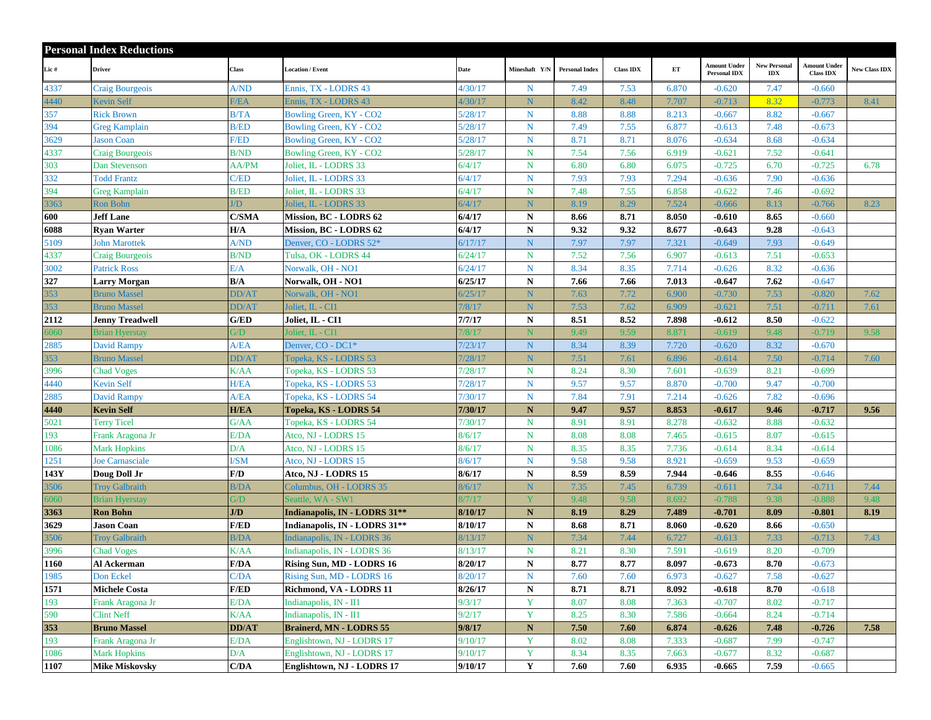|      | <b>Personal Index Reductions</b> |                 |                                |                   |               |                       |                  |       |                                            |                                   |                                  |                      |
|------|----------------------------------|-----------------|--------------------------------|-------------------|---------------|-----------------------|------------------|-------|--------------------------------------------|-----------------------------------|----------------------------------|----------------------|
| Lic# | <b>Driver</b>                    | Class           | <b>Location / Event</b>        | Date              | Mineshaft Y/N | <b>Personal Index</b> | <b>Class IDX</b> | ET    | <b>Amount Under</b><br><b>Personal IDX</b> | <b>New Personal</b><br><b>IDX</b> | Amount Under<br><b>Class IDX</b> | <b>New Class IDX</b> |
| 4337 | Craig Bourgeois                  | A/ND            | Ennis, TX - LODRS 43           | 4/30/17           | $\mathbf N$   | 7.49                  | 7.53             | 6.870 | $-0.620$                                   | 7.47                              | $-0.660$                         |                      |
| 4440 | <b>Kevin Self</b>                | F/EA            | Ennis, TX - LODRS 43           | 4/30/17           | ${\bf N}$     | 8.42                  | 8.48             | 7.707 | $-0.713$                                   | 8.32                              | $-0.773$                         | 8.41                 |
| 357  | <b>Rick Brown</b>                | B/TA            | Bowling Green, KY - CO2        | 5/28/17           | $\mathbf N$   | 8.88                  | 8.88             | 8.213 | $-0.667$                                   | 8.82                              | $-0.667$                         |                      |
| 394  | <b>Greg Kamplain</b>             | <b>B/ED</b>     | Bowling Green, KY - CO2        | 5/28/17           | N             | 7.49                  | 7.55             | 6.877 | $-0.613$                                   | 7.48                              | $-0.673$                         |                      |
| 3629 | <b>Jason Coan</b>                | <b>F/ED</b>     | Bowling Green, KY - CO2        | 5/28/17           | ${\bf N}$     | 8.71                  | 8.71             | 8.076 | $-0.634$                                   | 8.68                              | $-0.634$                         |                      |
| 4337 | <b>Craig Bourgeois</b>           | <b>B/ND</b>     | Bowling Green, KY - CO2        | 5/28/17           | $\mathbf N$   | 7.54                  | 7.56             | 6.919 | $-0.621$                                   | 7.52                              | $-0.641$                         |                      |
| 303  | Dan Stevenson                    | AA/PM           | Joliet, IL - LODRS 33          | 6/4/17            | N             | 6.80                  | 6.80             | 6.075 | $-0.725$                                   | 6.70                              | $-0.725$                         | 6.78                 |
| 332  | <b>Todd Frantz</b>               | C/ED            | Joliet, IL - LODRS 33          | 6/4/17            | $\mathbf N$   | 7.93                  | 7.93             | 7.294 | $-0.636$                                   | 7.90                              | $-0.636$                         |                      |
| 394  | <b>Greg Kamplain</b>             | <b>B/ED</b>     | Joliet, IL - LODRS 33          | 6/4/17            | $N_{\odot}$   | 7.48                  | 7.55             | 6.858 | $-0.622$                                   | 7.46                              | $-0.692$                         |                      |
| 3363 | Ron Bohn                         | $\overline{ID}$ | Joliet, IL - LODRS 33          | 5/4/17            | ${\bf N}$     | 8.19                  | 8.29             | 7.524 | $-0.666$                                   | 8.13                              | $-0.766$                         | 8.23                 |
| 600  | <b>Jeff Lane</b>                 | C/SMA           | <b>Mission, BC - LODRS 62</b>  | 6/4/17            | ${\bf N}$     | 8.66                  | 8.71             | 8.050 | $-0.610$                                   | 8.65                              | $-0.660$                         |                      |
| 6088 | <b>Ryan Warter</b>               | H/A             | Mission, BC - LODRS 62         | 6/4/17            | ${\bf N}$     | 9.32                  | 9.32             | 8.677 | $-0.643$                                   | 9.28                              | $-0.643$                         |                      |
| 5109 | <b>John Marottek</b>             | A/ND            | Denver, CO - LODRS 52*         | 6/17/17           | ${\bf N}$     | 7.97                  | 7.97             | 7.321 | $-0.649$                                   | 7.93                              | $-0.649$                         |                      |
| 4337 | <b>Craig Bourgeois</b>           | <b>B/ND</b>     | Tulsa, OK - LODRS 44           | 6/24/17           | $N_{\odot}$   | 7.52                  | 7.56             | 6.907 | $-0.613$                                   | 7.51                              | $-0.653$                         |                      |
| 3002 | <b>Patrick Ross</b>              | E/A             | Norwalk, OH - NO1              | 6/24/17           | $\mathbf N$   | 8.34                  | 8.35             | 7.714 | $-0.626$                                   | 8.32                              | $-0.636$                         |                      |
| 327  | Larry Morgan                     | B/A             | Norwalk, OH - NO1              | 6/25/17           | ${\bf N}$     | 7.66                  | 7.66             | 7.013 | $-0.647$                                   | 7.62                              | $-0.647$                         |                      |
| 353  | <b>Bruno Massel</b>              | <b>DD/AT</b>    | Norwalk, OH - NO1              | 5/25/17           | N             | 7.63                  | 7.72             | 6.900 | $-0.730$                                   | 7.53                              | $-0.820$                         | 7.62                 |
| 353  | <b>Bruno Massel</b>              | <b>DD/AT</b>    | Joliet, IL - CI1               | 1/8/17            | ${\bf N}$     | 7.53                  | 7.62             | 6.909 | $-0.621$                                   | 7.51                              | $-0.711$                         | 7.61                 |
| 2112 | Jenny Treadwell                  | G/ED            | Joliet, IL - CI1               | 7/7/17            | ${\bf N}$     | 8.51                  | 8.52             | 7.898 | $-0.612$                                   | 8.50                              | $-0.622$                         |                      |
| 6060 | <b>Brian Hyerstay</b>            | G/D             | Joliet, IL - CI1               | 1/8/17            | $\mathbf N$   | 9.49                  | 9.59             | 8.871 | $-0.619$                                   | 9.48                              | $-0.719$                         | 9.58                 |
| 2885 | <b>David Rampy</b>               | A/EA            | Denver, CO - DC1*              | 7/23/17           | $N_{\odot}$   | 8.34                  | 8.39             | 7.720 | $-0.620$                                   | 8.32                              | $-0.670$                         |                      |
| 353  | <b>Bruno Massel</b>              | DD/AT           | Fopeka, KS - LODRS 53          | $\frac{7}{28/17}$ | N             | 7.51                  | 7.61             | 6.896 | $-0.614$                                   | 7.50                              | $-0.714$                         | 7.60                 |
| 3996 | <b>Chad Voges</b>                | K/AA            | Topeka, KS - LODRS 53          | 7/28/17           | $\mathbf N$   | 8.24                  | 8.30             | 7.601 | $-0.639$                                   | 8.21                              | $-0.699$                         |                      |
| 4440 | <b>Kevin Self</b>                | H/EA            | Topeka, KS - LODRS 53          | 7/28/17           | $\mathbf N$   | 9.57                  | 9.57             | 8.870 | $-0.700$                                   | 9.47                              | $-0.700$                         |                      |
| 2885 | <b>David Rampy</b>               | A/EA            | Topeka, KS - LODRS 54          | 7/30/17           | $N_{\odot}$   | 7.84                  | 7.91             | 7.214 | $-0.626$                                   | 7.82                              | $-0.696$                         |                      |
| 4440 | <b>Kevin Self</b>                | <b>H/EA</b>     | Topeka, KS - LODRS 54          | 7/30/17           | $\mathbf{N}$  | 9.47                  | 9.57             | 8.853 | $-0.617$                                   | 9.46                              | $-0.717$                         | 9.56                 |
| 5021 | <b>Terry Ticel</b>               | G/AA            | Topeka, KS - LODRS 54          | 7/30/17           | $\mathbf N$   | 8.91                  | 8.91             | 8.278 | $-0.632$                                   | 8.88                              | $-0.632$                         |                      |
| 193  | Frank Aragona Jr                 | E/DA            | Atco, NJ - LODRS 15            | 8/6/17            | $\mathbf N$   | 8.08                  | 8.08             | 7.465 | $-0.615$                                   | 8.07                              | $-0.615$                         |                      |
| 1086 | <b>Mark Hopkins</b>              | D/A             | Atco, NJ - LODRS 15            | 3/6/17            | $N_{\odot}$   | 8.35                  | 8.35             | 7.736 | $-0.614$                                   | 8.34                              | $-0.614$                         |                      |
| 1251 | <b>Joe Carnasciale</b>           | <b>I/SM</b>     | Atco, NJ - LODRS 15            | 8/6/17            | $\mathbf N$   | 9.58                  | 9.58             | 8.921 | $-0.659$                                   | 9.53                              | $-0.659$                         |                      |
| 143Y | Doug Doll Jr                     | F/D             | Atco, NJ - LODRS 15            | 8/6/17            | ${\bf N}$     | 8.59                  | 8.59             | 7.944 | $-0.646$                                   | 8.55                              | $-0.646$                         |                      |
| 3506 | <b>Troy Galbraith</b>            | B/DA            | Columbus, OH - LODRS 35        | 3/6/17            | N             | 7.35                  | 7.45             | 6.739 | $-0.611$                                   | 7.34                              | $-0.711$                         | 7.44                 |
| 6060 | <b>Brian Hyerstay</b>            | G/D             | Seattle, WA - SW1              | 8/7/17            | Y             | 9.48                  | 9.58             | 8.692 | $-0.788$                                   | 9.38                              | $-0.888$                         | 9.48                 |
| 3363 | <b>Ron Bohn</b>                  | J/D             | Indianapolis, IN - LODRS 31**  | 8/10/17           | $\mathbf N$   | 8.19                  | 8.29             | 7.489 | $-0.701$                                   | 8.09                              | $-0.801$                         | 8.19                 |
| 3629 | Jason Coan                       | <b>F/ED</b>     | Indianapolis, IN - LODRS 31**  | 8/10/17           | N             | 8.68                  | 8.71             | 8.060 | $-0.620$                                   | 8.66                              | $-0.650$                         |                      |
| 3506 | <b>Troy Galbraith</b>            | B/DA            | Indianapolis, IN - LODRS 36    | 3/13/17           | N             | 7.34                  | 7.44             | 6.727 | $-0.613$                                   | 7.33                              | $-0.713$                         | 7.43                 |
| 3996 | <b>Chad Voges</b>                | K/AA            | Indianapolis, IN - LODRS 36    | 8/13/17           | $\mathbf N$   | 8.21                  | 8.30             | 7.591 | $-0.619$                                   | 8.20                              | $-0.709$                         |                      |
| 1160 | Al Ackerman                      | F/DA            | Rising Sun, MD - LODRS 16      | 8/20/17           | ${\bf N}$     | 8.77                  | 8.77             | 8.097 | $-0.673$                                   | 8.70                              | $-0.673$                         |                      |
| 1985 | Don Eckel                        | C/DA            | Rising Sun, MD - LODRS 16      | 8/20/17           | $\mathbf N$   | 7.60                  | 7.60             | 6.973 | $-0.627$                                   | 7.58                              | $-0.627$                         |                      |
| 1571 | <b>Michele Costa</b>             | F/ED            | Richmond, VA - LODRS 11        | 8/26/17           | ${\bf N}$     | 8.71                  | 8.71             | 8.092 | $-0.618$                                   | 8.70                              | $-0.618$                         |                      |
| 193  | Frank Aragona Jr                 | E/DA            | Indianapolis, IN - II1         | 9/3/17            | $\mathbf Y$   | 8.07                  | 8.08             | 7.363 | $-0.707$                                   | 8.02                              | $-0.717$                         |                      |
| 590  | <b>Clint Neff</b>                | K/AA            | Indianapolis, IN - II1         | 9/2/17            | Y             | 8.25                  | 8.30             | 7.586 | $-0.664$                                   | 8.24                              | $-0.714$                         |                      |
| 353  | <b>Bruno Massel</b>              | <b>DD/AT</b>    | <b>Brainerd, MN - LODRS 55</b> | 9/8/17            | $\mathbf N$   | 7.50                  | 7.60             | 6.874 | $-0.626$                                   | 7.48                              | $-0.726$                         | 7.58                 |
| 193  | Frank Aragona Jr                 | E/DA            | Englishtown, NJ - LODRS 17     | 9/10/17           | Y             | 8.02                  | 8.08             | 7.333 | $-0.687$                                   | 7.99                              | $-0.747$                         |                      |
| 1086 | <b>Mark Hopkins</b>              | D/A             | Englishtown, NJ - LODRS 17     | 9/10/17           | Y             | 8.34                  | 8.35             | 7.663 | $-0.677$                                   | 8.32                              | $-0.687$                         |                      |
| 1107 | <b>Mike Miskovsky</b>            | C/DA            | Englishtown, NJ - LODRS 17     | 9/10/17           | $\mathbf Y$   | 7.60                  | 7.60             | 6.935 | $-0.665$                                   | 7.59                              | $-0.665$                         |                      |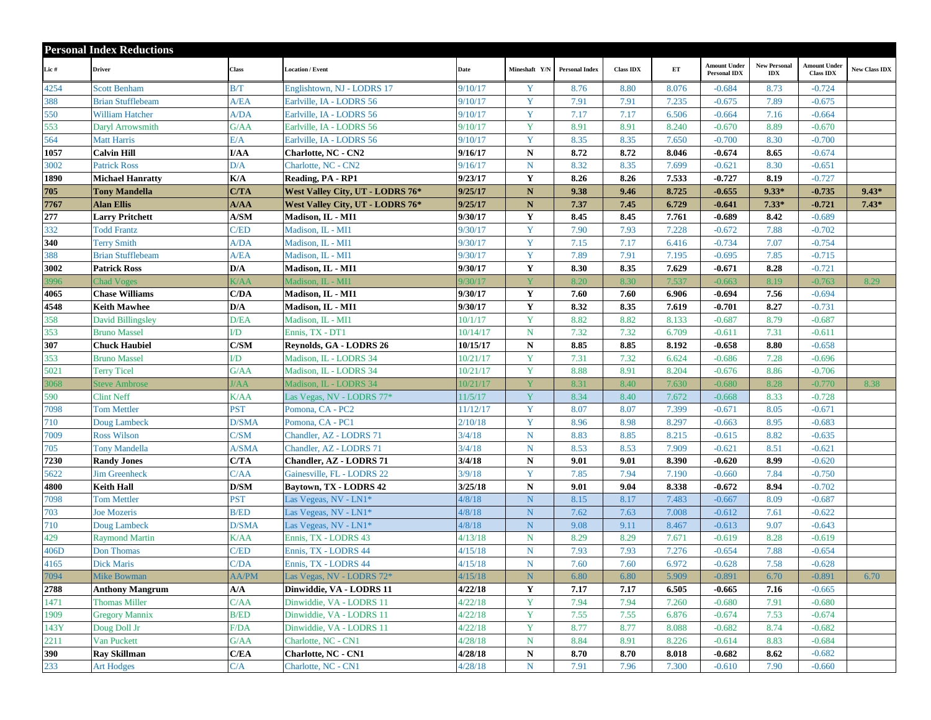|      | <b>Personal Index Reductions</b> |               |                                  |          |                         |                       |                  |       |                                            |                            |                                         |                      |
|------|----------------------------------|---------------|----------------------------------|----------|-------------------------|-----------------------|------------------|-------|--------------------------------------------|----------------------------|-----------------------------------------|----------------------|
| Lic# | <b>Driver</b>                    | Class         | <b>Location / Event</b>          | Date     | Mineshaft Y/N           | <b>Personal Index</b> | <b>Class IDX</b> | ET    | <b>Amount Under</b><br><b>Personal IDX</b> | <b>New Personal</b><br>IDX | <b>Amount Under</b><br><b>Class IDX</b> | <b>New Class IDX</b> |
| 4254 | <b>Scott Benham</b>              | B/T           | Englishtown, NJ - LODRS 17       | 9/10/17  | Y                       | 8.76                  | 8.80             | 8.076 | $-0.684$                                   | 8.73                       | $-0.724$                                |                      |
| 388  | <b>Brian Stufflebeam</b>         | A/EA          | Earlville, IA - LODRS 56         | 9/10/17  | Y                       | 7.91                  | 7.91             | 7.235 | $-0.675$                                   | 7.89                       | $-0.675$                                |                      |
| 550  | <b>William Hatcher</b>           | A/DA          | Earlville, IA - LODRS 56         | 9/10/17  | Y                       | 7.17                  | 7.17             | 6.506 | $-0.664$                                   | 7.16                       | $-0.664$                                |                      |
| 553  | Daryl Arrowsmith                 | G/AA          | Earlville, IA - LODRS 56         | 9/10/17  | Y                       | 8.91                  | 8.91             | 8.240 | $-0.670$                                   | 8.89                       | $-0.670$                                |                      |
| 564  | <b>Matt Harris</b>               | E/A           | Earlville, IA - LODRS 56         | 9/10/17  | Y                       | 8.35                  | 8.35             | 7.650 | $-0.700$                                   | 8.30                       | $-0.700$                                |                      |
| 1057 | <b>Calvin Hill</b>               | I/AA          | <b>Charlotte, NC - CN2</b>       | 9/16/17  | ${\bf N}$               | 8.72                  | 8.72             | 8.046 | $-0.674$                                   | 8.65                       | $-0.674$                                |                      |
| 3002 | <b>Patrick Ross</b>              | D/A           | Charlotte, NC - CN2              | 9/16/17  | ${\bf N}$               | 8.32                  | 8.35             | 7.699 | $-0.621$                                   | 8.30                       | $-0.651$                                |                      |
| 1890 | <b>Michael Hanratty</b>          | K/A           | Reading, PA - RP1                | 9/23/17  | Y                       | 8.26                  | 8.26             | 7.533 | $-0.727$                                   | 8.19                       | $-0.727$                                |                      |
| 705  | <b>Tony Mandella</b>             | C/TA          | West Valley City, UT - LODRS 76* | 9/25/17  | $\mathbf N$             | 9.38                  | 9.46             | 8.725 | $-0.655$                                   | $9.33*$                    | $-0.735$                                | $9.43*$              |
| 7767 | <b>Alan Ellis</b>                | A/AA          | West Valley City, UT - LODRS 76* | 9/25/17  | N                       | 7.37                  | 7.45             | 6.729 | $-0.641$                                   | $7.33*$                    | $-0.721$                                | $7.43*$              |
| 277  | <b>Larry Pritchett</b>           | A/SM          | Madison, IL - MI1                | 9/30/17  | Y                       | 8.45                  | 8.45             | 7.761 | $-0.689$                                   | 8.42                       | $-0.689$                                |                      |
| 332  | <b>Todd Frantz</b>               | C/ED          | Madison, IL - MI1                | 9/30/17  | Y                       | 7.90                  | 7.93             | 7.228 | $-0.672$                                   | 7.88                       | $-0.702$                                |                      |
| 340  | <b>Terry Smith</b>               | A/DA          | Madison, IL - MI1                | 9/30/17  | Y                       | 7.15                  | 7.17             | 6.416 | $-0.734$                                   | 7.07                       | $-0.754$                                |                      |
| 388  | <b>Brian Stufflebeam</b>         | A/EA          | Madison, IL - MI1                | 9/30/17  | Y                       | 7.89                  | 7.91             | 7.195 | $-0.695$                                   | 7.85                       | $-0.715$                                |                      |
| 3002 | <b>Patrick Ross</b>              | D/A           | Madison, IL - MI1                | 9/30/17  | Y                       | 8.30                  | 8.35             | 7.629 | $-0.671$                                   | 8.28                       | $-0.721$                                |                      |
| 3996 | <b>Chad Voges</b>                | K/AA          | Madison, IL - MI1                | 9/30/17  | $\overline{\mathbf{V}}$ | 8.20                  | 8.30             | 7.537 | $-0.663$                                   | 8.19                       | $-0.763$                                | 8.29                 |
| 4065 | <b>Chase Williams</b>            | C/DA          | Madison, IL - MI1                | 9/30/17  | Y                       | 7.60                  | 7.60             | 6.906 | $-0.694$                                   | 7.56                       | $-0.694$                                |                      |
| 4548 | <b>Keith Mawhee</b>              | D/A           | Madison, IL - MI1                | 9/30/17  | Y                       | 8.32                  | 8.35             | 7.619 | $-0.701$                                   | 8.27                       | $-0.731$                                |                      |
| 358  | <b>David Billingsley</b>         | D/EA          | Madison, IL - MI1                | 10/1/17  | Y                       | 8.82                  | 8.82             | 8.133 | $-0.687$                                   | 8.79                       | $-0.687$                                |                      |
| 353  | <b>Bruno Massel</b>              | I/D           | Ennis, TX - DT1                  | 10/14/17 | N                       | 7.32                  | 7.32             | 6.709 | $-0.611$                                   | 7.31                       | $-0.611$                                |                      |
| 307  | <b>Chuck Haubiel</b>             | C/SM          | Reynolds, GA - LODRS 26          | 10/15/17 | ${\bf N}$               | 8.85                  | 8.85             | 8.192 | $-0.658$                                   | 8.80                       | $-0.658$                                |                      |
| 353  | <b>Bruno Massel</b>              | $\mathbf{ID}$ | Madison, IL - LODRS 34           | 10/21/17 | Y                       | 7.31                  | 7.32             | 6.624 | $-0.686$                                   | 7.28                       | $-0.696$                                |                      |
| 5021 | <b>Terry Ticel</b>               | G/AA          | Madison, IL - LODRS 34           | 10/21/17 | Y                       | 8.88                  | 8.91             | 8.204 | $-0.676$                                   | 8.86                       | $-0.706$                                |                      |
| 3068 | <b>Steve Ambrose</b>             | J/AA          | Madison, IL - LODRS 34           | 10/21/17 | Y                       | 8.31                  | 8.40             | 7.630 | $-0.680$                                   | 8.28                       | $-0.770$                                | 8.38                 |
| 590  | <b>Clint Neff</b>                | <b>K/AA</b>   | Las Vegas, NV - LODRS 77*        | 11/5/17  | Y                       | 8.34                  | 8.40             | 7.672 | $-0.668$                                   | 8.33                       | $-0.728$                                |                      |
| 7098 | <b>Tom Mettler</b>               | <b>PST</b>    | Pomona, CA - PC2                 | 11/12/17 | Y                       | 8.07                  | 8.07             | 7.399 | $-0.671$                                   | 8.05                       | $-0.671$                                |                      |
| 710  | Doug Lambeck                     | <b>D/SMA</b>  | Pomona, CA - PC1                 | 2/10/18  | Y                       | 8.96                  | 8.98             | 8.297 | $-0.663$                                   | 8.95                       | $-0.683$                                |                      |
| 7009 | <b>Ross Wilson</b>               | C/SM          | Chandler, AZ - LODRS 71          | 3/4/18   | $\mathbf N$             | 8.83                  | 8.85             | 8.215 | $-0.615$                                   | 8.82                       | $-0.635$                                |                      |
| 705  | <b>Tony Mandella</b>             | A/SMA         | Chandler, AZ - LODRS 71          | 3/4/18   | $N_{\odot}$             | 8.53                  | 8.53             | 7.909 | $-0.621$                                   | 8.51                       | $-0.621$                                |                      |
| 7230 | <b>Randy Jones</b>               | C/TA          | <b>Chandler, AZ - LODRS 71</b>   | 3/4/18   | ${\bf N}$               | 9.01                  | 9.01             | 8.390 | $-0.620$                                   | 8.99                       | $-0.620$                                |                      |
| 5622 | <b>Jim Greenheck</b>             | C/AA          | Gainesville, FL - LODRS 22       | 3/9/18   | Y                       | 7.85                  | 7.94             | 7.190 | $-0.660$                                   | 7.84                       | $-0.750$                                |                      |
| 4800 | Keith Hall                       | D/SM          | Baytown, TX - LODRS 42           | 3/25/18  | ${\bf N}$               | 9.01                  | 9.04             | 8.338 | $-0.672$                                   | 8.94                       | $-0.702$                                |                      |
| 7098 | <b>Tom Mettler</b>               | <b>PST</b>    | Las Vegeas, NV - LN1*            | 4/8/18   | ${\bf N}$               | 8.15                  | 8.17             | 7.483 | $-0.667$                                   | 8.09                       | $-0.687$                                |                      |
| 703  | <b>Joe Mozeris</b>               | <b>B/ED</b>   | Las Vegeas, NV - LN1*            | 4/8/18   | $\overline{N}$          | 7.62                  | 7.63             | 7.008 | $-0.612$                                   | 7.61                       | $-0.622$                                |                      |
| 710  | Doug Lambeck                     | <b>D/SMA</b>  | Las Vegeas, NV - LN1*            | 4/8/18   | ${\bf N}$               | 9.08                  | 9.11             | 8.467 | $-0.613$                                   | 9.07                       | $-0.643$                                |                      |
| 429  | <b>Raymond Martin</b>            | <b>K/AA</b>   | Ennis, TX - LODRS 43             | 4/13/18  | $\mathbf N$             | 8.29                  | 8.29             | 7.671 | $-0.619$                                   | 8.28                       | $-0.619$                                |                      |
| 406D | <b>Don Thomas</b>                | C/ED          | Ennis, TX - LODRS 44             | 4/15/18  | N                       | 7.93                  | 7.93             | 7.276 | $-0.654$                                   | 7.88                       | $-0.654$                                |                      |
| 4165 | <b>Dick Maris</b>                | C/DA          | Ennis, TX - LODRS 44             | 4/15/18  | $\mathbf N$             | 7.60                  | 7.60             | 6.972 | $-0.628$                                   | 7.58                       | $-0.628$                                |                      |
| 7094 | <b>Mike Bowman</b>               | <b>AA/PM</b>  | Las Vegas, NV - LODRS 72*        | 4/15/18  | N                       | 6.80                  | 6.80             | 5.909 | $-0.891$                                   | 6.70                       | $-0.891$                                | 6.70                 |
| 2788 | <b>Anthony Mangrum</b>           | A/A           | Dinwiddie, VA - LODRS 11         | 4/22/18  | $\mathbf Y$             | 7.17                  | 7.17             | 6.505 | $-0.665$                                   | 7.16                       | $-0.665$                                |                      |
| 1471 | <b>Thomas Miller</b>             | C/AA          | Dinwiddie, VA - LODRS 11         | 4/22/18  | $\mathbf Y$             | 7.94                  | 7.94             | 7.260 | $-0.680$                                   | 7.91                       | $-0.680$                                |                      |
| 1909 | <b>Gregory Mannix</b>            | B/ED          | Dinwiddie, VA - LODRS 11         | 4/22/18  | Y                       | 7.55                  | 7.55             | 6.876 | $-0.674$                                   | 7.53                       | $-0.674$                                |                      |
| 143Y | Doug Doll Jr                     | F/DA          | Dinwiddie, VA - LODRS 11         | 4/22/18  | Y                       | 8.77                  | 8.77             | 8.088 | $-0.682$                                   | 8.74                       | $-0.682$                                |                      |
| 2211 | Van Puckett                      | G/AA          | Charlotte, NC - CN1              | 4/28/18  | ${\bf N}$               | 8.84                  | 8.91             | 8.226 | $-0.614$                                   | 8.83                       | $-0.684$                                |                      |
| 390  | <b>Rav Skillman</b>              | C/EA          | <b>Charlotte, NC - CN1</b>       | 4/28/18  | $\mathbf N$             | 8.70                  | 8.70             | 8.018 | $-0.682$                                   | 8.62                       | $-0.682$                                |                      |
| 233  | <b>Art Hodges</b>                | C/A           | Charlotte, NC - CN1              | 4/28/18  | ${\bf N}$               | 7.91                  | 7.96             | 7.300 | $-0.610$                                   | 7.90                       | $-0.660$                                |                      |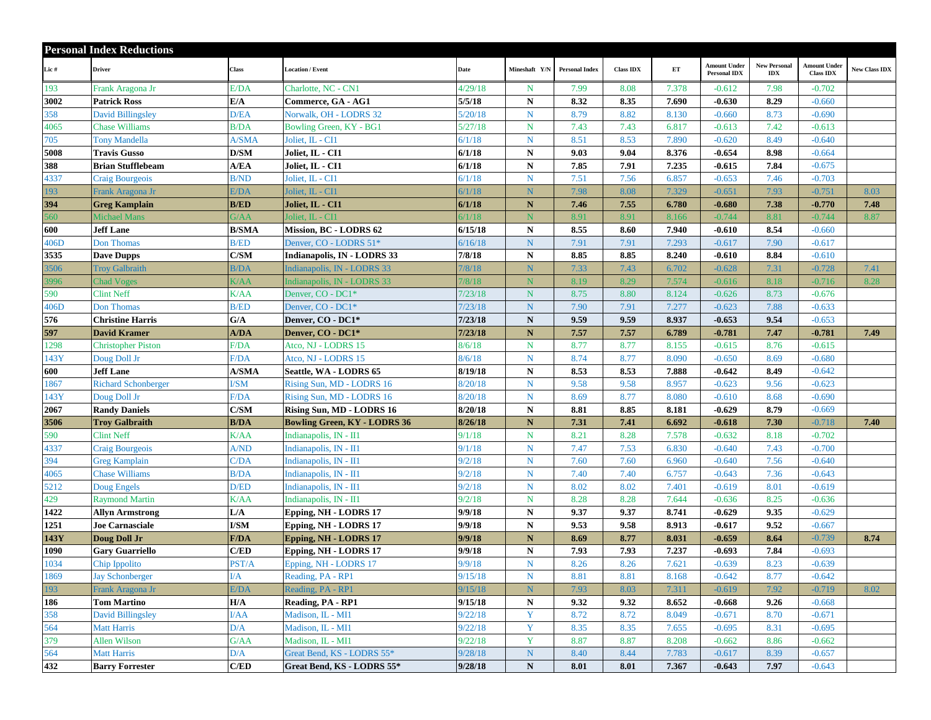|      | <b>Personal Index Reductions</b> |                                      |                                     |               |               |                       |                  |               |                                            |                            |                                         |               |
|------|----------------------------------|--------------------------------------|-------------------------------------|---------------|---------------|-----------------------|------------------|---------------|--------------------------------------------|----------------------------|-----------------------------------------|---------------|
| Lic# | <b>Driver</b>                    | Class                                | <b>Location / Event</b>             | Date          | Mineshaft Y/N | <b>Personal Index</b> | <b>Class IDX</b> | $\mathbf{ET}$ | <b>Amount Under</b><br><b>Personal IDX</b> | <b>New Personal</b><br>IDX | <b>Amount Under</b><br><b>Class IDX</b> | New Class IDX |
| 193  | Frank Aragona Jr                 | E/DA                                 | Charlotte, NC - CN1                 | 4/29/18       | N             | 7.99                  | 8.08             | 7.378         | $-0.612$                                   | 7.98                       | $-0.702$                                |               |
| 3002 | <b>Patrick Ross</b>              | E/A                                  | Commerce, GA - AG1                  | 5/5/18        | $\mathbf N$   | 8.32                  | 8.35             | 7.690         | $-0.630$                                   | 8.29                       | $-0.660$                                |               |
| 358  | <b>David Billingsley</b>         | D/EA                                 | Norwalk, OH - LODRS 32              | 5/20/18       | $\mathbf N$   | 8.79                  | 8.82             | 8.130         | $-0.660$                                   | 8.73                       | $-0.690$                                |               |
| 4065 | <b>Chase Williams</b>            | <b>B/DA</b>                          | Bowling Green, KY - BG1             | 5/27/18       | $\mathbf N$   | 7.43                  | 7.43             | 6.817         | $-0.613$                                   | 7.42                       | $-0.613$                                |               |
| 705  | <b>Tony Mandella</b>             | A/SMA                                | Joliet, IL - CI1                    | 5/1/18        | $N_{\odot}$   | 8.51                  | 8.53             | 7.890         | $-0.620$                                   | 8.49                       | $-0.640$                                |               |
| 5008 | <b>Travis Gusso</b>              | D/SM                                 | Joliet, IL - CI1                    | 6/1/18        | $\mathbf N$   | 9.03                  | 9.04             | 8.376         | $-0.654$                                   | 8.98                       | $-0.664$                                |               |
| 388  | <b>Brian Stufflebeam</b>         | A/EA                                 | Joliet, IL - CI1                    | 6/1/18        | ${\bf N}$     | 7.85                  | 7.91             | 7.235         | $-0.615$                                   | 7.84                       | $-0.675$                                |               |
| 4337 | Craig Bourgeois                  | <b>B/ND</b>                          | Joliet, IL - CI1                    | 6/1/18        | ${\bf N}$     | 7.51                  | 7.56             | 6.857         | $-0.653$                                   | 7.46                       | $-0.703$                                |               |
| 193  | Frank Aragona Jr                 | E/DA                                 | Joliet, IL - CI1                    | 5/1/18        | N             | 7.98                  | 8.08             | 7.329         | $-0.651$                                   | 7.93                       | $-0.751$                                | 8.03          |
| 394  | <b>Greg Kamplain</b>             | <b>B/ED</b>                          | Joliet, IL - CI1                    | 6/1/18        | ${\bf N}$     | 7.46                  | 7.55             | 6.780         | $-0.680$                                   | 7.38                       | $-0.770$                                | 7.48          |
| 560  | <b>Michael Mans</b>              | G/AA                                 | Joliet, IL - CI1                    | 5/1/18        | N             | 8.91                  | 8.91             | 8.166         | $-0.744$                                   | 8.81                       | $-0.744$                                | 8.87          |
| 600  | <b>Jeff Lane</b>                 | <b>B/SMA</b>                         | Mission, BC - LODRS 62              | 6/15/18       | $\mathbf N$   | 8.55                  | 8.60             | 7.940         | $-0.610$                                   | 8.54                       | $-0.660$                                |               |
| 406D | <b>Don Thomas</b>                | <b>B/ED</b>                          | Denver, CO - LODRS 51*              | 6/16/18       | ${\bf N}$     | 7.91                  | 7.91             | 7.293         | $-0.617$                                   | 7.90                       | $-0.617$                                |               |
| 3535 | <b>Dave Dupps</b>                | C/SM                                 | Indianapolis, IN - LODRS 33         | 7/8/18        | ${\bf N}$     | 8.85                  | 8.85             | 8.240         | $-0.610$                                   | 8.84                       | $-0.610$                                |               |
| 3506 | <b>Troy Galbraith</b>            | B/DA                                 | Indianapolis, IN - LODRS 33         | $\frac{7}{8}$ | N             | 7.33                  | 7.43             | 6.702         | $-0.628$                                   | 7.31                       | $-0.728$                                | 7.41          |
| 3996 | <b>Chad Voges</b>                | K/AA                                 | Indianapolis, IN - LODRS 33         | 7/8/18        | N             | 8.19                  | 8.29             | 7.574         | $-0.616$                                   | 8.18                       | $-0.716$                                | 8.28          |
| 590  | <b>Clint Neff</b>                | K/AA                                 | Denver, CO - DC1*                   | 7/23/18       | N             | 8.75                  | 8.80             | 8.124         | $-0.626$                                   | 8.73                       | $-0.676$                                |               |
| 406D | <b>Don Thomas</b>                | <b>B/ED</b>                          | Denver, CO - DC1*                   | 7/23/18       | ${\bf N}$     | 7.90                  | 7.91             | 7.277         | $-0.623$                                   | 7.88                       | $-0.633$                                |               |
| 576  | <b>Christine Harris</b>          | G/A                                  | Denver, CO - DC1*                   | 7/23/18       | $\mathbf N$   | 9.59                  | 9.59             | 8.937         | $-0.653$                                   | 9.54                       | $-0.653$                                |               |
| 597  | <b>David Kramer</b>              | A/DA                                 | Denver, CO - DC1*                   | 7/23/18       | $\mathbf{N}$  | 7.57                  | 7.57             | 6.789         | $-0.781$                                   | 7.47                       | $-0.781$                                | 7.49          |
| 1298 | <b>Christopher Piston</b>        | F/DA                                 | Atco, NJ - LODRS 15                 | 3/6/18        | $\mathbf N$   | 8.77                  | 8.77             | 8.155         | $-0.615$                                   | 8.76                       | $-0.615$                                |               |
| 143Y | Doug Doll Jr                     | F/DA                                 | Atco, NJ - LODRS 15                 | 8/6/18        | $\mathbf N$   | 8.74                  | 8.77             | 8.090         | $-0.650$                                   | 8.69                       | $-0.680$                                |               |
| 600  | <b>Jeff Lane</b>                 | A/SMA                                | Seattle, WA - LODRS 65              | 8/19/18       | ${\bf N}$     | 8.53                  | 8.53             | 7.888         | $-0.642$                                   | 8.49                       | $-0.642$                                |               |
| 1867 | <b>Richard Schonberger</b>       | <b>I/SM</b>                          | Rising Sun, MD - LODRS 16           | 8/20/18       | ${\bf N}$     | 9.58                  | 9.58             | 8.957         | $-0.623$                                   | 9.56                       | $-0.623$                                |               |
| 143Y | Doug Doll Jr                     | F/DA                                 | Rising Sun, MD - LODRS 16           | 8/20/18       | $\mathbf N$   | 8.69                  | 8.77             | 8.080         | $-0.610$                                   | 8.68                       | $-0.690$                                |               |
| 2067 | <b>Randy Daniels</b>             | C/SM                                 | Rising Sun, MD - LODRS 16           | 8/20/18       | N             | 8.81                  | 8.85             | 8.181         | $-0.629$                                   | 8.79                       | $-0.669$                                |               |
| 3506 | <b>Troy Galbraith</b>            | <b>B/DA</b>                          | <b>Bowling Green, KY - LODRS 36</b> | 8/26/18       | ${\bf N}$     | 7.31                  | 7.41             | 6.692         | $-0.618$                                   | 7.30                       | $-0.718$                                | 7.40          |
| 590  | <b>Clint Neff</b>                | K/AA                                 | Indianapolis, IN - II1              | 9/1/18        | $\mathbf N$   | 8.21                  | 8.28             | 7.578         | $-0.632$                                   | 8.18                       | $-0.702$                                |               |
| 4337 | Craig Bourgeois                  | A/ND                                 | Indianapolis, IN - II1              | 9/1/18        | $\mathbf N$   | 7.47                  | 7.53             | 6.830         | $-0.640$                                   | 7.43                       | $-0.700$                                |               |
| 394  | <b>Greg Kamplain</b>             | C/DA                                 | Indianapolis, IN - II1              | 9/2/18        | ${\bf N}$     | 7.60                  | 7.60             | 6.960         | $-0.640$                                   | 7.56                       | $-0.640$                                |               |
| 4065 | <b>Chase Williams</b>            | B/DA                                 | Indianapolis, IN - II1              | 9/2/18        | $\mathbf N$   | 7.40                  | 7.40             | 6.757         | $-0.643$                                   | 7.36                       | $-0.643$                                |               |
| 5212 | Doug Engels                      | D/ED                                 | Indianapolis, IN - II1              | 9/2/18        | ${\bf N}$     | 8.02                  | 8.02             | 7.401         | $-0.619$                                   | 8.01                       | $-0.619$                                |               |
| 429  | <b>Raymond Martin</b>            | K/AA                                 | Indianapolis, IN - II1              | 9/2/18        | $\mathbf N$   | 8.28                  | 8.28             | 7.644         | $-0.636$                                   | 8.25                       | $-0.636$                                |               |
| 1422 | <b>Allyn Armstrong</b>           | L/A                                  | Epping, NH - LODRS 17               | 9/9/18        | ${\bf N}$     | 9.37                  | 9.37             | 8.741         | $-0.629$                                   | 9.35                       | $-0.629$                                |               |
| 1251 | <b>Joe Carnasciale</b>           | $\mathbf{I} / \mathbf{S} \mathbf{M}$ | Epping, NH - LODRS 17               | 9/9/18        | $\mathbf N$   | 9.53                  | 9.58             | 8.913         | $-0.617$                                   | 9.52                       | $-0.667$                                |               |
| 143Y | Doug Doll Jr                     | <b>F/DA</b>                          | Epping, NH - LODRS 17               | 9/9/18        | $\mathbf N$   | 8.69                  | 8.77             | 8.031         | $-0.659$                                   | 8.64                       | $-0.739$                                | 8.74          |
| 1090 | <b>Gary Guarriello</b>           | C/ED                                 | Epping, NH - LODRS 17               | 9/9/18        | ${\bf N}$     | 7.93                  | 7.93             | 7.237         | $-0.693$                                   | 7.84                       | $-0.693$                                |               |
| 1034 | Chip Ippolito                    | PST/A                                | Epping, NH - LODRS 17               | 9/9/18        | $\mathbf N$   | 8.26                  | 8.26             | 7.621         | $-0.639$                                   | 8.23                       | $-0.639$                                |               |
| 1869 | <b>Jay Schonberger</b>           | I/A                                  | Reading, PA - RP1                   | 9/15/18       | $\mathbf N$   | 8.81                  | 8.81             | 8.168         | $-0.642$                                   | 8.77                       | $-0.642$                                |               |
| 193  | Frank Aragona Jr                 | E/DA                                 | Reading, PA - RP1                   | 9/15/18       | N             | 7.93                  | 8.03             | 7.311         | $-0.619$                                   | 7.92                       | $-0.719$                                | 8.02          |
| 186  | <b>Tom Martino</b>               | $\mathbf{H}/\mathbf{A}$              | Reading, PA - RP1                   | 9/15/18       | $\mathbf N$   | 9.32                  | 9.32             | 8.652         | $-0.668$                                   | 9.26                       | $-0.668$                                |               |
| 358  | <b>David Billingsley</b>         | I/AA                                 | Madison, IL - MI1                   | 9/22/18       | Y             | 8.72                  | 8.72             | 8.049         | $-0.671$                                   | 8.70                       | $-0.671$                                |               |
| 564  | <b>Matt Harris</b>               | D/A                                  | Madison, IL - MI1                   | 9/22/18       | Y             | 8.35                  | 8.35             | 7.655         | $-0.695$                                   | 8.31                       | $-0.695$                                |               |
| 379  | Allen Wilson                     | G/AA                                 | Madison, IL - MI1                   | 9/22/18       | Y             | 8.87                  | 8.87             | 8.208         | $-0.662$                                   | 8.86                       | $-0.662$                                |               |
| 564  | <b>Matt Harris</b>               | D/A                                  | Great Bend, KS - LODRS 55*          | 9/28/18       | ${\bf N}$     | 8.40                  | 8.44             | 7.783         | $-0.617$                                   | 8.39                       | $-0.657$                                |               |
| 432  | <b>Barry Forrester</b>           | C/ED                                 | Great Bend, KS - LODRS 55*          | 9/28/18       | ${\bf N}$     | 8.01                  | 8.01             | 7.367         | $-0.643$                                   | 7.97                       | $-0.643$                                |               |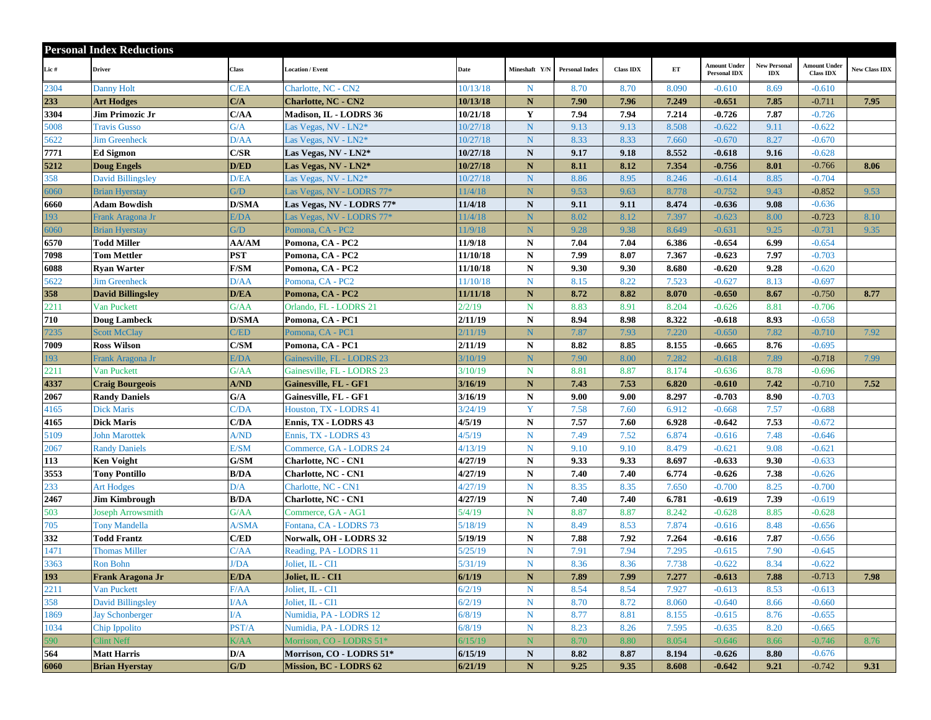|      | <b>Personal Index Reductions</b> |              |                            |          |               |                       |                  |       |                                            |                                   |                                  |                      |
|------|----------------------------------|--------------|----------------------------|----------|---------------|-----------------------|------------------|-------|--------------------------------------------|-----------------------------------|----------------------------------|----------------------|
| Lic# | <b>Driver</b>                    | Class        | <b>Location / Event</b>    | Date     | Mineshaft Y/N | <b>Personal Index</b> | <b>Class IDX</b> | ET    | <b>Amount Under</b><br><b>Personal IDX</b> | <b>New Personal</b><br><b>IDX</b> | Amount Under<br><b>Class IDX</b> | <b>New Class IDX</b> |
| 2304 | <b>Danny Holt</b>                | C/EA         | Charlotte, NC - CN2        | 10/13/18 | $\mathbf N$   | 8.70                  | 8.70             | 8.090 | $-0.610$                                   | 8.69                              | $-0.610$                         |                      |
| 233  | <b>Art Hodges</b>                | C/A          | <b>Charlotte, NC - CN2</b> | 10/13/18 | $\mathbf{N}$  | 7.90                  | 7.96             | 7.249 | $-0.651$                                   | 7.85                              | $-0.711$                         | 7.95                 |
| 3304 | Jim Primozic Jr                  | C/AA         | Madison, IL - LODRS 36     | 10/21/18 | Y             | 7.94                  | 7.94             | 7.214 | $-0.726$                                   | 7.87                              | $-0.726$                         |                      |
| 5008 | <b>Travis Gusso</b>              | G/A          | Las Vegas, NV - LN2*       | 10/27/18 | N             | 9.13                  | 9.13             | 8.508 | $-0.622$                                   | 9.11                              | $-0.622$                         |                      |
| 5622 | <b>Jim Greenheck</b>             | D/AA         | Las Vegas, NV - LN2*       | 10/27/18 | ${\bf N}$     | 8.33                  | 8.33             | 7.660 | $-0.670$                                   | 8.27                              | $-0.670$                         |                      |
| 7771 | <b>Ed Sigmon</b>                 | C/SR         | Las Vegas, NV - LN2*       | 10/27/18 | ${\bf N}$     | 9.17                  | 9.18             | 8.552 | $-0.618$                                   | 9.16                              | $-0.628$                         |                      |
| 5212 | <b>Doug Engels</b>               | D/ED         | Las Vegas, NV - LN2*       | 10/27/18 | $\mathbf N$   | 8.11                  | 8.12             | 7.354 | $-0.756$                                   | 8.01                              | $-0.766$                         | 8.06                 |
| 358  | <b>David Billingsley</b>         | D/EA         | Las Vegas, NV - LN2*       | 10/27/18 | N             | 8.86                  | 8.95             | 8.246 | $-0.614$                                   | 8.85                              | $-0.704$                         |                      |
| 5060 | <b>Brian Hyerstay</b>            | G/D          | Las Vegas, NV - LODRS 77*  | 11/4/18  | ${\bf N}$     | 9.53                  | 9.63             | 8.778 | $-0.752$                                   | 9.43                              | $-0.852$                         | 9.53                 |
| 6660 | <b>Adam Bowdish</b>              | <b>D/SMA</b> | Las Vegas, NV - LODRS 77*  | 11/4/18  | N             | 9.11                  | 9.11             | 8.474 | $-0.636$                                   | 9.08                              | $-0.636$                         |                      |
| 193  | Frank Aragona Jr                 | E/DA         | Las Vegas, NV - LODRS 77*  | 11/4/18  | N             | 8.02                  | 8.12             | 7.397 | $-0.623$                                   | 8.00                              | $-0.723$                         | 8.10                 |
| 6060 | <b>Brian Hyerstay</b>            | G/D          | Pomona, CA - PC2           | 11/9/18  | ${\bf N}$     | 9.28                  | 9.38             | 8.649 | $-0.631$                                   | 9.25                              | $-0.731$                         | 9.35                 |
| 6570 | Todd Miller                      | AA/AM        | Pomona, CA - PC2           | 11/9/18  | ${\bf N}$     | 7.04                  | 7.04             | 6.386 | $-0.654$                                   | 6.99                              | $-0.654$                         |                      |
| 7098 | <b>Tom Mettler</b>               | <b>PST</b>   | Pomona, CA - PC2           | 11/10/18 | ${\bf N}$     | 7.99                  | 8.07             | 7.367 | $-0.623$                                   | 7.97                              | $-0.703$                         |                      |
| 6088 | <b>Ryan Warter</b>               | F/SM         | Pomona, CA - PC2           | 11/10/18 | ${\bf N}$     | 9.30                  | 9.30             | 8.680 | $-0.620$                                   | 9.28                              | $-0.620$                         |                      |
| 5622 | <b>Jim Greenheck</b>             | D/AA         | Pomona, CA - PC2           | 11/10/18 | ${\bf N}$     | 8.15                  | 8.22             | 7.523 | $-0.627$                                   | 8.13                              | $-0.697$                         |                      |
| 358  | <b>David Billingsley</b>         | D/EA         | Pomona, CA - PC2           | 11/11/18 | ${\bf N}$     | 8.72                  | 8.82             | 8.070 | $-0.650$                                   | 8.67                              | $-0.750$                         | 8.77                 |
| 2211 | Van Puckett                      | G/AA         | Orlando, FL - LODRS 21     | 2/2/19   | $\mathbf N$   | 8.83                  | 8.91             | 8.204 | $-0.626$                                   | 8.81                              | $-0.706$                         |                      |
| 710  | <b>Doug Lambeck</b>              | <b>D/SMA</b> | Pomona, CA - PC1           | 2/11/19  | ${\bf N}$     | 8.94                  | 8.98             | 8.322 | $-0.618$                                   | 8.93                              | $-0.658$                         |                      |
| 7235 | <b>Scott McClay</b>              | C/ED         | Pomona, CA - PC1           | 2/11/19  | $\mathbf N$   | 7.87                  | 7.93             | 7.220 | $-0.650$                                   | 7.82                              | $-0.710$                         | 7.92                 |
| 7009 | <b>Ross Wilson</b>               | C/SM         | Pomona, CA - PC1           | 2/11/19  | N             | 8.82                  | 8.85             | 8.155 | $-0.665$                                   | 8.76                              | $-0.695$                         |                      |
| 193  | Frank Aragona Jr                 | E/DA         | Gainesville, FL - LODRS 23 | 3/10/19  | N             | 7.90                  | 8.00             | 7.282 | $-0.618$                                   | 7.89                              | $-0.718$                         | 7.99                 |
| 2211 | Van Puckett                      | G/AA         | Gainesville, FL - LODRS 23 | 3/10/19  | $\mathbf N$   | 8.81                  | 8.87             | 8.174 | $-0.636$                                   | 8.78                              | $-0.696$                         |                      |
| 4337 | <b>Craig Bourgeois</b>           | A/ND         | Gainesville, FL - GF1      | 3/16/19  | ${\bf N}$     | 7.43                  | 7.53             | 6.820 | $-0.610$                                   | 7.42                              | $-0.710$                         | 7.52                 |
| 2067 | <b>Randy Daniels</b>             | G/A          | Gainesville, FL - GF1      | 3/16/19  | N             | 9.00                  | 9.00             | 8.297 | $-0.703$                                   | 8.90                              | $-0.703$                         |                      |
| 4165 | <b>Dick Maris</b>                | C/DA         | Houston, TX - LODRS 41     | 3/24/19  | Y             | 7.58                  | 7.60             | 6.912 | $-0.668$                                   | 7.57                              | $-0.688$                         |                      |
| 4165 | <b>Dick Maris</b>                | C/DA         | Ennis, TX - LODRS 43       | 4/5/19   | ${\bf N}$     | 7.57                  | 7.60             | 6.928 | $-0.642$                                   | 7.53                              | $-0.672$                         |                      |
| 5109 | <b>John Marottek</b>             | A/ND         | Ennis, TX - LODRS 43       | 4/5/19   | ${\bf N}$     | 7.49                  | 7.52             | 6.874 | $-0.616$                                   | 7.48                              | $-0.646$                         |                      |
| 2067 | <b>Randy Daniels</b>             | E/SM         | Commerce, GA - LODRS 24    | 4/13/19  | $N_{\odot}$   | 9.10                  | 9.10             | 8.479 | $-0.621$                                   | 9.08                              | $-0.621$                         |                      |
| 113  | <b>Ken Voight</b>                | G/SM         | <b>Charlotte, NC - CN1</b> | 4/27/19  | ${\bf N}$     | 9.33                  | 9.33             | 8.697 | $-0.633$                                   | 9.30                              | $-0.633$                         |                      |
| 3553 | <b>Tony Pontillo</b>             | <b>B/DA</b>  | <b>Charlotte, NC - CN1</b> | 4/27/19  | ${\bf N}$     | 7.40                  | 7.40             | 6.774 | $-0.626$                                   | 7.38                              | $-0.626$                         |                      |
| 233  | <b>Art Hodges</b>                | D/A          | Charlotte, NC - CN1        | 4/27/19  | $N_{\odot}$   | 8.35                  | 8.35             | 7.650 | $-0.700$                                   | 8.25                              | $-0.700$                         |                      |
| 2467 | <b>Jim Kimbrough</b>             | <b>B/DA</b>  | <b>Charlotte, NC - CN1</b> | 4/27/19  | $\mathbf N$   | 7.40                  | 7.40             | 6.781 | $-0.619$                                   | 7.39                              | $-0.619$                         |                      |
| 503  | Joseph Arrowsmith                | G/AA         | Commerce, GA - AG1         | 5/4/19   | $\mathbf N$   | 8.87                  | 8.87             | 8.242 | $-0.628$                                   | 8.85                              | $-0.628$                         |                      |
| 705  | <b>Tony Mandella</b>             | A/SMA        | Fontana, CA - LODRS 73     | 5/18/19  | $\mathbf N$   | 8.49                  | 8.53             | 7.874 | $-0.616$                                   | 8.48                              | $-0.656$                         |                      |
| 332  | <b>Todd Frantz</b>               | C/ED         | Norwalk, OH - LODRS 32     | 5/19/19  | $\mathbf N$   | 7.88                  | 7.92             | 7.264 | $-0.616$                                   | 7.87                              | $-0.656$                         |                      |
| 1471 | <b>Thomas Miller</b>             | C/AA         | Reading, PA - LODRS 11     | 5/25/19  | $\mathbf N$   | 7.91                  | 7.94             | 7.295 | $-0.615$                                   | 7.90                              | $-0.645$                         |                      |
| 3363 | Ron Bohn                         | <b>J/DA</b>  | Joliet, IL - CI1           | 5/31/19  | $\mathbf N$   | 8.36                  | 8.36             | 7.738 | $-0.622$                                   | 8.34                              | $-0.622$                         |                      |
| 193  | Frank Aragona Jr                 | E/DA         | Joliet, IL - CI1           | 6/1/19   | N             | 7.89                  | 7.99             | 7.277 | $-0.613$                                   | 7.88                              | $-0.713$                         | 7.98                 |
| 2211 | Van Puckett                      | F/AA         | Joliet, IL - CI1           | 6/2/19   | $\mathbf N$   | 8.54                  | 8.54             | 7.927 | $-0.613$                                   | 8.53                              | $-0.613$                         |                      |
| 358  | <b>David Billingsley</b>         | I/AA         | Joliet, IL - CI1           | 6/2/19   | $\mathbf N$   | 8.70                  | 8.72             | 8.060 | $-0.640$                                   | 8.66                              | $-0.660$                         |                      |
| 1869 | <b>Jay Schonberger</b>           | I/A          | Numidia, PA - LODRS 12     | 6/8/19   | $\mathbf N$   | 8.77                  | 8.81             | 8.155 | $-0.615$                                   | 8.76                              | $-0.655$                         |                      |
| 1034 | Chip Ippolito                    | PST/A        | Numidia, PA - LODRS 12     | 6/8/19   | $\mathbf N$   | 8.23                  | 8.26             | 7.595 | $-0.635$                                   | 8.20                              | $-0.665$                         |                      |
| 590  | Clint Neff                       | K/AA         | Morrison, CO - LODRS 51*   | 6/15/19  | N             | 8.70                  | 8.80             | 8.054 | $-0.646$                                   | 8.66                              | $-0.746$                         | 8.76                 |
| 564  | <b>Matt Harris</b>               | D/A          | Morrison, CO - LODRS 51*   | 6/15/19  | $\mathbf N$   | 8.82                  | 8.87             | 8.194 | $-0.626$                                   | 8.80                              | $-0.676$                         |                      |
| 6060 | <b>Brian Hyerstay</b>            | G/D          | Mission, BC - LODRS 62     | 6/21/19  | ${\bf N}$     | 9.25                  | 9.35             | 8.608 | $-0.642$                                   | 9.21                              | $-0.742$                         | 9.31                 |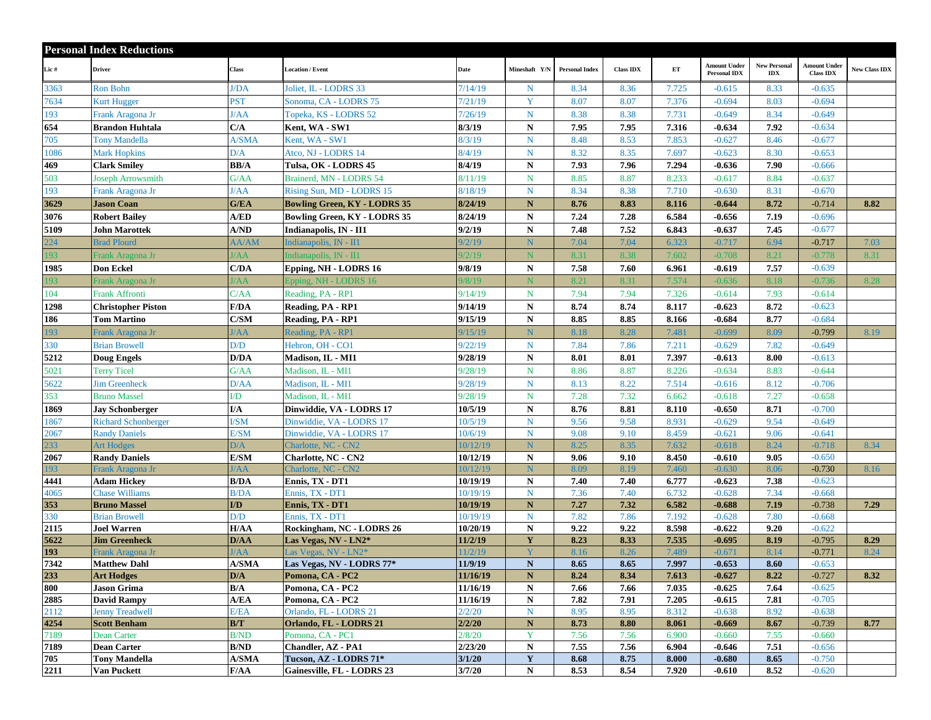|            | <b>Personal Index Reductions</b>        |                       |                                      |                      |                          |                       |                  |                |                                            |                            |                                         |               |
|------------|-----------------------------------------|-----------------------|--------------------------------------|----------------------|--------------------------|-----------------------|------------------|----------------|--------------------------------------------|----------------------------|-----------------------------------------|---------------|
| Lic#       | <b>Driver</b>                           | Class                 | <b>Location / Event</b>              | Date                 | Mineshaft Y/N            | <b>Personal Index</b> | <b>Class IDX</b> | $\mathbf{ET}$  | <b>Amount Under</b><br><b>Personal IDX</b> | <b>New Personal</b><br>IDX | <b>Amount Under</b><br><b>Class IDX</b> | New Class IDX |
| 3363       | <b>Ron Bohn</b>                         | <b>J/DA</b>           | Joliet, IL - LODRS 33                | 7/14/19              | $\mathbf N$              | 8.34                  | 8.36             | 7.725          | $-0.615$                                   | 8.33                       | $-0.635$                                |               |
| 7634       | Kurt Hugger                             | <b>PST</b>            | Sonoma, CA - LODRS 75                | 7/21/19              | Y                        | 8.07                  | 8.07             | 7.376          | $-0.694$                                   | 8.03                       | $-0.694$                                |               |
| 193        | Frank Aragona Jr                        | J/AA                  | Topeka, KS - LODRS 52                | 7/26/19              | $\mathbf N$              | 8.38                  | 8.38             | 7.731          | $-0.649$                                   | 8.34                       | $-0.649$                                |               |
| 654        | <b>Brandon Huhtala</b>                  | C/A                   | Kent, WA - SW1                       | 8/3/19               | ${\bf N}$                | 7.95                  | 7.95             | 7.316          | $-0.634$                                   | 7.92                       | $-0.634$                                |               |
| 705        | <b>Tony Mandella</b>                    | A/SMA                 | Kent, WA - SW1                       | 8/3/19               | $\mathbf N$              | 8.48                  | 8.53             | 7.853          | $-0.627$                                   | 8.46                       | $-0.677$                                |               |
| 1086       | <b>Mark Hopkins</b>                     | D/A                   | Atco, NJ - LODRS 14                  | 8/4/19               | $\mathbf N$              | 8.32                  | 8.35             | 7.697          | $-0.623$                                   | 8.30                       | $-0.653$                                |               |
| 469        | <b>Clark Smiley</b>                     | <b>BB/A</b>           | Tulsa, OK - LODRS 45                 | 8/4/19               | ${\bf N}$                | 7.93                  | 7.96             | 7.294          | $-0.636$                                   | 7.90                       | $-0.666$                                |               |
| 503        | <b>Joseph Arrowsmith</b>                | G/AA                  | Brainerd, MN - LODRS 54              | 8/11/19              | $\mathbf N$              | 8.85                  | 8.87             | 8.233          | $-0.617$                                   | 8.84                       | $-0.637$                                |               |
| 193        | Frank Aragona Jr                        | l/AA                  | Rising Sun, MD - LODRS 15            | 8/18/19              | N                        | 8.34                  | 8.38             | 7.710          | $-0.630$                                   | 8.31                       | $-0.670$                                |               |
| 3629       | <b>Jason Coan</b>                       | G/EA                  | <b>Bowling Green, KY - LODRS 35</b>  | 8/24/19              | ${\bf N}$                | 8.76                  | 8.83             | 8.116          | $-0.644$                                   | 8.72                       | $-0.714$                                | 8.82          |
| 3076       | <b>Robert Bailey</b>                    | A/ED                  | <b>Bowling Green, KY - LODRS 35</b>  | 8/24/19              | ${\bf N}$                | 7.24                  | 7.28             | 6.584          | $-0.656$                                   | 7.19                       | $-0.696$                                |               |
| 5109       | John Marottek                           | A/ND                  | Indianapolis, IN - II1               | 9/2/19               | ${\bf N}$                | 7.48                  | 7.52             | 6.843          | $-0.637$                                   | 7.45                       | $-0.677$                                |               |
| 224        | <b>Brad Plourd</b>                      | AA/AM                 | Indianapolis, IN - II1               | 9/2/19               | N                        | 7.04                  | 7.04             | 6.323          | $-0.717$                                   | 6.94                       | $-0.717$                                | 7.03          |
| 193        | Frank Aragona Jr                        | I/AA                  | Indianapolis, IN - II1               | 9/2/19               | N                        | 8.31                  | 8.38             | 7.602          | $-0.708$                                   | 8.21                       | $-0.778$                                | 8.31          |
| 1985       | <b>Don Eckel</b>                        | C/DA                  | Epping, NH - LODRS 16                | 9/8/19               | $\mathbf N$              | 7.58                  | 7.60             | 6.961          | $-0.619$                                   | 7.57                       | $-0.639$                                |               |
| 193        | Frank Aragona Jr                        | /AA                   | Epping, NH - LODRS 16                | 9/8/19               | N                        | 8.21                  | 8.31             | 7.574          | $-0.636$                                   | 8.18                       | $-0.736$                                | 8.28          |
| 104        | <b>Frank Affronti</b>                   | C/AA                  | Reading, PA - RP1                    | 9/14/19              | $N_{\odot}$              | 7.94                  | 7.94             | 7.326          | $-0.614$                                   | 7.93                       | $-0.614$                                |               |
| 1298       | <b>Christopher Piston</b>               | F/DA                  | Reading, PA - RP1                    | 9/14/19              | ${\bf N}$                | 8.74                  | 8.74             | 8.117          | $-0.623$                                   | 8.72                       | $-0.623$                                |               |
| 186        | <b>Tom Martino</b>                      | C/SM                  | Reading, PA - RP1                    | 9/15/19              | ${\bf N}$                | 8.85                  | 8.85             | 8.166          | $-0.684$                                   | 8.77                       | $-0.684$                                |               |
| 193        | Frank Aragona Jr                        | /AA                   | Reading, PA - RP1                    | 9/15/19              | N                        | 8.18                  | 8.28             | 7.481          | $-0.699$                                   | 8.09                       | $-0.799$                                | 8.19          |
| 330        | <b>Brian Browell</b>                    | D/D                   | Hebron, OH - CO1                     | 9/22/19              | ${\bf N}$                | 7.84                  | 7.86             | 7.211          | $-0.629$                                   | 7.82                       | $-0.649$                                |               |
| 5212       | <b>Doug Engels</b>                      | D/DA                  | Madison, IL - MI1                    | 9/28/19              | ${\bf N}$                | 8.01                  | 8.01             | 7.397          | $-0.613$                                   | 8.00                       | $-0.613$                                |               |
| 5021       | <b>Terry Ticel</b>                      | G/AA                  | Madison, IL - MI1                    | 9/28/19              | $\mathbf N$              | 8.86                  | 8.87             | 8.226          | $-0.634$                                   | 8.83                       | $-0.644$                                |               |
| 5622       | <b>Jim Greenheck</b>                    | D/AA                  | Madison, IL - MI1                    | 9/28/19              | ${\bf N}$                | 8.13                  | 8.22             | 7.514          | $-0.616$                                   | 8.12                       | $-0.706$                                |               |
| 353        | <b>Bruno Massel</b>                     | I/D                   | Madison, IL - MI1                    | 9/28/19              | $\mathbf N$              | 7.28                  | 7.32             | 6.662          | $-0.618$                                   | 7.27                       | $-0.658$                                |               |
| 1869       | <b>Jav Schonberger</b>                  | I/A                   | Dinwiddie, VA - LODRS 17             | 10/5/19              | ${\bf N}$                | 8.76                  | 8.81             | 8.110          | $-0.650$                                   | 8.71                       | $-0.700$                                |               |
| 1867       | <b>Richard Schonberger</b>              | <b>I/SM</b>           | Dinwiddie, VA - LODRS 17             | 10/5/19              | ${\bf N}$                | 9.56                  | 9.58             | 8.931          | $-0.629$                                   | 9.54                       | $-0.649$                                |               |
| 2067       | <b>Randy Daniels</b>                    | E/SM                  | Dinwiddie, VA - LODRS 17             | 10/6/19              | $\mathbf N$              | 9.08                  | 9.10             | 8.459          | $-0.621$                                   | 9.06                       | $-0.641$                                |               |
| 233        | <b>Art Hodges</b>                       | D/A                   | Charlotte, NC - CN2                  | 10/12/19             | N                        | 8.25                  | 8.35             | 7.632          | $-0.618$                                   | 8.24                       | $-0.718$                                | 8.34          |
| 2067       | <b>Randy Daniels</b>                    | E/SM                  | <b>Charlotte, NC - CN2</b>           | 10/12/19             | ${\bf N}$                | 9.06                  | 9.10             | 8.450          | $-0.610$                                   | 9.05                       | $-0.650$                                |               |
| 193        | Frank Aragona Jr                        | /AA                   | Charlotte, NC - CN2                  | 10/12/19             | N                        | 8.09                  | 8.19             | 7.460          | $-0.630$                                   | 8.06                       | $-0.730$                                | 8.16          |
| 4441       | <b>Adam Hickey</b>                      | <b>B/DA</b>           | Ennis, TX - DT1                      | 10/19/19             | ${\bf N}$                | 7.40                  | 7.40             | 6.777          | $-0.623$                                   | 7.38                       | $-0.623$                                |               |
| 4065       | <b>Chase Williams</b>                   | B/DA                  | Ennis, TX - DT1                      | 10/19/19             | ${\bf N}$                | 7.36                  | 7.40             | 6.732          | $-0.628$                                   | 7.34                       | $-0.668$                                |               |
| 353        | <b>Bruno Massel</b>                     | I/D                   | Ennis, TX - DT1                      | 10/19/19             | $\mathbf N$              | 7.27                  | 7.32             | 6.582          | $-0.688$                                   | 7.19                       | $-0.738$                                | 7.29          |
| 330        | <b>Brian Browell</b>                    | D/D                   | Ennis, TX - DT1                      | 10/19/19             | $\mathbf N$              | 7.82                  | 7.86             | 7.192          | $-0.628$                                   | 7.80                       | $-0.668$                                |               |
| 2115       | <b>Joel Warren</b>                      | H/AA                  | Rockingham, NC - LODRS 26            | 10/20/19             | ${\bf N}$                | 9.22                  | 9.22             | 8.598          | $-0.622$                                   | 9.20                       | $-0.622$                                |               |
| 5622       | <b>Jim Greenheck</b>                    | D/AA                  | Las Vegas, NV - LN2*                 | 11/2/19              | Y                        | 8.23                  | 8.33             | 7.535          | $-0.695$                                   | 8.19                       | $-0.795$                                | 8.29          |
| 193        | Frank Aragona Jr                        | I/AA                  | Las Vegas, NV - LN2*                 | 11/2/19              |                          | 8.16                  | 8.26             | 7.489          | $-0.671$                                   | 8.14                       | $-0.771$                                | 8.24          |
| 7342       | <b>Matthew Dahl</b>                     | <b>A/SMA</b>          | Las Vegas, NV - LODRS 77*            | 11/9/19              | ${\bf N}$                | 8.65                  | 8.65             | 7.997          | $-0.653$                                   | 8.60                       | $-0.653$                                |               |
| 233<br>800 | <b>Art Hodges</b><br><b>Jason Grima</b> | D/A<br>B/A            | Pomona, CA - PC2                     | 11/16/19<br>11/16/19 | $\mathbf N$              | 8.24<br>7.66          | 8.34             | 7.613<br>7.035 | $-0.627$                                   | 8.22<br>7.64               | $-0.727$<br>$-0.625$                    | 8.32          |
| 2885       | <b>David Rampy</b>                      | A/EA                  | Pomona, CA - PC2<br>Pomona, CA - PC2 | 11/16/19             | $\mathbf N$<br>${\bf N}$ | 7.82                  | 7.66<br>7.91     | 7.205          | $-0.625$<br>$-0.615$                       | 7.81                       | $-0.705$                                |               |
| 2112       | <b>Jenny Treadwell</b>                  | E/EA                  | Orlando, FL - LODRS 21               | 2/2/20               | ${\bf N}$                | 8.95                  | 8.95             | 8.312          | $-0.638$                                   | 8.92                       | $-0.638$                                |               |
| 4254       | <b>Scott Benham</b>                     | B/T                   | Orlando, FL - LODRS 21               | 2/2/20               | ${\bf N}$                | 8.73                  | 8.80             | 8.061          | $-0.669$                                   | 8.67                       | $-0.739$                                | 8.77          |
| 7189       | Dean Carter                             | <b>B/ND</b>           | Pomona, CA - PC1                     | 2/8/20               | Y                        | 7.56                  | 7.56             | 6.900          | $-0.660$                                   | 7.55                       | $-0.660$                                |               |
| 7189       | <b>Dean Carter</b>                      | B/ND                  | <b>Chandler, AZ - PA1</b>            | 2/23/20              | ${\bf N}$                | 7.55                  | 7.56             | 6.904          | $-0.646$                                   | 7.51                       | $-0.656$                                |               |
| 705        | <b>Tony Mandella</b>                    | A/SMA                 | Tucson, AZ - LODRS 71*               | 3/1/20               | $\mathbf Y$              | 8.68                  | 8.75             | 8.000          | $-0.680$                                   | 8.65                       | $-0.750$                                |               |
| 2211       | Van Puckett                             | ${\bf F}/\mathbf{AA}$ | Gainesville, FL - LODRS 23           | 3/7/20               | ${\bf N}$                | 8.53                  | 8.54             | 7.920          | $-0.610$                                   | 8.52                       | $-0.620$                                |               |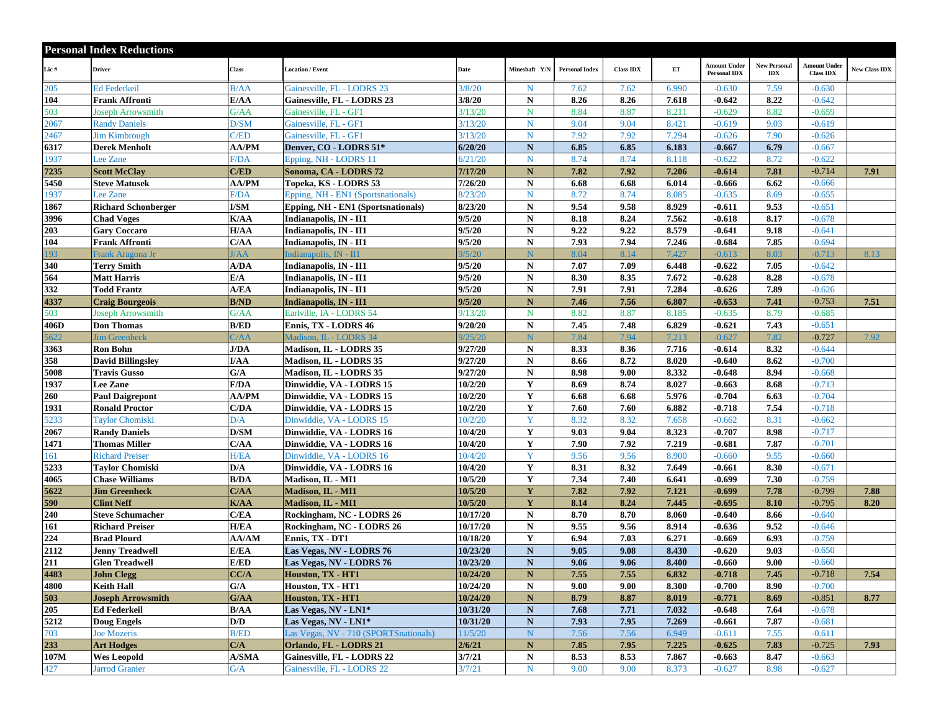|       | <b>Personal Index Reductions</b> |              |                                       |          |               |                       |                  |       |                                            |                                   |                                         |                      |
|-------|----------------------------------|--------------|---------------------------------------|----------|---------------|-----------------------|------------------|-------|--------------------------------------------|-----------------------------------|-----------------------------------------|----------------------|
| Lic # | <b>Driver</b>                    | Class        | <b>Location / Event</b>               | Date     | Mineshaft Y/N | <b>Personal Index</b> | <b>Class IDX</b> | ET    | <b>Amount Under</b><br><b>Personal IDX</b> | <b>New Personal</b><br><b>IDX</b> | <b>Amount Under</b><br><b>Class IDX</b> | <b>New Class IDX</b> |
| 205   | <b>Ed Federkeil</b>              | B/AA         | Gainesville, FL - LODRS 23            | 3/8/20   | $\mathbf N$   | 7.62                  | 7.62             | 6.990 | $-0.630$                                   | 7.59                              | $-0.630$                                |                      |
| 104   | Frank Affronti                   | E/AA         | Gainesville, FL - LODRS 23            | 3/8/20   | N             | 8.26                  | 8.26             | 7.618 | $-0.642$                                   | 8.22                              | $-0.642$                                |                      |
| 503   | Joseph Arrowsmith                | G/AA         | Gainesville, FL - GF1                 | 3/13/20  | N             | 8.84                  | 8.87             | 8.211 | $-0.629$                                   | 8.82                              | $-0.659$                                |                      |
| 2067  | <b>Randy Daniels</b>             | D/SM         | Gainesville, FL - GF1                 | 3/13/20  | $\mathbf N$   | 9.04                  | 9.04             | 8.421 | $-0.619$                                   | 9.03                              | $-0.619$                                |                      |
| 2467  | <b>Jim Kimbrough</b>             | C/ED         | Gainesville, FL - GF1                 | 3/13/20  | $\mathbf N$   | 7.92                  | 7.92             | 7.294 | $-0.626$                                   | 7.90                              | $-0.626$                                |                      |
| 6317  | <b>Derek Menholt</b>             | <b>AA/PM</b> | Denver, CO - LODRS 51*                | 6/20/20  | ${\bf N}$     | 6.85                  | 6.85             | 6.183 | $-0.667$                                   | 6.79                              | $-0.667$                                |                      |
| 1937  | Lee Zane                         | F/DA         | Epping, NH - LODRS 11                 | 6/21/20  | $\mathbf N$   | 8.74                  | 8.74             | 8.118 | $-0.622$                                   | 8.72                              | $-0.622$                                |                      |
| 7235  | <b>Scott McClay</b>              | C/ED         | Sonoma, CA - LODRS 72                 | 7/17/20  | $\mathbf N$   | 7.82                  | 7.92             | 7.206 | $-0.614$                                   | 7.81                              | $-0.714$                                | 7.91                 |
| 5450  | <b>Steve Matusek</b>             | <b>AA/PM</b> | Topeka, KS - LODRS 53                 | 7/26/20  | ${\bf N}$     | 6.68                  | 6.68             | 6.014 | $-0.666$                                   | 6.62                              | $-0.666$                                |                      |
| 1937  | Lee Zane                         | F/DA         | Epping, NH - EN1 (Sportsnationals)    | 8/23/20  | $\mathbf N$   | 8.72                  | 8.74             | 8.085 | $-0.635$                                   | 8.69                              | $-0.655$                                |                      |
| 1867  | <b>Richard Schonberger</b>       | <b>I/SM</b>  | Epping, NH - EN1 (Sportsnationals)    | 8/23/20  | ${\bf N}$     | 9.54                  | 9.58             | 8.929 | $-0.611$                                   | 9.53                              | $-0.651$                                |                      |
| 3996  | <b>Chad Voges</b>                | K/AA         | Indianapolis, IN - II1                | 9/5/20   | ${\bf N}$     | 8.18                  | 8.24             | 7.562 | $-0.618$                                   | 8.17                              | $-0.678$                                |                      |
| 203   | <b>Gary Coccaro</b>              | H/AA         | Indianapolis, IN - II1                | 9/5/20   | ${\bf N}$     | 9.22                  | 9.22             | 8.579 | $-0.641$                                   | 9.18                              | $-0.641$                                |                      |
| 104   | Frank Affronti                   | C/AA         | Indianapolis, IN - II1                | 9/5/20   | ${\bf N}$     | 7.93                  | 7.94             | 7.246 | $-0.684$                                   | 7.85                              | $-0.694$                                |                      |
| 193   | Frank Aragona Jr                 | /AA          | Indianapolis, IN - II1                | 9/5/20   | N             | 8.04                  | 8.14             | 7.427 | $-0.613$                                   | 8.03                              | $-0.713$                                | 8.13                 |
| 340   | <b>Terry Smith</b>               | A/DA         | Indianapolis, IN - II1                | 9/5/20   | N             | 7.07                  | 7.09             | 6.448 | $-0.622$                                   | 7.05                              | $-0.642$                                |                      |
| 564   | <b>Matt Harris</b>               | E/A          | Indianapolis, IN - II1                | 9/5/20   | ${\bf N}$     | 8.30                  | 8.35             | 7.672 | $-0.628$                                   | 8.28                              | $-0.678$                                |                      |
| 332   | <b>Todd Frantz</b>               | A/EA         | Indianapolis, IN - II1                | 9/5/20   | N             | 7.91                  | 7.91             | 7.284 | $-0.626$                                   | 7.89                              | $-0.626$                                |                      |
| 4337  | <b>Craig Bourgeois</b>           | <b>B/ND</b>  | Indianapolis, IN - II1                | 9/5/20   | ${\bf N}$     | 7.46                  | 7.56             | 6.807 | $-0.653$                                   | 7.41                              | $-0.753$                                | 7.51                 |
| 503   | <b>Joseph Arrowsmith</b>         | G/AA         | Earlyille, IA - LODRS 54              | 9/13/20  | $\mathbf N$   | 8.82                  | 8.87             | 8.185 | $-0.635$                                   | 8.79                              | $-0.685$                                |                      |
| 406D  | <b>Don Thomas</b>                | <b>B/ED</b>  | Ennis, TX - LODRS 46                  | 9/20/20  | ${\bf N}$     | 7.45                  | 7.48             | 6.829 | $-0.621$                                   | 7.43                              | $-0.651$                                |                      |
| 5622  | <b>im Greenheck</b>              | C/AA         | Madison, IL - LODRS 34                | 9/25/20  | N             | 7.84                  | 7.94             | 7.213 | $-0.627$                                   | 7.82                              | $-0.727$                                | 7.92                 |
|       | <b>Ron Bohn</b>                  | <b>J/DA</b>  |                                       | 9/27/20  | ${\bf N}$     | 8.33                  | 8.36             | 7.716 | $-0.614$                                   | 8.32                              | $-0.644$                                |                      |
| 3363  |                                  |              | Madison, IL - LODRS 35                |          |               |                       |                  | 8.020 |                                            |                                   | $-0.700$                                |                      |
| 358   | <b>David Billingsley</b>         | I/AA         | Madison, IL - LODRS 35                | 9/27/20  | N             | 8.66                  | 8.72             |       | $-0.640$                                   | 8.62                              |                                         |                      |
| 5008  | <b>Travis Gusso</b>              | G/A          | Madison, IL - LODRS 35                | 9/27/20  | ${\bf N}$     | 8.98                  | 9.00             | 8.332 | $-0.648$                                   | 8.94                              | $-0.668$                                |                      |
| 1937  | <b>Lee Zane</b>                  | F/DA         | Dinwiddie, VA - LODRS 15              | 10/2/20  | Y             | 8.69                  | 8.74             | 8.027 | $-0.663$                                   | 8.68                              | $-0.713$                                |                      |
| 260   | <b>Paul Daigrepont</b>           | <b>AA/PM</b> | Dinwiddie, VA - LODRS 15              | 10/2/20  | Y             | 6.68                  | 6.68             | 5.976 | $-0.704$                                   | 6.63                              | $-0.704$                                |                      |
| 1931  | <b>Ronald Proctor</b>            | C/DA         | Dinwiddie, VA - LODRS 15              | 10/2/20  | Y             | 7.60                  | 7.60             | 6.882 | $-0.718$                                   | 7.54                              | $-0.718$                                |                      |
| 5233  | <b>Taylor Chomiski</b>           | D/A          | Dinwiddie, VA - LODRS 15              | 10/2/20  | Y             | 8.32                  | 8.32             | 7.658 | $-0.662$                                   | 8.31                              | $-0.662$                                |                      |
| 2067  | <b>Randy Daniels</b>             | D/SM         | Dinwiddie, VA - LODRS 16              | 10/4/20  | Y             | 9.03                  | 9.04             | 8.323 | $-0.707$                                   | 8.98                              | $-0.717$                                |                      |
| 1471  | <b>Thomas Miller</b>             | C/AA         | Dinwiddie, VA - LODRS 16              | 10/4/20  | Y             | 7.90                  | 7.92             | 7.219 | $-0.681$                                   | 7.87                              | $-0.701$                                |                      |
| 161   | <b>Richard Preiser</b>           | H/EA         | Dinwiddie, VA - LODRS 16              | 10/4/20  | Y             | 9.56                  | 9.56             | 8.900 | $-0.660$                                   | 9.55                              | $-0.660$                                |                      |
| 5233  | <b>Tavlor Chomiski</b>           | D/A          | Dinwiddie, VA - LODRS 16              | 10/4/20  | Y             | 8.31                  | 8.32             | 7.649 | $-0.661$                                   | 8.30                              | $-0.671$                                |                      |
| 4065  | <b>Chase Williams</b>            | <b>B/DA</b>  | Madison, IL - MI1                     | 10/5/20  | Y             | 7.34                  | 7.40             | 6.641 | $-0.699$                                   | 7.30                              | $-0.759$                                |                      |
| 5622  | <b>Jim Greenheck</b>             | C/AA         | Madison, IL - MI1                     | 10/5/20  | Y             | 7.82                  | 7.92             | 7.121 | $-0.699$                                   | 7.78                              | $-0.799$                                | 7.88                 |
| 590   | <b>Clint Neff</b>                | K/AA         | Madison, IL - MI1                     | 10/5/20  | Y             | 8.14                  | 8.24             | 7.445 | $-0.695$                                   | 8.10                              | $-0.795$                                | 8.20                 |
| 240   | <b>Steve Schumacher</b>          | C/EA         | Rockingham, NC - LODRS 26             | 10/17/20 | ${\bf N}$     | 8.70                  | 8.70             | 8.060 | $-0.640$                                   | 8.66                              | $-0.640$                                |                      |
| 161   | <b>Richard Preiser</b>           | <b>H/EA</b>  | Rockingham, NC - LODRS 26             | 10/17/20 | ${\bf N}$     | 9.55                  | 9.56             | 8.914 | $-0.636$                                   | 9.52                              | $-0.646$                                |                      |
| 224   | <b>Brad Plourd</b>               | AA/AM        | Ennis. TX - DT1                       | 10/18/20 | $\mathbf Y$   | 6.94                  | 7.03             | 6.271 | $-0.669$                                   | 6.93                              | $-0.759$                                |                      |
| 2112  | <b>Jenny Treadwell</b>           | E/EA         | Las Vegas, NV - LODRS 76              | 10/23/20 | $\mathbf N$   | 9.05                  | 9.08             | 8.430 | $-0.620$                                   | 9.03                              | $-0.650$                                |                      |
| 211   | <b>Glen Treadwell</b>            | E/ED         | Las Vegas, NV - LODRS 76              | 10/23/20 | ${\bf N}$     | 9.06                  | 9.06             | 8.400 | $-0.660$                                   | 9.00                              | $-0.660$                                |                      |
| 4483  | John Clegg                       | CC/A         | Houston, TX - HT1                     | 10/24/20 | $\mathbf N$   | 7.55                  | 7.55             | 6.832 | $-0.718$                                   | 7.45                              | $-0.718$                                | 7.54                 |
| 4800  | <b>Keith Hall</b>                | G/A          | Houston, TX - HT1                     | 10/24/20 | ${\bf N}$     | 9.00                  | 9.00             | 8.300 | $-0.700$                                   | 8.90                              | $-0.700$                                |                      |
| 503   | <b>Joseph Arrowsmith</b>         | G/AA         | Houston, TX - HT1                     | 10/24/20 | $\mathbf N$   | 8.79                  | 8.87             | 8.019 | $-0.771$                                   | 8.69                              | $-0.851$                                | 8.77                 |
| 205   | <b>Ed Federkeil</b>              | B/AA         | Las Vegas, NV - LN1*                  | 10/31/20 | ${\bf N}$     | 7.68                  | 7.71             | 7.032 | $-0.648$                                   | 7.64                              | $-0.678$                                |                      |
| 5212  | <b>Doug Engels</b>               | D/D          | Las Vegas, NV - LN1*                  | 10/31/20 | ${\bf N}$     | 7.93                  | 7.95             | 7.269 | $-0.661$                                   | 7.87                              | $-0.681$                                |                      |
| 703   | Joe Mozeris                      | <b>B/ED</b>  | Las Vegas, NV - 710 (SPORTSnationals) | 11/5/20  | N             | 7.56                  | 7.56             | 6.949 | $-0.611$                                   | 7.55                              | $-0.611$                                |                      |
| 233   | <b>Art Hodges</b>                | C/A          | Orlando, FL - LODRS 21                | 2/6/21   | ${\bf N}$     | 7.85                  | 7.95             | 7.225 | $-0.625$                                   | 7.83                              | $-0.725$                                | 7.93                 |
| 107M  | <b>Wes Leopold</b>               | A/SMA        | Gainesville, FL - LODRS 22            | 3/7/21   | ${\bf N}$     | 8.53                  | 8.53             | 7.867 | $-0.663$                                   | 8.47                              | $-0.663$                                |                      |
| 427   | <b>Jarrod Granier</b>            | G/A          | Gainesville, FL - LODRS 22            | 3/7/21   | $\mathbf N$   | 9.00                  | 9.00             | 8.373 | $-0.627$                                   | 8.98                              | $-0.627$                                |                      |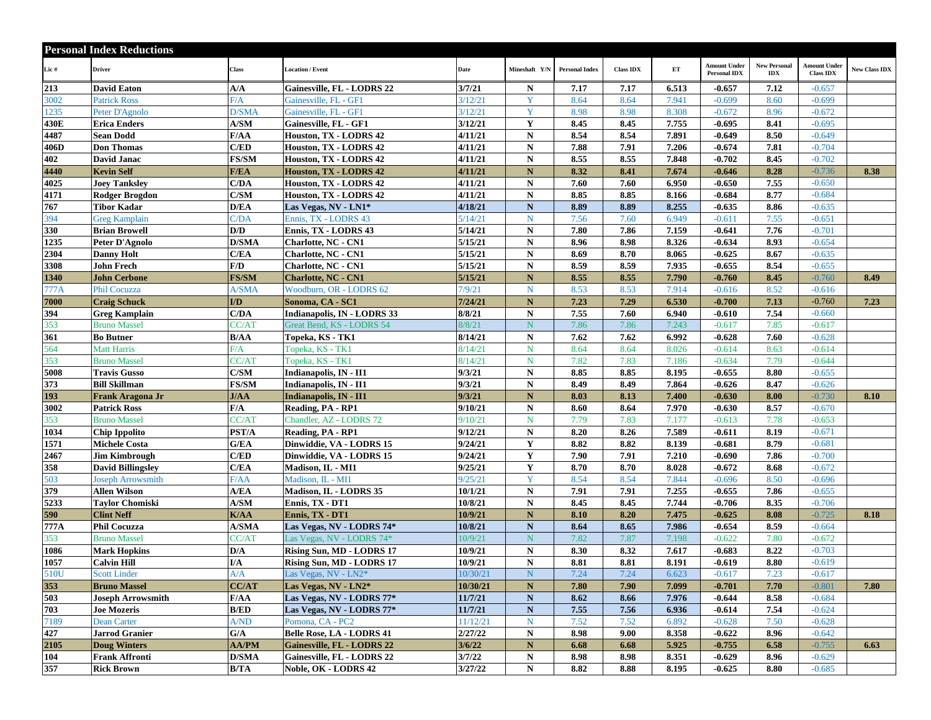|      | <b>Personal Index Reductions</b> |                                   |                                   |                      |               |                       |                  |       |                                            |                                       |                                         |                      |
|------|----------------------------------|-----------------------------------|-----------------------------------|----------------------|---------------|-----------------------|------------------|-------|--------------------------------------------|---------------------------------------|-----------------------------------------|----------------------|
| Lic# | <b>Driver</b>                    | Class                             | <b>Location / Event</b>           | Date                 | Mineshaft Y/N | <b>Personal Index</b> | <b>Class IDX</b> | ET    | <b>Amount Under</b><br><b>Personal IDX</b> | <b>New Personal</b><br>$\mathbf{IDX}$ | <b>Amount Under</b><br><b>Class IDX</b> | <b>New Class IDX</b> |
| 213  | <b>David Eaton</b>               | A/A                               | Gainesville, FL - LODRS 22        | 3/7/21               | ${\bf N}$     | 7.17                  | 7.17             | 6.513 | $-0.657$                                   | 7.12                                  | $-0.657$                                |                      |
| 3002 | <b>Patrick Ross</b>              | F/A                               | Gainesville, FL - GF1             | 3/12/21              | Y             | 8.64                  | 8.64             | 7.941 | $-0.699$                                   | 8.60                                  | $-0.699$                                |                      |
| 1235 | Peter D'Agnolo                   | D/SMA                             | Gainesville, FL - GF1             | 3/12/21              | Y             | 8.98                  | 8.98             | 8.308 | $-0.672$                                   | 8.96                                  | $-0.672$                                |                      |
| 430E | <b>Erica Enders</b>              | A/SM                              | Gainesville, FL - GF1             | 3/12/21              | Y             | 8.45                  | 8.45             | 7.755 | $-0.695$                                   | 8.41                                  | $-0.695$                                |                      |
| 4487 | Sean Dodd                        | F/AA                              | Houston, TX - LODRS 42            | 4/11/21              | N             | 8.54                  | 8.54             | 7.891 | $-0.649$                                   | 8.50                                  | $-0.649$                                |                      |
| 406D | <b>Don Thomas</b>                | C/ED                              | Houston, TX - LODRS 42            | 4/11/21              | N             | 7.88                  | 7.91             | 7.206 | $-0.674$                                   | 7.81                                  | $-0.704$                                |                      |
| 402  | David Janac                      | <b>FS/SM</b>                      | Houston, TX - LODRS 42            | 4/11/21              | $\mathbf N$   | 8.55                  | 8.55             | 7.848 | $-0.702$                                   | 8.45                                  | $-0.702$                                |                      |
| 4440 | <b>Kevin Self</b>                | <b>F/EA</b>                       | Houston, TX - LODRS 42            | 4/11/21              | $\mathbf N$   | 8.32                  | 8.41             | 7.674 | $-0.646$                                   | 8.28                                  | $-0.736$                                | 8.38                 |
| 4025 | <b>Joey Tanksley</b>             | C/DA                              | Houston, TX - LODRS 42            | 4/11/21              | ${\bf N}$     | 7.60                  | 7.60             | 6.950 | $-0.650$                                   | 7.55                                  | $-0.650$                                |                      |
| 4171 | <b>Rodger Brogdon</b>            | C/SM                              | Houston, TX - LODRS 42            | 4/11/21              | $\mathbf N$   | 8.85                  | 8.85             | 8.166 | $-0.684$                                   | 8.77                                  | $-0.684$                                |                      |
| 767  | Tibor Kadar                      | D/EA                              | Las Vegas, NV - LN1*              | 4/18/21              | $\mathbf N$   | 8.89                  | 8.89             | 8.255 | $-0.635$                                   | 8.86                                  | $-0.635$                                |                      |
| 394  | <b>Greg Kamplain</b>             | C/DA                              | Ennis, TX - LODRS 43              | 5/14/21              | $\mathbf N$   | 7.56                  | 7.60             | 6.949 | $-0.611$                                   | 7.55                                  | $-0.651$                                |                      |
| 330  | <b>Brian Browell</b>             | D/D                               | Ennis, TX - LODRS 43              | 5/14/21              | $\mathbf N$   | 7.80                  | 7.86             | 7.159 | $-0.641$                                   | 7.76                                  | $-0.701$                                |                      |
| 1235 | Peter D'Agnolo                   | <b>D/SMA</b>                      | <b>Charlotte, NC - CN1</b>        | $\overline{5/15/21}$ | ${\bf N}$     | 8.96                  | 8.98             | 8.326 | $-0.634$                                   | 8.93                                  | $-0.654$                                |                      |
| 2304 | <b>Danny Holt</b>                | C/EA                              | <b>Charlotte, NC - CN1</b>        | 5/15/21              | N             | 8.69                  | 8.70             | 8.065 | $-0.625$                                   | 8.67                                  | $-0.635$                                |                      |
| 3308 | <b>John Frech</b>                | F/D                               | <b>Charlotte, NC - CN1</b>        | 5/15/21              | ${\bf N}$     | 8.59                  | 8.59             | 7.935 | $-0.655$                                   | 8.54                                  | $-0.655$                                |                      |
| 1340 | <b>John Cerbone</b>              | <b>FS/SM</b>                      | <b>Charlotte, NC - CN1</b>        | 5/15/21              | $\mathbf N$   | 8.55                  | 8.55             | 7.790 | $-0.760$                                   | 8.45                                  | $-0.760$                                | 8.49                 |
| 777A | <b>Phil Cocuzza</b>              | A/SMA                             | Woodburn, OR - LODRS 62           | 7/9/21               | $\mathbf N$   | 8.53                  | 8.53             | 7.914 | $-0.616$                                   | 8.52                                  | $-0.616$                                |                      |
| 7000 | <b>Craig Schuck</b>              | I/D                               | Sonoma, CA - SC1                  | 7/24/21              | ${\bf N}$     | 7.23                  | 7.29             | 6.530 | $-0.700$                                   | 7.13                                  | $-0.760$                                | 7.23                 |
| 394  | <b>Greg Kamplain</b>             | C/DA                              | Indianapolis, IN - LODRS 33       | 8/8/21               | N             | 7.55                  | 7.60             | 6.940 | $-0.610$                                   | 7.54                                  | $-0.660$                                |                      |
| 353  | <b>Bruno Massel</b>              | CC/AT                             | Great Bend, KS - LODRS 54         | 8/8/21               | N             | 7.86                  | 7.86             | 7.243 | $-0.617$                                   | 7.85                                  | $-0.617$                                |                      |
| 361  | <b>Bo Butner</b>                 | B/AA                              | Topeka, KS - TK1                  | 8/14/21              | ${\bf N}$     | 7.62                  | 7.62             | 6.992 | $-0.628$                                   | 7.60                                  | $-0.628$                                |                      |
| 564  | <b>Matt Harris</b>               | F/A                               | Topeka, KS - TK1                  | 8/14/21              | N             | 8.64                  | 8.64             | 8.026 | $-0.614$                                   | 8.63                                  | $-0.614$                                |                      |
| 353  | <b>Bruno Massel</b>              | CC/AT                             | Topeka, KS - TK1                  | 8/14/21              | N             | 7.82                  | 7.83             | 7.186 | $-0.634$                                   | 7.79                                  | $-0.644$                                |                      |
| 5008 | <b>Travis Gusso</b>              | C/SM                              | Indianapolis, IN - II1            | 9/3/21               | ${\bf N}$     | 8.85                  | 8.85             | 8.195 | $-0.655$                                   | 8.80                                  | $-0.655$                                |                      |
| 373  | <b>Bill Skillman</b>             | <b>FS/SM</b>                      | Indianapolis, IN - II1            | 9/3/21               | ${\bf N}$     | 8.49                  | 8.49             | 7.864 | $-0.626$                                   | 8.47                                  | $-0.626$                                |                      |
| 193  | Frank Aragona Jr                 | J/AA                              | Indianapolis, IN - II1            | 9/3/21               | $\mathbf N$   | 8.03                  | 8.13             | 7.400 | $-0.630$                                   | 8.00                                  | $-0.730$                                | 8.10                 |
| 3002 | <b>Patrick Ross</b>              | F/A                               | Reading, PA - RP1                 | 9/10/21              | ${\bf N}$     | 8.60                  | 8.64             | 7.970 | $-0.630$                                   | 8.57                                  | $-0.670$                                |                      |
| 353  | <b>Bruno Massel</b>              | CC/AT                             | Chandler, AZ - LODRS 72           | 9/10/21              | N             | 7.79                  | 7.83             | 7.177 | $-0.613$                                   | 7.78                                  | $-0.653$                                |                      |
| 1034 | <b>Chip Ippolito</b>             | PST/A                             | Reading, PA - RP1                 | 9/12/21              | ${\bf N}$     | 8.20                  | 8.26             | 7.589 | $-0.611$                                   | 8.19                                  | $-0.671$                                |                      |
| 1571 | <b>Michele Costa</b>             | G/EA                              | Dinwiddie, VA - LODRS 15          | 9/24/21              | $\mathbf Y$   | 8.82                  | 8.82             | 8.139 | $-0.681$                                   | 8.79                                  | $-0.681$                                |                      |
| 2467 | <b>Jim Kimbrough</b>             | C/ED                              | Dinwiddie, VA - LODRS 15          | 9/24/21              | $\mathbf Y$   | 7.90                  | 7.91             | 7.210 | $-0.690$                                   | 7.86                                  | $-0.700$                                |                      |
| 358  | <b>David Billingsley</b>         | C/EA                              | Madison, IL - MI1                 | 9/25/21              | Y             | 8.70                  | 8.70             | 8.028 | $-0.672$                                   | 8.68                                  | $-0.672$                                |                      |
| 503  | <b>Joseph Arrowsmith</b>         | F/AA                              | Madison, IL - MI1                 | 9/25/21              | Y             | 8.54                  | 8.54             | 7.844 | $-0.696$                                   | 8.50                                  | $-0.696$                                |                      |
| 379  | Allen Wilson                     | A/EA                              | Madison, IL - LODRS 35            | 10/1/21              | $\mathbf N$   | 7.91                  | 7.91             | 7.255 | $-0.655$                                   | 7.86                                  | $-0.655$                                |                      |
| 5233 | <b>Tavlor Chomiski</b>           | A/SM                              | Ennis, TX - DT1                   | 10/8/21              | ${\bf N}$     | 8.45                  | 8.45             | 7.744 | $-0.706$                                   | 8.35                                  | $-0.706$                                |                      |
| 590  | <b>Clint Neff</b>                | K/AA                              | Ennis, TX - DT1                   | 10/9/21              | ${\bf N}$     | 8.10                  | 8.20             | 7.475 | $-0.625$                                   | 8.08                                  | $-0.725$                                | 8.18                 |
| 777A | <b>Phil Cocuzza</b>              | <b>A/SMA</b>                      | Las Vegas, NV - LODRS 74*         | 10/8/21              | ${\bf N}$     | 8.64                  | 8.65             | 7.986 | $-0.654$                                   | 8.59                                  | $-0.664$                                |                      |
| 353  | <b>Bruno Massel</b>              | CC/AT                             | Las Vegas, NV - LODRS 74*         | 10/9/21              | ${\bf N}$     | 7.82                  | 7.87             | 7.198 | $-0.622$                                   | 7.80                                  | $-0.672$                                |                      |
| 1086 | <b>Mark Hopkins</b>              | D/A                               | Rising Sun, MD - LODRS 17         | 10/9/21              | ${\bf N}$     | 8.30                  | 8.32             | 7.617 | $-0.683$                                   | 8.22                                  | $-0.703$                                |                      |
| 1057 | Calvin Hill                      | I/A                               | Rising Sun, MD - LODRS 17         | 10/9/21              | N             | 8.81                  | 8.81             | 8.191 | $-0.619$                                   | 8.80                                  | $-0.619$                                |                      |
| 510U | <b>Scott Linder</b>              | A/A                               | Las Vegas, NV - LN2*              | 10/30/21             | $N_{\odot}$   | 7.24                  | 7.24             | 6.623 | $-0.617$                                   | 7.23                                  | $-0.617$                                |                      |
| 353  | <b>Bruno Massel</b>              | CC/AT                             | Las Vegas, NV - LN2*              | 10/30/21             | $\mathbf N$   | 7.80                  | 7.90             | 7.099 | $-0.701$                                   | 7.70                                  | $-0.801$                                | 7.80                 |
| 503  | <b>Joseph Arrowsmith</b>         | F/AA                              | Las Vegas, NV - LODRS 77*         | 11/7/21              | ${\bf N}$     | 8.62                  | 8.66             | 7.976 | $-0.644$                                   | 8.58                                  | $-0.684$                                |                      |
| 703  | <b>Joe Mozeris</b>               | B/ED                              | Las Vegas, NV - LODRS 77*         | 11/7/21              | $\mathbf N$   | 7.55                  | 7.56             | 6.936 | $-0.614$                                   | 7.54                                  | $-0.624$                                |                      |
| 7189 | <b>Dean Carter</b>               | $\mathbf{A}/\mathbf{N}\mathbf{D}$ | Pomona, CA - PC2                  | 11/12/21             | $\mathbf N$   | 7.52                  | 7.52             | 6.892 | $-0.628$                                   | 7.50                                  | $-0.628$                                |                      |
| 427  | <b>Jarrod Granier</b>            | G/A                               | <b>Belle Rose, LA - LODRS 41</b>  | 2/27/22              | $\mathbf N$   | 8.98                  | 9.00             | 8.358 | $-0.622$                                   | 8.96                                  | $-0.642$                                |                      |
| 2105 | <b>Doug Winters</b>              | <b>AA/PM</b>                      | <b>Gainesville, FL - LODRS 22</b> | 3/6/22               | ${\bf N}$     | 6.68                  | 6.68             | 5.925 | $-0.755$                                   | 6.58                                  | $-0.755$                                | 6.63                 |
| 104  | <b>Frank Affronti</b>            | <b>D/SMA</b>                      | Gainesville, FL - LODRS 22        | 3/7/22               | $\mathbf N$   | 8.98                  | 8.98             | 8.351 | $-0.629$                                   | 8.96                                  | $-0.629$                                |                      |
| 357  | <b>Rick Brown</b>                | B/TA                              | Noble, OK - LODRS 42              | 3/27/22              | $\mathbf N$   | 8.82                  | 8.88             | 8.195 | $-0.625$                                   | 8.80                                  | $-0.685$                                |                      |